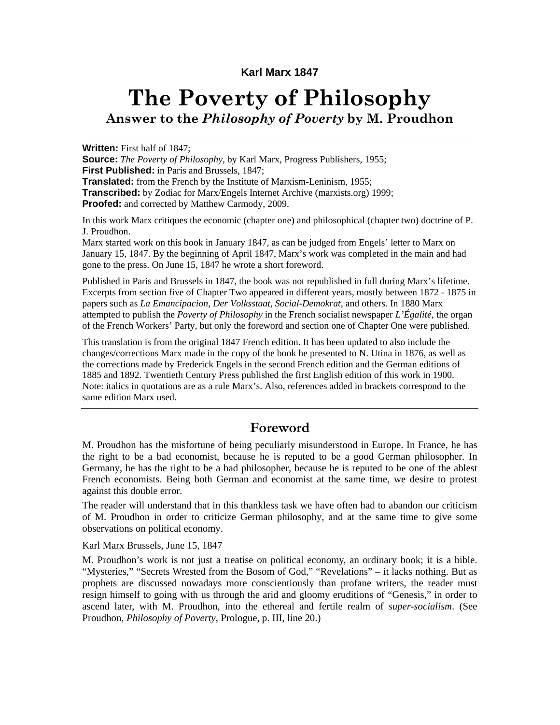## **Karl Marx 1847**

# **The Poverty of Philosophy**

**Answer to the** *Philosophy of Poverty* **by M. Proudhon** 

**Written:** First half of 1847;

**Source:** *The Poverty of Philosophy*, by Karl Marx, Progress Publishers, 1955; **First Published:** in Paris and Brussels, 1847;

**Translated:** from the French by the Institute of Marxism-Leninism, 1955; **Transcribed:** by Zodiac for Marx/Engels Internet Archive (marxists.org) 1999; **Proofed:** and corrected by Matthew Carmody, 2009.

In this work Marx critiques the economic (chapter one) and philosophical (chapter two) doctrine of P. J. Proudhon.

Marx started work on this book in January 1847, as can be judged from Engels' letter to Marx on January 15, 1847. By the beginning of April 1847, Marx's work was completed in the main and had gone to the press. On June 15, 1847 he wrote a short foreword.

Published in Paris and Brussels in 1847, the book was not republished in full during Marx's lifetime. Excerpts from section five of Chapter Two appeared in different years, mostly between 1872 - 1875 in papers such as *La Emancipacion*, *Der Volksstaat*, *Social-Demokrat*, and others. In 1880 Marx attempted to publish the *Poverty of Philosophy* in the French socialist newspaper *L'Égalité*, the organ of the French Workers' Party, but only the foreword and section one of Chapter One were published.

This translation is from the original 1847 French edition. It has been updated to also include the changes/corrections Marx made in the copy of the book he presented to N. Utina in 1876, as well as the corrections made by Frederick Engels in the second French edition and the German editions of 1885 and 1892. Twentieth Century Press published the first English edition of this work in 1900. Note: italics in quotations are as a rule Marx's. Also, references added in brackets correspond to the same edition Marx used.

# **Foreword**

M. Proudhon has the misfortune of being peculiarly misunderstood in Europe. In France, he has the right to be a bad economist, because he is reputed to be a good German philosopher. In Germany, he has the right to be a bad philosopher, because he is reputed to be one of the ablest French economists. Being both German and economist at the same time, we desire to protest against this double error.

The reader will understand that in this thankless task we have often had to abandon our criticism of M. Proudhon in order to criticize German philosophy, and at the same time to give some observations on political economy.

Karl Marx Brussels, June 15, 1847

M. Proudhon's work is not just a treatise on political economy, an ordinary book; it is a bible. "Mysteries," "Secrets Wrested from the Bosom of God," "Revelations" – it lacks nothing. But as prophets are discussed nowadays more conscientiously than profane writers, the reader must resign himself to going with us through the arid and gloomy eruditions of "Genesis," in order to ascend later, with M. Proudhon, into the ethereal and fertile realm of *super-socialism*. (See Proudhon, *Philosophy of Poverty*, Prologue, p. III, line 20.)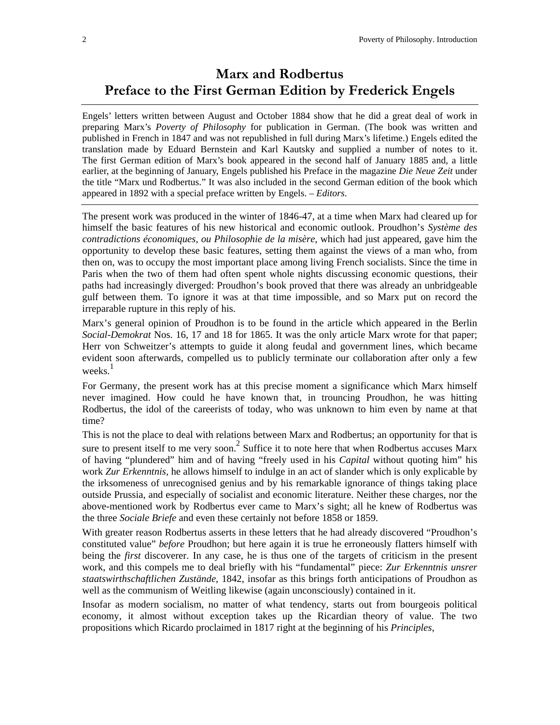# **Marx and Rodbertus Preface to the First German Edition by Frederick Engels**

Engels' letters written between August and October 1884 show that he did a great deal of work in preparing Marx's *Poverty of Philosophy* for publication in German. (The book was written and published in French in 1847 and was not republished in full during Marx's lifetime.) Engels edited the translation made by Eduard Bernstein and Karl Kautsky and supplied a number of notes to it. The first German edition of Marx's book appeared in the second half of January 1885 and, a little earlier, at the beginning of January, Engels published his Preface in the magazine *Die Neue Zeit* under the title "Marx und Rodbertus." It was also included in the second German edition of the book which appeared in 1892 with a special preface written by Engels. – *Editors*.

The present work was produced in the winter of 1846-47, at a time when Marx had cleared up for himself the basic features of his new historical and economic outlook. Proudhon's *Système des contradictions économiques, ou Philosophie de la misère*, which had just appeared, gave him the opportunity to develop these basic features, setting them against the views of a man who, from then on, was to occupy the most important place among living French socialists. Since the time in Paris when the two of them had often spent whole nights discussing economic questions, their paths had increasingly diverged: Proudhon's book proved that there was already an unbridgeable gulf between them. To ignore it was at that time impossible, and so Marx put on record the irreparable rupture in this reply of his.

Marx's general opinion of Proudhon is to be found in the article which appeared in the Berlin *Social-Demokrat* Nos. 16, 17 and 18 for 1865. It was the only article Marx wrote for that paper; Herr von Schweitzer's attempts to guide it along feudal and government lines, which became evident soon afterwards, compelled us to publicly terminate our collaboration after only a few weeks $\frac{1}{1}$ 

For Germany, the present work has at this precise moment a significance which Marx himself never imagined. How could he have known that, in trouncing Proudhon, he was hitting Rodbertus, the idol of the careerists of today, who was unknown to him even by name at that time?

This is not the place to deal with relations between Marx and Rodbertus; an opportunity for that is sure to present itself to me very soon.<sup>2</sup> Suffice it to note here that when Rodbertus accuses Marx of having "plundered" him and of having "freely used in his *Capital* without quoting him" his work *Zur Erkenntnis,* he allows himself to indulge in an act of slander which is only explicable by the irksomeness of unrecognised genius and by his remarkable ignorance of things taking place outside Prussia, and especially of socialist and economic literature. Neither these charges, nor the above-mentioned work by Rodbertus ever came to Marx's sight; all he knew of Rodbertus was the three *Sociale Briefe* and even these certainly not before 1858 or 1859.

With greater reason Rodbertus asserts in these letters that he had already discovered "Proudhon's constituted value" *before* Proudhon; but here again it is true he erroneously flatters himself with being the *first* discoverer. In any case, he is thus one of the targets of criticism in the present work, and this compels me to deal briefly with his "fundamental" piece: *Zur Erkenntnis unsrer staatswirthschaftlichen Zustände*, 1842, insofar as this brings forth anticipations of Proudhon as well as the communism of Weitling likewise (again unconsciously) contained in it.

Insofar as modern socialism, no matter of what tendency, starts out from bourgeois political economy, it almost without exception takes up the Ricardian theory of value. The two propositions which Ricardo proclaimed in 1817 right at the beginning of his *Principles*,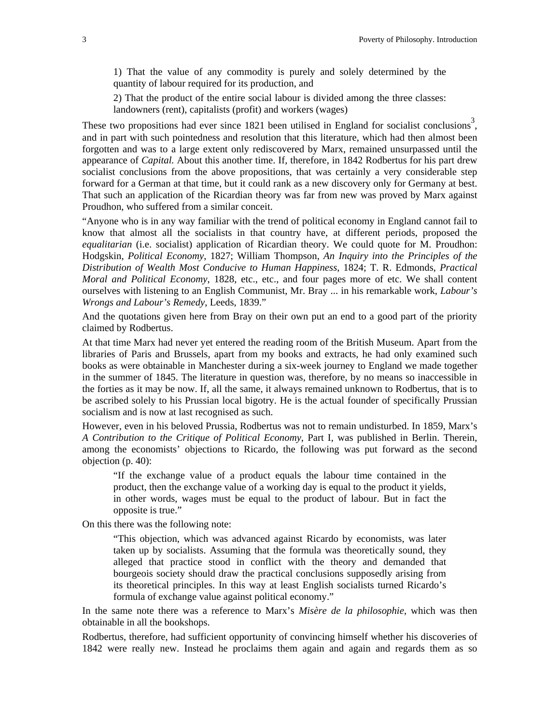1) That the value of any commodity is purely and solely determined by the quantity of labour required for its production, and

2) That the product of the entire social labour is divided among the three classes: landowners (rent), capitalists (profit) and workers (wages)

These two propositions had ever since 1821 been utilised in England for socialist conclusions<sup>3</sup>, and in part with such pointedness and resolution that this literature, which had then almost been forgotten and was to a large extent only rediscovered by Marx, remained unsurpassed until the appearance of *Capital.* About this another time. If, therefore, in 1842 Rodbertus for his part drew socialist conclusions from the above propositions, that was certainly a very considerable step forward for a German at that time, but it could rank as a new discovery only for Germany at best. That such an application of the Ricardian theory was far from new was proved by Marx against Proudhon, who suffered from a similar conceit.

"Anyone who is in any way familiar with the trend of political economy in England cannot fail to know that almost all the socialists in that country have, at different periods, proposed the *equalitarian* (i.e. socialist) application of Ricardian theory. We could quote for M. Proudhon: Hodgskin, *Political Economy*, 1827; William Thompson, *An Inquiry into the Principles of the Distribution of Wealth Most Conducive to Human Happiness*, 1824; T. R. Edmonds, *Practical Moral and Political Economy*, 1828, etc., etc., and four pages more of etc. We shall content ourselves with listening to an English Communist, Mr. Bray ... in his remarkable work, *Labour's Wrongs and Labour's Remedy*, Leeds, 1839."

And the quotations given here from Bray on their own put an end to a good part of the priority claimed by Rodbertus.

At that time Marx had never yet entered the reading room of the British Museum. Apart from the libraries of Paris and Brussels, apart from my books and extracts, he had only examined such books as were obtainable in Manchester during a six-week journey to England we made together in the summer of 1845. The literature in question was, therefore, by no means so inaccessible in the forties as it may be now. If, all the same, it always remained unknown to Rodbertus, that is to be ascribed solely to his Prussian local bigotry. He is the actual founder of specifically Prussian socialism and is now at last recognised as such.

However, even in his beloved Prussia, Rodbertus was not to remain undisturbed. In 1859, Marx's *A Contribution to the Critique of Political Economy*, Part I, was published in Berlin. Therein, among the economists' objections to Ricardo, the following was put forward as the second objection (p. 40):

"If the exchange value of a product equals the labour time contained in the product, then the exchange value of a working day is equal to the product it yields, in other words, wages must be equal to the product of labour. But in fact the opposite is true."

On this there was the following note:

"This objection, which was advanced against Ricardo by economists, was later taken up by socialists. Assuming that the formula was theoretically sound, they alleged that practice stood in conflict with the theory and demanded that bourgeois society should draw the practical conclusions supposedly arising from its theoretical principles. In this way at least English socialists turned Ricardo's formula of exchange value against political economy."

In the same note there was a reference to Marx's *Misère de la philosophie*, which was then obtainable in all the bookshops.

Rodbertus, therefore, had sufficient opportunity of convincing himself whether his discoveries of 1842 were really new. Instead he proclaims them again and again and regards them as so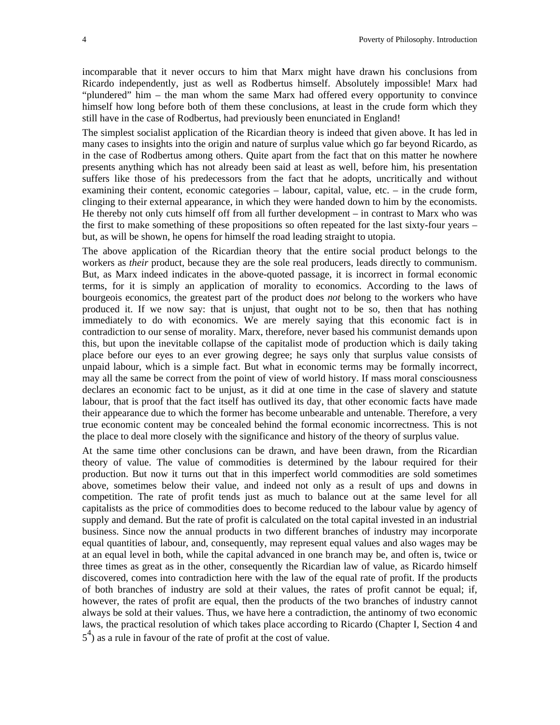incomparable that it never occurs to him that Marx might have drawn his conclusions from Ricardo independently, just as well as Rodbertus himself. Absolutely impossible! Marx had "plundered" him – the man whom the same Marx had offered every opportunity to convince himself how long before both of them these conclusions, at least in the crude form which they still have in the case of Rodbertus, had previously been enunciated in England!

The simplest socialist application of the Ricardian theory is indeed that given above. It has led in many cases to insights into the origin and nature of surplus value which go far beyond Ricardo, as in the case of Rodbertus among others. Quite apart from the fact that on this matter he nowhere presents anything which has not already been said at least as well, before him, his presentation suffers like those of his predecessors from the fact that he adopts, uncritically and without examining their content, economic categories – labour, capital, value, etc. – in the crude form, clinging to their external appearance, in which they were handed down to him by the economists. He thereby not only cuts himself off from all further development – in contrast to Marx who was the first to make something of these propositions so often repeated for the last sixty-four years – but, as will be shown, he opens for himself the road leading straight to utopia.

The above application of the Ricardian theory that the entire social product belongs to the workers as *their* product, because they are the sole real producers, leads directly to communism. But, as Marx indeed indicates in the above-quoted passage, it is incorrect in formal economic terms, for it is simply an application of morality to economics. According to the laws of bourgeois economics, the greatest part of the product does *not* belong to the workers who have produced it. If we now say: that is unjust, that ought not to be so, then that has nothing immediately to do with economics. We are merely saying that this economic fact is in contradiction to our sense of morality. Marx, therefore, never based his communist demands upon this, but upon the inevitable collapse of the capitalist mode of production which is daily taking place before our eyes to an ever growing degree; he says only that surplus value consists of unpaid labour, which is a simple fact. But what in economic terms may be formally incorrect, may all the same be correct from the point of view of world history. If mass moral consciousness declares an economic fact to be unjust, as it did at one time in the case of slavery and statute labour, that is proof that the fact itself has outlived its day, that other economic facts have made their appearance due to which the former has become unbearable and untenable. Therefore, a very true economic content may be concealed behind the formal economic incorrectness. This is not the place to deal more closely with the significance and history of the theory of surplus value.

At the same time other conclusions can be drawn, and have been drawn, from the Ricardian theory of value. The value of commodities is determined by the labour required for their production. But now it turns out that in this imperfect world commodities are sold sometimes above, sometimes below their value, and indeed not only as a result of ups and downs in competition. The rate of profit tends just as much to balance out at the same level for all capitalists as the price of commodities does to become reduced to the labour value by agency of supply and demand. But the rate of profit is calculated on the total capital invested in an industrial business. Since now the annual products in two different branches of industry may incorporate equal quantities of labour, and, consequently, may represent equal values and also wages may be at an equal level in both, while the capital advanced in one branch may be, and often is, twice or three times as great as in the other, consequently the Ricardian law of value, as Ricardo himself discovered, comes into contradiction here with the law of the equal rate of profit. If the products of both branches of industry are sold at their values, the rates of profit cannot be equal; if, however, the rates of profit are equal, then the products of the two branches of industry cannot always be sold at their values. Thus, we have here a contradiction, the antinomy of two economic laws, the practical resolution of which takes place according to Ricardo (Chapter I, Section 4 and 5 4 ) as a rule in favour of the rate of profit at the cost of value.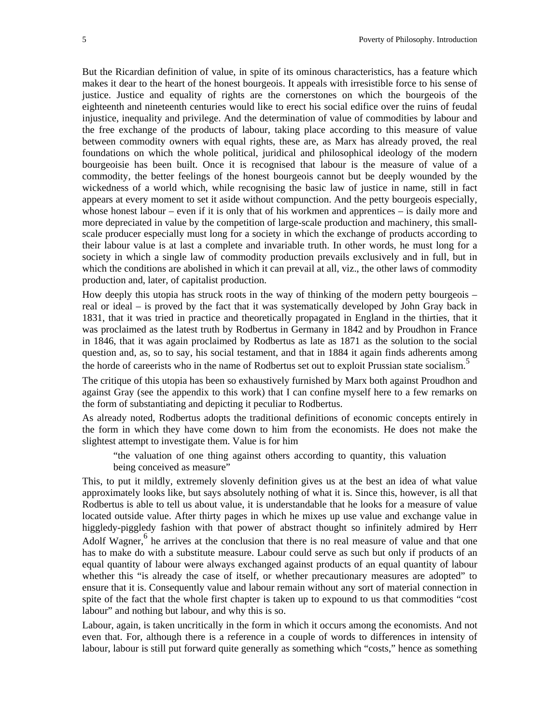But the Ricardian definition of value, in spite of its ominous characteristics, has a feature which makes it dear to the heart of the honest bourgeois. It appeals with irresistible force to his sense of justice. Justice and equality of rights are the cornerstones on which the bourgeois of the eighteenth and nineteenth centuries would like to erect his social edifice over the ruins of feudal injustice, inequality and privilege. And the determination of value of commodities by labour and the free exchange of the products of labour, taking place according to this measure of value between commodity owners with equal rights, these are, as Marx has already proved, the real foundations on which the whole political, juridical and philosophical ideology of the modern bourgeoisie has been built. Once it is recognised that labour is the measure of value of a commodity, the better feelings of the honest bourgeois cannot but be deeply wounded by the wickedness of a world which, while recognising the basic law of justice in name, still in fact appears at every moment to set it aside without compunction. And the petty bourgeois especially, whose honest labour – even if it is only that of his workmen and apprentices – is daily more and more depreciated in value by the competition of large-scale production and machinery, this smallscale producer especially must long for a society in which the exchange of products according to their labour value is at last a complete and invariable truth. In other words, he must long for a society in which a single law of commodity production prevails exclusively and in full, but in which the conditions are abolished in which it can prevail at all, viz., the other laws of commodity production and, later, of capitalist production.

How deeply this utopia has struck roots in the way of thinking of the modern petty bourgeois – real or ideal – is proved by the fact that it was systematically developed by John Gray back in 1831, that it was tried in practice and theoretically propagated in England in the thirties, that it was proclaimed as the latest truth by Rodbertus in Germany in 1842 and by Proudhon in France in 1846, that it was again proclaimed by Rodbertus as late as 1871 as the solution to the social question and, as, so to say, his social testament, and that in 1884 it again finds adherents among the horde of careerists who in the name of Rodbertus set out to exploit Prussian state socialism.<sup>5</sup>

The critique of this utopia has been so exhaustively furnished by Marx both against Proudhon and against Gray (see the appendix to this work) that I can confine myself here to a few remarks on the form of substantiating and depicting it peculiar to Rodbertus.

As already noted, Rodbertus adopts the traditional definitions of economic concepts entirely in the form in which they have come down to him from the economists. He does not make the slightest attempt to investigate them. Value is for him

"the valuation of one thing against others according to quantity, this valuation being conceived as measure"

This, to put it mildly, extremely slovenly definition gives us at the best an idea of what value approximately looks like, but says absolutely nothing of what it is. Since this, however, is all that Rodbertus is able to tell us about value, it is understandable that he looks for a measure of value located outside value. After thirty pages in which he mixes up use value and exchange value in higgledy-piggledy fashion with that power of abstract thought so infinitely admired by Herr Adolf Wagner,  $\overset{\circ}{\mathbf{b}}$  he arrives at the conclusion that there is no real measure of value and that one has to make do with a substitute measure. Labour could serve as such but only if products of an equal quantity of labour were always exchanged against products of an equal quantity of labour whether this "is already the case of itself, or whether precautionary measures are adopted" to ensure that it is. Consequently value and labour remain without any sort of material connection in spite of the fact that the whole first chapter is taken up to expound to us that commodities "cost labour" and nothing but labour, and why this is so.

Labour, again, is taken uncritically in the form in which it occurs among the economists. And not even that. For, although there is a reference in a couple of words to differences in intensity of labour, labour is still put forward quite generally as something which "costs," hence as something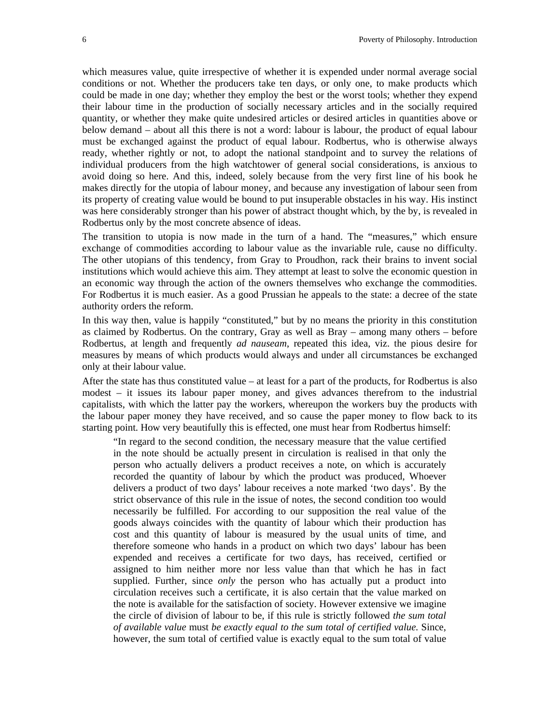which measures value, quite irrespective of whether it is expended under normal average social conditions or not. Whether the producers take ten days, or only one, to make products which could be made in one day; whether they employ the best or the worst tools; whether they expend their labour time in the production of socially necessary articles and in the socially required quantity, or whether they make quite undesired articles or desired articles in quantities above or below demand – about all this there is not a word: labour is labour, the product of equal labour must be exchanged against the product of equal labour. Rodbertus, who is otherwise always ready, whether rightly or not, to adopt the national standpoint and to survey the relations of individual producers from the high watchtower of general social considerations, is anxious to avoid doing so here. And this, indeed, solely because from the very first line of his book he makes directly for the utopia of labour money, and because any investigation of labour seen from its property of creating value would be bound to put insuperable obstacles in his way. His instinct was here considerably stronger than his power of abstract thought which, by the by, is revealed in Rodbertus only by the most concrete absence of ideas.

The transition to utopia is now made in the turn of a hand. The "measures," which ensure exchange of commodities according to labour value as the invariable rule, cause no difficulty. The other utopians of this tendency, from Gray to Proudhon, rack their brains to invent social institutions which would achieve this aim. They attempt at least to solve the economic question in an economic way through the action of the owners themselves who exchange the commodities. For Rodbertus it is much easier. As a good Prussian he appeals to the state: a decree of the state authority orders the reform.

In this way then, value is happily "constituted," but by no means the priority in this constitution as claimed by Rodbertus. On the contrary, Gray as well as Bray – among many others – before Rodbertus, at length and frequently *ad nauseam*, repeated this idea, viz. the pious desire for measures by means of which products would always and under all circumstances be exchanged only at their labour value.

After the state has thus constituted value – at least for a part of the products, for Rodbertus is also modest – it issues its labour paper money, and gives advances therefrom to the industrial capitalists, with which the latter pay the workers, whereupon the workers buy the products with the labour paper money they have received, and so cause the paper money to flow back to its starting point. How very beautifully this is effected, one must hear from Rodbertus himself:

"In regard to the second condition, the necessary measure that the value certified in the note should be actually present in circulation is realised in that only the person who actually delivers a product receives a note, on which is accurately recorded the quantity of labour by which the product was produced, Whoever delivers a product of two days' labour receives a note marked 'two days'. By the strict observance of this rule in the issue of notes, the second condition too would necessarily be fulfilled. For according to our supposition the real value of the goods always coincides with the quantity of labour which their production has cost and this quantity of labour is measured by the usual units of time, and therefore someone who hands in a product on which two days' labour has been expended and receives a certificate for two days, has received, certified or assigned to him neither more nor less value than that which he has in fact supplied. Further, since *only* the person who has actually put a product into circulation receives such a certificate, it is also certain that the value marked on the note is available for the satisfaction of society. However extensive we imagine the circle of division of labour to be, if this rule is strictly followed *the sum total of available value* must *be exactly equal to the sum total of certified value.* Since, however, the sum total of certified value is exactly equal to the sum total of value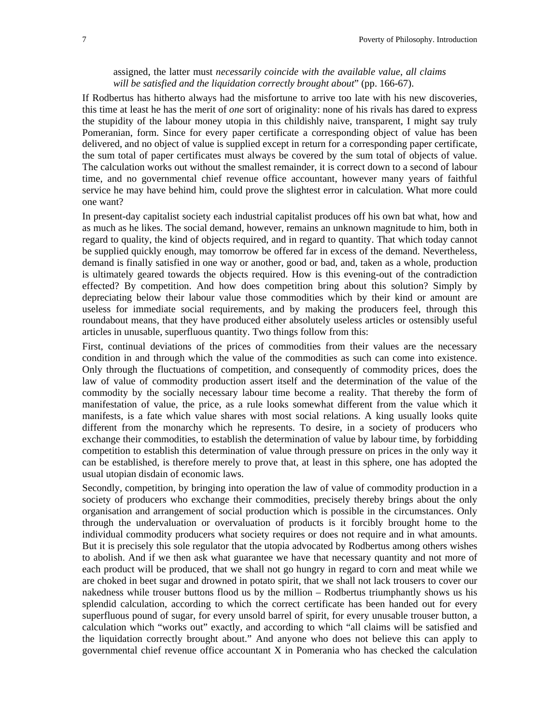#### assigned, the latter must *necessarily coincide with the available value, all claims will be satisfied and the liquidation correctly brought about*" (pp. 166-67).

If Rodbertus has hitherto always had the misfortune to arrive too late with his new discoveries, this time at least he has the merit of *one* sort of originality: none of his rivals has dared to express the stupidity of the labour money utopia in this childishly naive, transparent, I might say truly Pomeranian, form. Since for every paper certificate a corresponding object of value has been delivered, and no object of value is supplied except in return for a corresponding paper certificate, the sum total of paper certificates must always be covered by the sum total of objects of value. The calculation works out without the smallest remainder, it is correct down to a second of labour time, and no governmental chief revenue office accountant, however many years of faithful service he may have behind him, could prove the slightest error in calculation. What more could one want?

In present-day capitalist society each industrial capitalist produces off his own bat what, how and as much as he likes. The social demand, however, remains an unknown magnitude to him, both in regard to quality, the kind of objects required, and in regard to quantity. That which today cannot be supplied quickly enough, may tomorrow be offered far in excess of the demand. Nevertheless, demand is finally satisfied in one way or another, good or bad, and, taken as a whole, production is ultimately geared towards the objects required. How is this evening-out of the contradiction effected? By competition. And how does competition bring about this solution? Simply by depreciating below their labour value those commodities which by their kind or amount are useless for immediate social requirements, and by making the producers feel, through this roundabout means, that they have produced either absolutely useless articles or ostensibly useful articles in unusable, superfluous quantity. Two things follow from this:

First, continual deviations of the prices of commodities from their values are the necessary condition in and through which the value of the commodities as such can come into existence. Only through the fluctuations of competition, and consequently of commodity prices, does the law of value of commodity production assert itself and the determination of the value of the commodity by the socially necessary labour time become a reality. That thereby the form of manifestation of value, the price, as a rule looks somewhat different from the value which it manifests, is a fate which value shares with most social relations. A king usually looks quite different from the monarchy which he represents. To desire, in a society of producers who exchange their commodities, to establish the determination of value by labour time, by forbidding competition to establish this determination of value through pressure on prices in the only way it can be established, is therefore merely to prove that, at least in this sphere, one has adopted the usual utopian disdain of economic laws.

Secondly, competition, by bringing into operation the law of value of commodity production in a society of producers who exchange their commodities, precisely thereby brings about the only organisation and arrangement of social production which is possible in the circumstances. Only through the undervaluation or overvaluation of products is it forcibly brought home to the individual commodity producers what society requires or does not require and in what amounts. But it is precisely this sole regulator that the utopia advocated by Rodbertus among others wishes to abolish. And if we then ask what guarantee we have that necessary quantity and not more of each product will be produced, that we shall not go hungry in regard to corn and meat while we are choked in beet sugar and drowned in potato spirit, that we shall not lack trousers to cover our nakedness while trouser buttons flood us by the million – Rodbertus triumphantly shows us his splendid calculation, according to which the correct certificate has been handed out for every superfluous pound of sugar, for every unsold barrel of spirit, for every unusable trouser button, a calculation which "works out" exactly, and according to which "all claims will be satisfied and the liquidation correctly brought about." And anyone who does not believe this can apply to governmental chief revenue office accountant X in Pomerania who has checked the calculation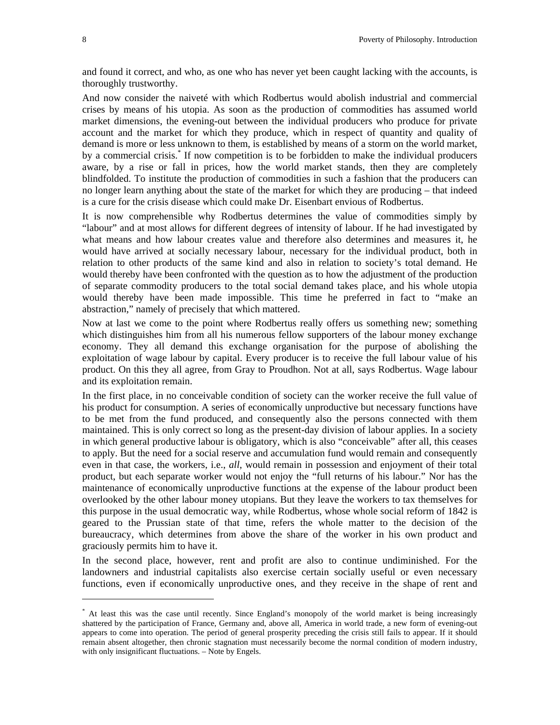and found it correct, and who, as one who has never yet been caught lacking with the accounts, is thoroughly trustworthy.

And now consider the naiveté with which Rodbertus would abolish industrial and commercial crises by means of his utopia. As soon as the production of commodities has assumed world market dimensions, the evening-out between the individual producers who produce for private account and the market for which they produce, which in respect of quantity and quality of demand is more or less unknown to them, is established by means of a storm on the world market, by a commercial crisis.\* If now competition is to be forbidden to make the individual producers aware, by a rise or fall in prices, how the world market stands, then they are completely blindfolded. To institute the production of commodities in such a fashion that the producers can no longer learn anything about the state of the market for which they are producing – that indeed is a cure for the crisis disease which could make Dr. Eisenbart envious of Rodbertus.

It is now comprehensible why Rodbertus determines the value of commodities simply by "labour" and at most allows for different degrees of intensity of labour. If he had investigated by what means and how labour creates value and therefore also determines and measures it, he would have arrived at socially necessary labour, necessary for the individual product, both in relation to other products of the same kind and also in relation to society's total demand. He would thereby have been confronted with the question as to how the adjustment of the production of separate commodity producers to the total social demand takes place, and his whole utopia would thereby have been made impossible. This time he preferred in fact to "make an abstraction," namely of precisely that which mattered.

Now at last we come to the point where Rodbertus really offers us something new; something which distinguishes him from all his numerous fellow supporters of the labour money exchange economy. They all demand this exchange organisation for the purpose of abolishing the exploitation of wage labour by capital. Every producer is to receive the full labour value of his product. On this they all agree, from Gray to Proudhon. Not at all, says Rodbertus. Wage labour and its exploitation remain.

In the first place, in no conceivable condition of society can the worker receive the full value of his product for consumption. A series of economically unproductive but necessary functions have to be met from the fund produced, and consequently also the persons connected with them maintained. This is only correct so long as the present-day division of labour applies. In a society in which general productive labour is obligatory, which is also "conceivable" after all, this ceases to apply. But the need for a social reserve and accumulation fund would remain and consequently even in that case, the workers, i.e., *all*, would remain in possession and enjoyment of their total product, but each separate worker would not enjoy the "full returns of his labour." Nor has the maintenance of economically unproductive functions at the expense of the labour product been overlooked by the other labour money utopians. But they leave the workers to tax themselves for this purpose in the usual democratic way, while Rodbertus, whose whole social reform of 1842 is geared to the Prussian state of that time, refers the whole matter to the decision of the bureaucracy, which determines from above the share of the worker in his own product and graciously permits him to have it.

In the second place, however, rent and profit are also to continue undiminished. For the landowners and industrial capitalists also exercise certain socially useful or even necessary functions, even if economically unproductive ones, and they receive in the shape of rent and

-

<sup>\*</sup> At least this was the case until recently. Since England's monopoly of the world market is being increasingly shattered by the participation of France, Germany and, above all, America in world trade, a new form of evening-out appears to come into operation. The period of general prosperity preceding the crisis still fails to appear. If it should remain absent altogether, then chronic stagnation must necessarily become the normal condition of modern industry, with only insignificant fluctuations. – Note by Engels.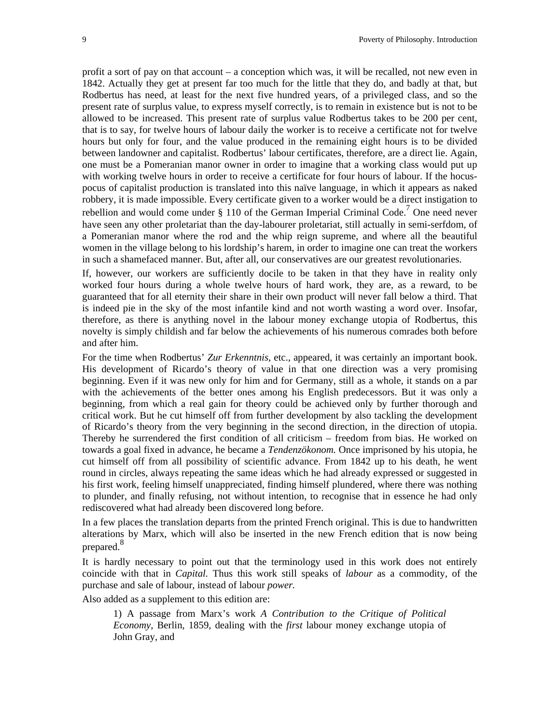profit a sort of pay on that account – a conception which was, it will be recalled, not new even in 1842. Actually they get at present far too much for the little that they do, and badly at that, but Rodbertus has need, at least for the next five hundred years, of a privileged class, and so the present rate of surplus value, to express myself correctly, is to remain in existence but is not to be allowed to be increased. This present rate of surplus value Rodbertus takes to be 200 per cent, that is to say, for twelve hours of labour daily the worker is to receive a certificate not for twelve hours but only for four, and the value produced in the remaining eight hours is to be divided between landowner and capitalist. Rodbertus' labour certificates, therefore, are a direct lie. Again, one must be a Pomeranian manor owner in order to imagine that a working class would put up with working twelve hours in order to receive a certificate for four hours of labour. If the hocuspocus of capitalist production is translated into this naïve language, in which it appears as naked robbery, it is made impossible. Every certificate given to a worker would be a direct instigation to rebellion and would come under § 110 of the German Imperial Criminal Code.<sup>7</sup> One need never have seen any other proletariat than the day-labourer proletariat, still actually in semi-serfdom, of a Pomeranian manor where the rod and the whip reign supreme, and where all the beautiful women in the village belong to his lordship's harem, in order to imagine one can treat the workers in such a shamefaced manner. But, after all, our conservatives are our greatest revolutionaries.

If, however, our workers are sufficiently docile to be taken in that they have in reality only worked four hours during a whole twelve hours of hard work, they are, as a reward, to be guaranteed that for all eternity their share in their own product will never fall below a third. That is indeed pie in the sky of the most infantile kind and not worth wasting a word over. Insofar, therefore, as there is anything novel in the labour money exchange utopia of Rodbertus, this novelty is simply childish and far below the achievements of his numerous comrades both before and after him.

For the time when Rodbertus' *Zur Erkenntnis*, etc., appeared, it was certainly an important book. His development of Ricardo's theory of value in that one direction was a very promising beginning. Even if it was new only for him and for Germany, still as a whole, it stands on a par with the achievements of the better ones among his English predecessors. But it was only a beginning, from which a real gain for theory could be achieved only by further thorough and critical work. But he cut himself off from further development by also tackling the development of Ricardo's theory from the very beginning in the second direction, in the direction of utopia. Thereby he surrendered the first condition of all criticism – freedom from bias. He worked on towards a goal fixed in advance, he became a *Tendenzökonom.* Once imprisoned by his utopia, he cut himself off from all possibility of scientific advance. From 1842 up to his death, he went round in circles, always repeating the same ideas which he had already expressed or suggested in his first work, feeling himself unappreciated, finding himself plundered, where there was nothing to plunder, and finally refusing, not without intention, to recognise that in essence he had only rediscovered what had already been discovered long before.

In a few places the translation departs from the printed French original. This is due to handwritten alterations by Marx, which will also be inserted in the new French edition that is now being prepared.<sup>8</sup>

It is hardly necessary to point out that the terminology used in this work does not entirely coincide with that in *Capital.* Thus this work still speaks of *labour* as a commodity, of the purchase and sale of labour, instead of labour *power.*

Also added as a supplement to this edition are:

1) A passage from Marx's work *A Contribution to the Critique of Political Economy*, Berlin, 1859, dealing with the *first* labour money exchange utopia of John Gray, and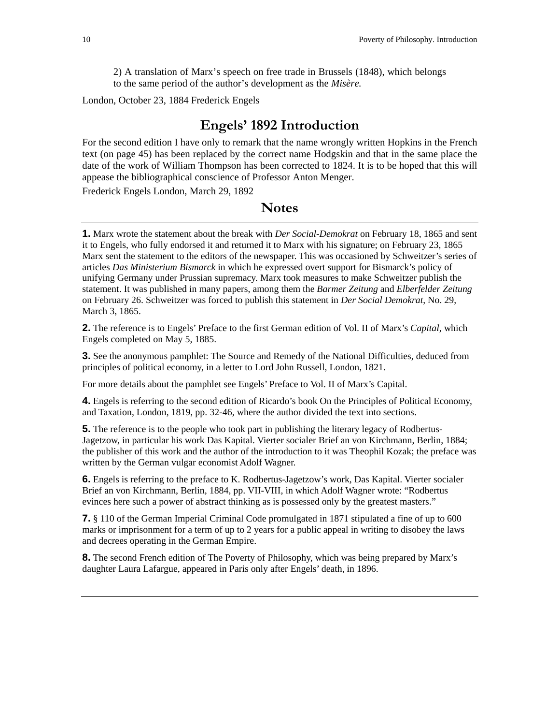2) A translation of Marx's speech on free trade in Brussels (1848), which belongs to the same period of the author's development as the *Misère.*

London, October 23, 1884 Frederick Engels

# **Engels' 1892 Introduction**

For the second edition I have only to remark that the name wrongly written Hopkins in the French text (on page 45) has been replaced by the correct name Hodgskin and that in the same place the date of the work of William Thompson has been corrected to 1824. It is to be hoped that this will appease the bibliographical conscience of Professor Anton Menger.

Frederick Engels London, March 29, 1892

# **Notes**

**1.** Marx wrote the statement about the break with *Der Social-Demokrat* on February 18, 1865 and sent it to Engels, who fully endorsed it and returned it to Marx with his signature; on February 23, 1865 Marx sent the statement to the editors of the newspaper. This was occasioned by Schweitzer's series of articles *Das Ministerium Bismarck* in which he expressed overt support for Bismarck's policy of unifying Germany under Prussian supremacy. Marx took measures to make Schweitzer publish the statement. It was published in many papers, among them the *Barmer Zeitung* and *Elberfelder Zeitung* on February 26. Schweitzer was forced to publish this statement in *Der Social Demokrat*, No. 29, March 3, 1865.

**2.** The reference is to Engels' Preface to the first German edition of Vol. II of Marx's *Capital*, which Engels completed on May 5, 1885.

**3.** See the anonymous pamphlet: The Source and Remedy of the National Difficulties, deduced from principles of political economy, in a letter to Lord John Russell, London, 1821.

For more details about the pamphlet see Engels' Preface to Vol. II of Marx's Capital.

**4.** Engels is referring to the second edition of Ricardo's book On the Principles of Political Economy, and Taxation, London, 1819, pp. 32-46, where the author divided the text into sections.

**5.** The reference is to the people who took part in publishing the literary legacy of Rodbertus-Jagetzow, in particular his work Das Kapital. Vierter socialer Brief an von Kirchmann, Berlin, 1884; the publisher of this work and the author of the introduction to it was Theophil Kozak; the preface was written by the German vulgar economist Adolf Wagner.

**6.** Engels is referring to the preface to K. Rodbertus-Jagetzow's work, Das Kapital. Vierter socialer Brief an von Kirchmann, Berlin, 1884, pp. VII-VIII, in which Adolf Wagner wrote: "Rodbertus evinces here such a power of abstract thinking as is possessed only by the greatest masters."

**7.** § 110 of the German Imperial Criminal Code promulgated in 1871 stipulated a fine of up to 600 marks or imprisonment for a term of up to 2 years for a public appeal in writing to disobey the laws and decrees operating in the German Empire.

**8.** The second French edition of The Poverty of Philosophy, which was being prepared by Marx's daughter Laura Lafargue, appeared in Paris only after Engels' death, in 1896.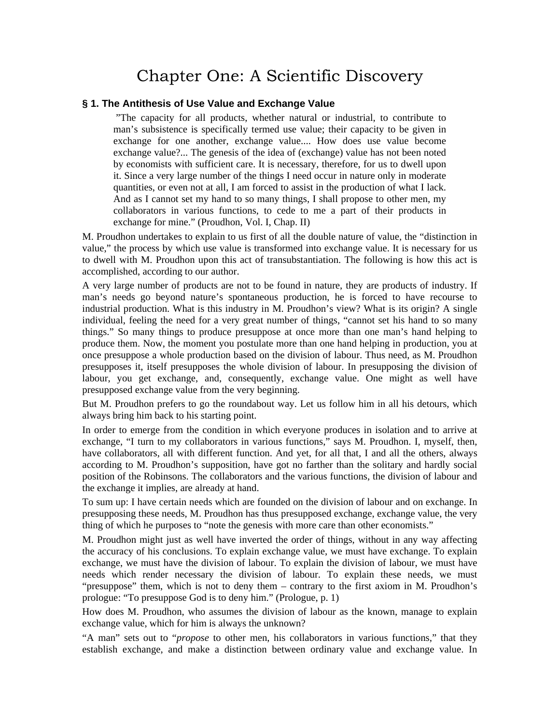# Chapter One: A Scientific Discovery

#### **§ 1. The Antithesis of Use Value and Exchange Value**

 "The capacity for all products, whether natural or industrial, to contribute to man's subsistence is specifically termed use value; their capacity to be given in exchange for one another, exchange value.... How does use value become exchange value?... The genesis of the idea of (exchange) value has not been noted by economists with sufficient care. It is necessary, therefore, for us to dwell upon it. Since a very large number of the things I need occur in nature only in moderate quantities, or even not at all, I am forced to assist in the production of what I lack. And as I cannot set my hand to so many things, I shall propose to other men, my collaborators in various functions, to cede to me a part of their products in exchange for mine." (Proudhon, Vol. I, Chap. II)

M. Proudhon undertakes to explain to us first of all the double nature of value, the "distinction in value," the process by which use value is transformed into exchange value. It is necessary for us to dwell with M. Proudhon upon this act of transubstantiation. The following is how this act is accomplished, according to our author.

A very large number of products are not to be found in nature, they are products of industry. If man's needs go beyond nature's spontaneous production, he is forced to have recourse to industrial production. What is this industry in M. Proudhon's view? What is its origin? A single individual, feeling the need for a very great number of things, "cannot set his hand to so many things." So many things to produce presuppose at once more than one man's hand helping to produce them. Now, the moment you postulate more than one hand helping in production, you at once presuppose a whole production based on the division of labour. Thus need, as M. Proudhon presupposes it, itself presupposes the whole division of labour. In presupposing the division of labour, you get exchange, and, consequently, exchange value. One might as well have presupposed exchange value from the very beginning.

But M. Proudhon prefers to go the roundabout way. Let us follow him in all his detours, which always bring him back to his starting point.

In order to emerge from the condition in which everyone produces in isolation and to arrive at exchange, "I turn to my collaborators in various functions," says M. Proudhon. I, myself, then, have collaborators, all with different function. And yet, for all that, I and all the others, always according to M. Proudhon's supposition, have got no farther than the solitary and hardly social position of the Robinsons. The collaborators and the various functions, the division of labour and the exchange it implies, are already at hand.

To sum up: I have certain needs which are founded on the division of labour and on exchange. In presupposing these needs, M. Proudhon has thus presupposed exchange, exchange value, the very thing of which he purposes to "note the genesis with more care than other economists."

M. Proudhon might just as well have inverted the order of things, without in any way affecting the accuracy of his conclusions. To explain exchange value, we must have exchange. To explain exchange, we must have the division of labour. To explain the division of labour, we must have needs which render necessary the division of labour. To explain these needs, we must "presuppose" them, which is not to deny them – contrary to the first axiom in M. Proudhon's prologue: "To presuppose God is to deny him." (Prologue, p. 1)

How does M. Proudhon, who assumes the division of labour as the known, manage to explain exchange value, which for him is always the unknown?

"A man" sets out to "*propose* to other men, his collaborators in various functions," that they establish exchange, and make a distinction between ordinary value and exchange value. In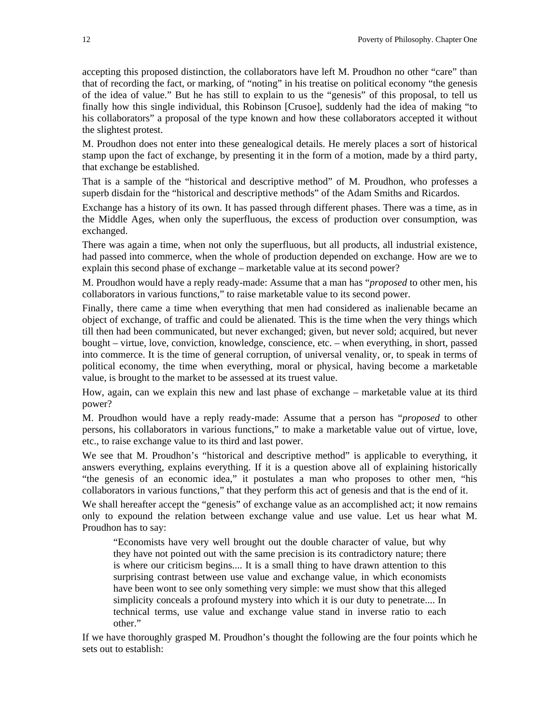accepting this proposed distinction, the collaborators have left M. Proudhon no other "care" than that of recording the fact, or marking, of "noting" in his treatise on political economy "the genesis of the idea of value." But he has still to explain to us the "genesis" of this proposal, to tell us finally how this single individual, this Robinson [Crusoe], suddenly had the idea of making "to his collaborators" a proposal of the type known and how these collaborators accepted it without the slightest protest.

M. Proudhon does not enter into these genealogical details. He merely places a sort of historical stamp upon the fact of exchange, by presenting it in the form of a motion, made by a third party, that exchange be established.

That is a sample of the "historical and descriptive method" of M. Proudhon, who professes a superb disdain for the "historical and descriptive methods" of the Adam Smiths and Ricardos.

Exchange has a history of its own. It has passed through different phases. There was a time, as in the Middle Ages, when only the superfluous, the excess of production over consumption, was exchanged.

There was again a time, when not only the superfluous, but all products, all industrial existence, had passed into commerce, when the whole of production depended on exchange. How are we to explain this second phase of exchange – marketable value at its second power?

M. Proudhon would have a reply ready-made: Assume that a man has "*proposed* to other men, his collaborators in various functions," to raise marketable value to its second power.

Finally, there came a time when everything that men had considered as inalienable became an object of exchange, of traffic and could be alienated. This is the time when the very things which till then had been communicated, but never exchanged; given, but never sold; acquired, but never bought – virtue, love, conviction, knowledge, conscience, etc. – when everything, in short, passed into commerce. It is the time of general corruption, of universal venality, or, to speak in terms of political economy, the time when everything, moral or physical, having become a marketable value, is brought to the market to be assessed at its truest value.

How, again, can we explain this new and last phase of exchange – marketable value at its third power?

M. Proudhon would have a reply ready-made: Assume that a person has "*proposed* to other persons, his collaborators in various functions," to make a marketable value out of virtue, love, etc., to raise exchange value to its third and last power.

We see that M. Proudhon's "historical and descriptive method" is applicable to everything, it answers everything, explains everything. If it is a question above all of explaining historically "the genesis of an economic idea," it postulates a man who proposes to other men, "his collaborators in various functions," that they perform this act of genesis and that is the end of it.

We shall hereafter accept the "genesis" of exchange value as an accomplished act; it now remains only to expound the relation between exchange value and use value. Let us hear what M. Proudhon has to say:

"Economists have very well brought out the double character of value, but why they have not pointed out with the same precision is its contradictory nature; there is where our criticism begins.... It is a small thing to have drawn attention to this surprising contrast between use value and exchange value, in which economists have been wont to see only something very simple: we must show that this alleged simplicity conceals a profound mystery into which it is our duty to penetrate.... In technical terms, use value and exchange value stand in inverse ratio to each other."

If we have thoroughly grasped M. Proudhon's thought the following are the four points which he sets out to establish: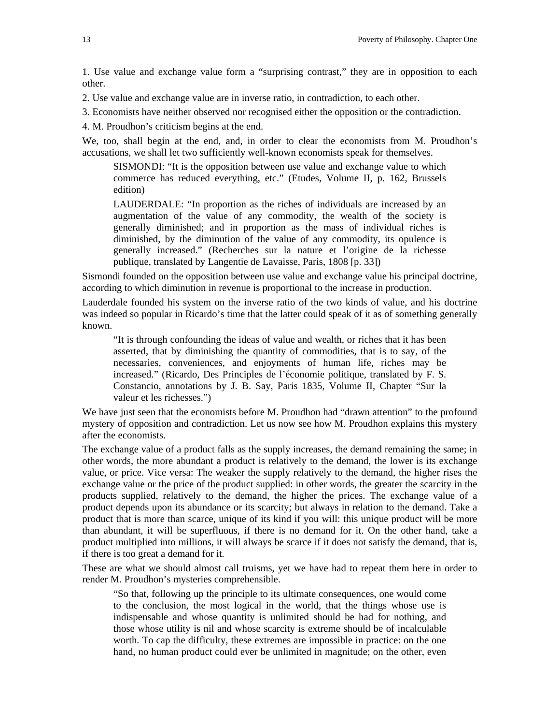1. Use value and exchange value form a "surprising contrast," they are in opposition to each other.

2. Use value and exchange value are in inverse ratio, in contradiction, to each other.

3. Economists have neither observed nor recognised either the opposition or the contradiction.

4. M. Proudhon's criticism begins at the end.

We, too, shall begin at the end, and, in order to clear the economists from M. Proudhon's accusations, we shall let two sufficiently well-known economists speak for themselves.

SISMONDI: "It is the opposition between use value and exchange value to which commerce has reduced everything, etc." (Etudes, Volume II, p. 162, Brussels edition)

LAUDERDALE: "In proportion as the riches of individuals are increased by an augmentation of the value of any commodity, the wealth of the society is generally diminished; and in proportion as the mass of individual riches is diminished, by the diminution of the value of any commodity, its opulence is generally increased." (Recherches sur la nature et l'origine de la richesse publique, translated by Langentie de Lavaisse, Paris, 1808 [p. 33])

Sismondi founded on the opposition between use value and exchange value his principal doctrine, according to which diminution in revenue is proportional to the increase in production.

Lauderdale founded his system on the inverse ratio of the two kinds of value, and his doctrine was indeed so popular in Ricardo's time that the latter could speak of it as of something generally known.

"It is through confounding the ideas of value and wealth, or riches that it has been asserted, that by diminishing the quantity of commodities, that is to say, of the necessaries, conveniences, and enjoyments of human life, riches may be increased." (Ricardo, Des Principles de l'économie politique, translated by F. S. Constancio, annotations by J. B. Say, Paris 1835, Volume II, Chapter "Sur la valeur et les richesses.")

We have just seen that the economists before M. Proudhon had "drawn attention" to the profound mystery of opposition and contradiction. Let us now see how M. Proudhon explains this mystery after the economists.

The exchange value of a product falls as the supply increases, the demand remaining the same; in other words, the more abundant a product is relatively to the demand, the lower is its exchange value, or price. Vice versa: The weaker the supply relatively to the demand, the higher rises the exchange value or the price of the product supplied: in other words, the greater the scarcity in the products supplied, relatively to the demand, the higher the prices. The exchange value of a product depends upon its abundance or its scarcity; but always in relation to the demand. Take a product that is more than scarce, unique of its kind if you will: this unique product will be more than abundant, it will be superfluous, if there is no demand for it. On the other hand, take a product multiplied into millions, it will always be scarce if it does not satisfy the demand, that is, if there is too great a demand for it.

These are what we should almost call truisms, yet we have had to repeat them here in order to render M. Proudhon's mysteries comprehensible.

"So that, following up the principle to its ultimate consequences, one would come to the conclusion, the most logical in the world, that the things whose use is indispensable and whose quantity is unlimited should be had for nothing, and those whose utility is nil and whose scarcity is extreme should be of incalculable worth. To cap the difficulty, these extremes are impossible in practice: on the one hand, no human product could ever be unlimited in magnitude; on the other, even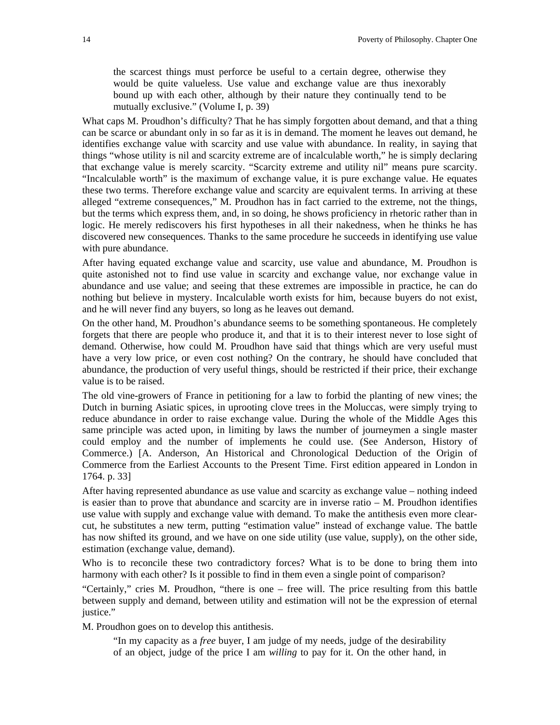the scarcest things must perforce be useful to a certain degree, otherwise they would be quite valueless. Use value and exchange value are thus inexorably bound up with each other, although by their nature they continually tend to be mutually exclusive." (Volume I, p. 39)

What caps M. Proudhon's difficulty? That he has simply forgotten about demand, and that a thing can be scarce or abundant only in so far as it is in demand. The moment he leaves out demand, he identifies exchange value with scarcity and use value with abundance. In reality, in saying that things "whose utility is nil and scarcity extreme are of incalculable worth," he is simply declaring that exchange value is merely scarcity. "Scarcity extreme and utility nil" means pure scarcity. "Incalculable worth" is the maximum of exchange value, it is pure exchange value. He equates these two terms. Therefore exchange value and scarcity are equivalent terms. In arriving at these alleged "extreme consequences," M. Proudhon has in fact carried to the extreme, not the things, but the terms which express them, and, in so doing, he shows proficiency in rhetoric rather than in logic. He merely rediscovers his first hypotheses in all their nakedness, when he thinks he has discovered new consequences. Thanks to the same procedure he succeeds in identifying use value with pure abundance.

After having equated exchange value and scarcity, use value and abundance, M. Proudhon is quite astonished not to find use value in scarcity and exchange value, nor exchange value in abundance and use value; and seeing that these extremes are impossible in practice, he can do nothing but believe in mystery. Incalculable worth exists for him, because buyers do not exist, and he will never find any buyers, so long as he leaves out demand.

On the other hand, M. Proudhon's abundance seems to be something spontaneous. He completely forgets that there are people who produce it, and that it is to their interest never to lose sight of demand. Otherwise, how could M. Proudhon have said that things which are very useful must have a very low price, or even cost nothing? On the contrary, he should have concluded that abundance, the production of very useful things, should be restricted if their price, their exchange value is to be raised.

The old vine-growers of France in petitioning for a law to forbid the planting of new vines; the Dutch in burning Asiatic spices, in uprooting clove trees in the Moluccas, were simply trying to reduce abundance in order to raise exchange value. During the whole of the Middle Ages this same principle was acted upon, in limiting by laws the number of journeymen a single master could employ and the number of implements he could use. (See Anderson, History of Commerce.) [A. Anderson, An Historical and Chronological Deduction of the Origin of Commerce from the Earliest Accounts to the Present Time. First edition appeared in London in 1764. p. 33]

After having represented abundance as use value and scarcity as exchange value – nothing indeed is easier than to prove that abundance and scarcity are in inverse ratio – M. Proudhon identifies use value with supply and exchange value with demand. To make the antithesis even more clearcut, he substitutes a new term, putting "estimation value" instead of exchange value. The battle has now shifted its ground, and we have on one side utility (use value, supply), on the other side, estimation (exchange value, demand).

Who is to reconcile these two contradictory forces? What is to be done to bring them into harmony with each other? Is it possible to find in them even a single point of comparison?

"Certainly," cries M. Proudhon, "there is one – free will. The price resulting from this battle between supply and demand, between utility and estimation will not be the expression of eternal justice."

M. Proudhon goes on to develop this antithesis.

"In my capacity as a *free* buyer, I am judge of my needs, judge of the desirability of an object, judge of the price I am *willing* to pay for it. On the other hand, in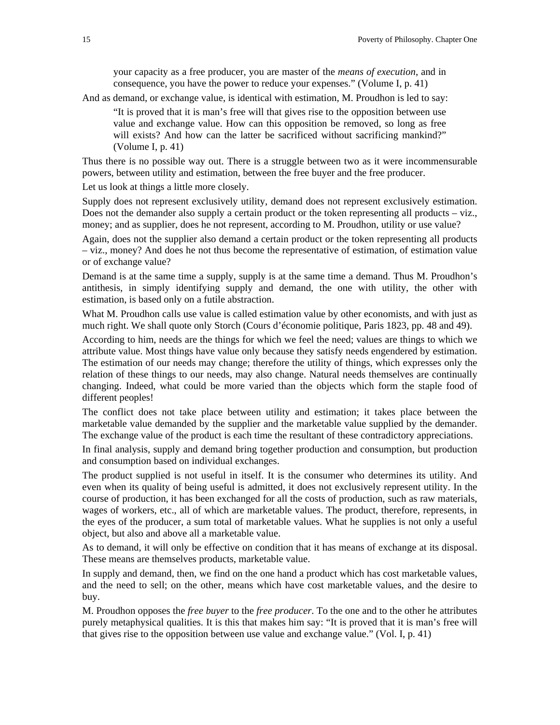your capacity as a free producer, you are master of the *means of execution*, and in consequence, you have the power to reduce your expenses." (Volume I, p. 41)

And as demand, or exchange value, is identical with estimation, M. Proudhon is led to say:

"It is proved that it is man's free will that gives rise to the opposition between use value and exchange value. How can this opposition be removed, so long as free will exists? And how can the latter be sacrificed without sacrificing mankind?" (Volume I, p. 41)

Thus there is no possible way out. There is a struggle between two as it were incommensurable powers, between utility and estimation, between the free buyer and the free producer.

Let us look at things a little more closely.

Supply does not represent exclusively utility, demand does not represent exclusively estimation. Does not the demander also supply a certain product or the token representing all products – viz., money; and as supplier, does he not represent, according to M. Proudhon, utility or use value?

Again, does not the supplier also demand a certain product or the token representing all products – viz., money? And does he not thus become the representative of estimation, of estimation value or of exchange value?

Demand is at the same time a supply, supply is at the same time a demand. Thus M. Proudhon's antithesis, in simply identifying supply and demand, the one with utility, the other with estimation, is based only on a futile abstraction.

What M. Proudhon calls use value is called estimation value by other economists, and with just as much right. We shall quote only Storch (Cours d'économie politique, Paris 1823, pp. 48 and 49).

According to him, needs are the things for which we feel the need; values are things to which we attribute value. Most things have value only because they satisfy needs engendered by estimation. The estimation of our needs may change; therefore the utility of things, which expresses only the relation of these things to our needs, may also change. Natural needs themselves are continually changing. Indeed, what could be more varied than the objects which form the staple food of different peoples!

The conflict does not take place between utility and estimation; it takes place between the marketable value demanded by the supplier and the marketable value supplied by the demander. The exchange value of the product is each time the resultant of these contradictory appreciations.

In final analysis, supply and demand bring together production and consumption, but production and consumption based on individual exchanges.

The product supplied is not useful in itself. It is the consumer who determines its utility. And even when its quality of being useful is admitted, it does not exclusively represent utility. In the course of production, it has been exchanged for all the costs of production, such as raw materials, wages of workers, etc., all of which are marketable values. The product, therefore, represents, in the eyes of the producer, a sum total of marketable values. What he supplies is not only a useful object, but also and above all a marketable value.

As to demand, it will only be effective on condition that it has means of exchange at its disposal. These means are themselves products, marketable value.

In supply and demand, then, we find on the one hand a product which has cost marketable values, and the need to sell; on the other, means which have cost marketable values, and the desire to buy.

M. Proudhon opposes the *free buyer* to the *free producer*. To the one and to the other he attributes purely metaphysical qualities. It is this that makes him say: "It is proved that it is man's free will that gives rise to the opposition between use value and exchange value." (Vol. I, p. 41)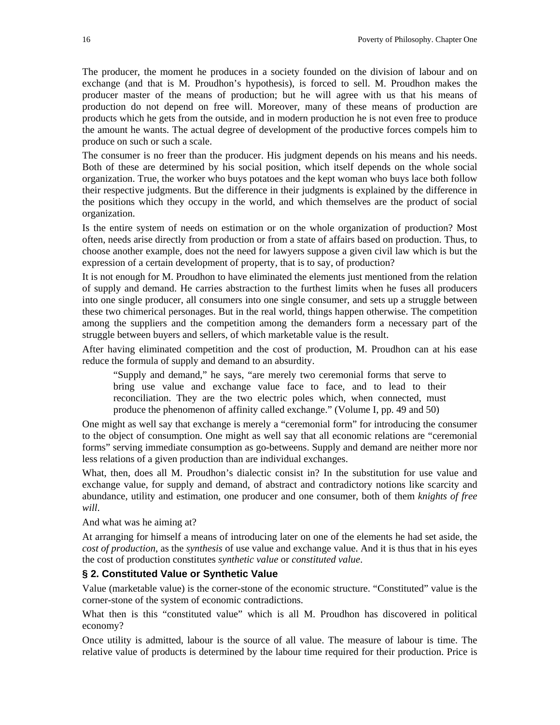The producer, the moment he produces in a society founded on the division of labour and on exchange (and that is M. Proudhon's hypothesis), is forced to sell. M. Proudhon makes the producer master of the means of production; but he will agree with us that his means of production do not depend on free will. Moreover, many of these means of production are products which he gets from the outside, and in modern production he is not even free to produce the amount he wants. The actual degree of development of the productive forces compels him to produce on such or such a scale.

The consumer is no freer than the producer. His judgment depends on his means and his needs. Both of these are determined by his social position, which itself depends on the whole social organization. True, the worker who buys potatoes and the kept woman who buys lace both follow their respective judgments. But the difference in their judgments is explained by the difference in the positions which they occupy in the world, and which themselves are the product of social organization.

Is the entire system of needs on estimation or on the whole organization of production? Most often, needs arise directly from production or from a state of affairs based on production. Thus, to choose another example, does not the need for lawyers suppose a given civil law which is but the expression of a certain development of property, that is to say, of production?

It is not enough for M. Proudhon to have eliminated the elements just mentioned from the relation of supply and demand. He carries abstraction to the furthest limits when he fuses all producers into one single producer, all consumers into one single consumer, and sets up a struggle between these two chimerical personages. But in the real world, things happen otherwise. The competition among the suppliers and the competition among the demanders form a necessary part of the struggle between buyers and sellers, of which marketable value is the result.

After having eliminated competition and the cost of production, M. Proudhon can at his ease reduce the formula of supply and demand to an absurdity.

"Supply and demand," he says, "are merely two ceremonial forms that serve to bring use value and exchange value face to face, and to lead to their reconciliation. They are the two electric poles which, when connected, must produce the phenomenon of affinity called exchange." (Volume I, pp. 49 and 50)

One might as well say that exchange is merely a "ceremonial form" for introducing the consumer to the object of consumption. One might as well say that all economic relations are "ceremonial forms" serving immediate consumption as go-betweens. Supply and demand are neither more nor less relations of a given production than are individual exchanges.

What, then, does all M. Proudhon's dialectic consist in? In the substitution for use value and exchange value, for supply and demand, of abstract and contradictory notions like scarcity and abundance, utility and estimation, one producer and one consumer, both of them *knights of free will*.

And what was he aiming at?

At arranging for himself a means of introducing later on one of the elements he had set aside, the *cost of production*, as the *synthesis* of use value and exchange value. And it is thus that in his eyes the cost of production constitutes *synthetic value* or *constituted value*.

#### **§ 2. Constituted Value or Synthetic Value**

Value (marketable value) is the corner-stone of the economic structure. "Constituted" value is the corner-stone of the system of economic contradictions.

What then is this "constituted value" which is all M. Proudhon has discovered in political economy?

Once utility is admitted, labour is the source of all value. The measure of labour is time. The relative value of products is determined by the labour time required for their production. Price is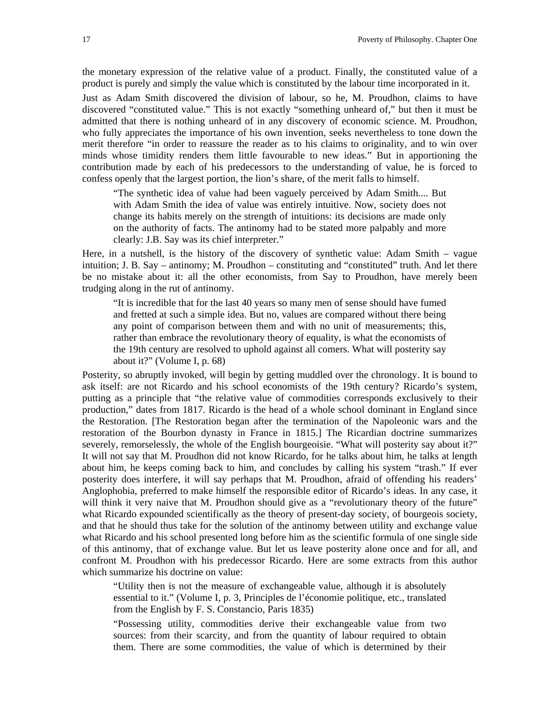the monetary expression of the relative value of a product. Finally, the constituted value of a product is purely and simply the value which is constituted by the labour time incorporated in it.

Just as Adam Smith discovered the division of labour, so he, M. Proudhon, claims to have discovered "constituted value." This is not exactly "something unheard of," but then it must be admitted that there is nothing unheard of in any discovery of economic science. M. Proudhon, who fully appreciates the importance of his own invention, seeks nevertheless to tone down the merit therefore "in order to reassure the reader as to his claims to originality, and to win over minds whose timidity renders them little favourable to new ideas." But in apportioning the contribution made by each of his predecessors to the understanding of value, he is forced to confess openly that the largest portion, the lion's share, of the merit falls to himself.

"The synthetic idea of value had been vaguely perceived by Adam Smith.... But with Adam Smith the idea of value was entirely intuitive. Now, society does not change its habits merely on the strength of intuitions: its decisions are made only on the authority of facts. The antinomy had to be stated more palpably and more clearly: J.B. Say was its chief interpreter."

Here, in a nutshell, is the history of the discovery of synthetic value: Adam Smith – vague intuition; J. B. Say – antinomy; M. Proudhon – constituting and "constituted" truth. And let there be no mistake about it: all the other economists, from Say to Proudhon, have merely been trudging along in the rut of antinomy.

"It is incredible that for the last 40 years so many men of sense should have fumed and fretted at such a simple idea. But no, values are compared without there being any point of comparison between them and with no unit of measurements; this, rather than embrace the revolutionary theory of equality, is what the economists of the 19th century are resolved to uphold against all comers. What will posterity say about it?" (Volume I, p. 68)

Posterity, so abruptly invoked, will begin by getting muddled over the chronology. It is bound to ask itself: are not Ricardo and his school economists of the 19th century? Ricardo's system, putting as a principle that "the relative value of commodities corresponds exclusively to their production," dates from 1817. Ricardo is the head of a whole school dominant in England since the Restoration. [The Restoration began after the termination of the Napoleonic wars and the restoration of the Bourbon dynasty in France in 1815.] The Ricardian doctrine summarizes severely, remorselessly, the whole of the English bourgeoisie. "What will posterity say about it?" It will not say that M. Proudhon did not know Ricardo, for he talks about him, he talks at length about him, he keeps coming back to him, and concludes by calling his system "trash." If ever posterity does interfere, it will say perhaps that M. Proudhon, afraid of offending his readers' Anglophobia, preferred to make himself the responsible editor of Ricardo's ideas. In any case, it will think it very naive that M. Proudhon should give as a "revolutionary theory of the future" what Ricardo expounded scientifically as the theory of present-day society, of bourgeois society, and that he should thus take for the solution of the antinomy between utility and exchange value what Ricardo and his school presented long before him as the scientific formula of one single side of this antinomy, that of exchange value. But let us leave posterity alone once and for all, and confront M. Proudhon with his predecessor Ricardo. Here are some extracts from this author which summarize his doctrine on value:

"Utility then is not the measure of exchangeable value, although it is absolutely essential to it." (Volume I, p. 3, Principles de l'économie politique, etc., translated from the English by F. S. Constancio, Paris 1835)

"Possessing utility, commodities derive their exchangeable value from two sources: from their scarcity, and from the quantity of labour required to obtain them. There are some commodities, the value of which is determined by their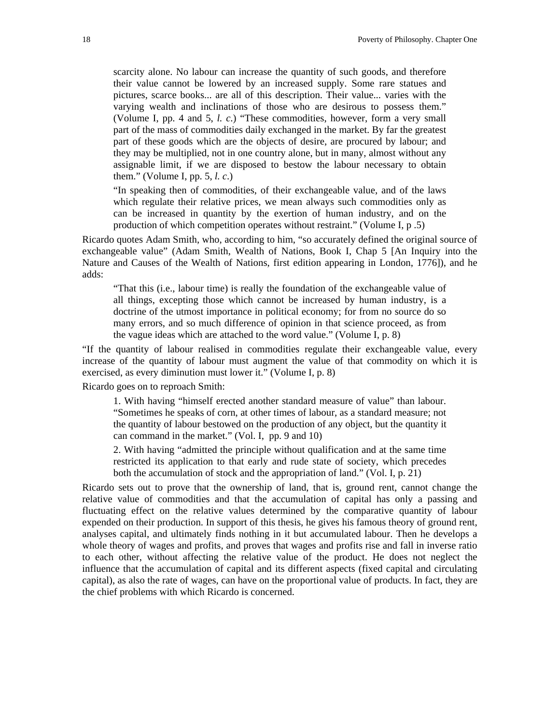scarcity alone. No labour can increase the quantity of such goods, and therefore their value cannot be lowered by an increased supply. Some rare statues and pictures, scarce books... are all of this description. Their value... varies with the varying wealth and inclinations of those who are desirous to possess them." (Volume I, pp. 4 and 5, *l. c*.) "These commodities, however, form a very small part of the mass of commodities daily exchanged in the market. By far the greatest part of these goods which are the objects of desire, are procured by labour; and they may be multiplied, not in one country alone, but in many, almost without any assignable limit, if we are disposed to bestow the labour necessary to obtain them." (Volume I, pp. 5, *l. c*.)

"In speaking then of commodities, of their exchangeable value, and of the laws which regulate their relative prices, we mean always such commodities only as can be increased in quantity by the exertion of human industry, and on the production of which competition operates without restraint." (Volume I, p .5)

Ricardo quotes Adam Smith, who, according to him, "so accurately defined the original source of exchangeable value" (Adam Smith, Wealth of Nations, Book I, Chap 5 [An Inquiry into the Nature and Causes of the Wealth of Nations, first edition appearing in London, 1776]), and he adds:

"That this (i.e., labour time) is really the foundation of the exchangeable value of all things, excepting those which cannot be increased by human industry, is a doctrine of the utmost importance in political economy; for from no source do so many errors, and so much difference of opinion in that science proceed, as from the vague ideas which are attached to the word value." (Volume I, p. 8)

"If the quantity of labour realised in commodities regulate their exchangeable value, every increase of the quantity of labour must augment the value of that commodity on which it is exercised, as every diminution must lower it." (Volume I, p. 8)

Ricardo goes on to reproach Smith:

1. With having "himself erected another standard measure of value" than labour. "Sometimes he speaks of corn, at other times of labour, as a standard measure; not the quantity of labour bestowed on the production of any object, but the quantity it can command in the market." (Vol. I, pp. 9 and 10)

2. With having "admitted the principle without qualification and at the same time restricted its application to that early and rude state of society, which precedes both the accumulation of stock and the appropriation of land." (Vol. I, p. 21)

Ricardo sets out to prove that the ownership of land, that is, ground rent, cannot change the relative value of commodities and that the accumulation of capital has only a passing and fluctuating effect on the relative values determined by the comparative quantity of labour expended on their production. In support of this thesis, he gives his famous theory of ground rent, analyses capital, and ultimately finds nothing in it but accumulated labour. Then he develops a whole theory of wages and profits, and proves that wages and profits rise and fall in inverse ratio to each other, without affecting the relative value of the product. He does not neglect the influence that the accumulation of capital and its different aspects (fixed capital and circulating capital), as also the rate of wages, can have on the proportional value of products. In fact, they are the chief problems with which Ricardo is concerned.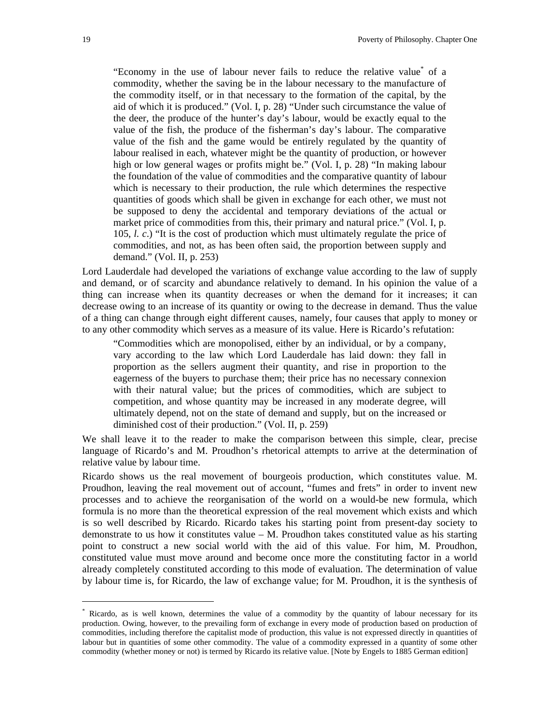"Economy in the use of labour never fails to reduce the relative value\* of a commodity, whether the saving be in the labour necessary to the manufacture of the commodity itself, or in that necessary to the formation of the capital, by the aid of which it is produced." (Vol. I, p. 28) "Under such circumstance the value of the deer, the produce of the hunter's day's labour, would be exactly equal to the value of the fish, the produce of the fisherman's day's labour. The comparative value of the fish and the game would be entirely regulated by the quantity of labour realised in each, whatever might be the quantity of production, or however high or low general wages or profits might be." (Vol. I, p. 28) "In making labour the foundation of the value of commodities and the comparative quantity of labour which is necessary to their production, the rule which determines the respective quantities of goods which shall be given in exchange for each other, we must not be supposed to deny the accidental and temporary deviations of the actual or market price of commodities from this, their primary and natural price." (Vol. I, p. 105, *l. c*.) "It is the cost of production which must ultimately regulate the price of commodities, and not, as has been often said, the proportion between supply and demand." (Vol. II, p. 253)

Lord Lauderdale had developed the variations of exchange value according to the law of supply and demand, or of scarcity and abundance relatively to demand. In his opinion the value of a thing can increase when its quantity decreases or when the demand for it increases; it can decrease owing to an increase of its quantity or owing to the decrease in demand. Thus the value of a thing can change through eight different causes, namely, four causes that apply to money or to any other commodity which serves as a measure of its value. Here is Ricardo's refutation:

"Commodities which are monopolised, either by an individual, or by a company, vary according to the law which Lord Lauderdale has laid down: they fall in proportion as the sellers augment their quantity, and rise in proportion to the eagerness of the buyers to purchase them; their price has no necessary connexion with their natural value; but the prices of commodities, which are subject to competition, and whose quantity may be increased in any moderate degree, will ultimately depend, not on the state of demand and supply, but on the increased or diminished cost of their production." (Vol. II, p. 259)

We shall leave it to the reader to make the comparison between this simple, clear, precise language of Ricardo's and M. Proudhon's rhetorical attempts to arrive at the determination of relative value by labour time.

Ricardo shows us the real movement of bourgeois production, which constitutes value. M. Proudhon, leaving the real movement out of account, "fumes and frets" in order to invent new processes and to achieve the reorganisation of the world on a would-be new formula, which formula is no more than the theoretical expression of the real movement which exists and which is so well described by Ricardo. Ricardo takes his starting point from present-day society to demonstrate to us how it constitutes value  $-M$ . Proudhon takes constituted value as his starting point to construct a new social world with the aid of this value. For him, M. Proudhon, constituted value must move around and become once more the constituting factor in a world already completely constituted according to this mode of evaluation. The determination of value by labour time is, for Ricardo, the law of exchange value; for M. Proudhon, it is the synthesis of

-

<sup>\*</sup> Ricardo, as is well known, determines the value of a commodity by the quantity of labour necessary for its production. Owing, however, to the prevailing form of exchange in every mode of production based on production of commodities, including therefore the capitalist mode of production, this value is not expressed directly in quantities of labour but in quantities of some other commodity. The value of a commodity expressed in a quantity of some other commodity (whether money or not) is termed by Ricardo its relative value. [Note by Engels to 1885 German edition]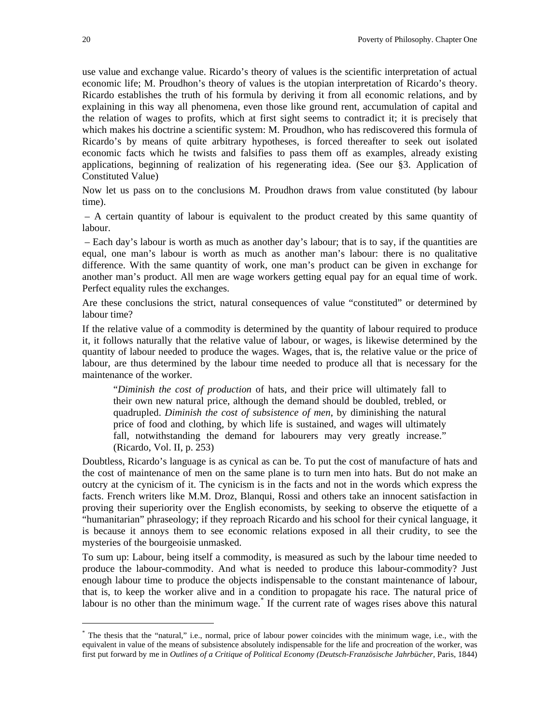use value and exchange value. Ricardo's theory of values is the scientific interpretation of actual economic life; M. Proudhon's theory of values is the utopian interpretation of Ricardo's theory. Ricardo establishes the truth of his formula by deriving it from all economic relations, and by explaining in this way all phenomena, even those like ground rent, accumulation of capital and the relation of wages to profits, which at first sight seems to contradict it; it is precisely that which makes his doctrine a scientific system: M. Proudhon, who has rediscovered this formula of Ricardo's by means of quite arbitrary hypotheses, is forced thereafter to seek out isolated economic facts which he twists and falsifies to pass them off as examples, already existing applications, beginning of realization of his regenerating idea. (See our §3. Application of Constituted Value)

Now let us pass on to the conclusions M. Proudhon draws from value constituted (by labour time).

 – A certain quantity of labour is equivalent to the product created by this same quantity of labour.

 – Each day's labour is worth as much as another day's labour; that is to say, if the quantities are equal, one man's labour is worth as much as another man's labour: there is no qualitative difference. With the same quantity of work, one man's product can be given in exchange for another man's product. All men are wage workers getting equal pay for an equal time of work. Perfect equality rules the exchanges.

Are these conclusions the strict, natural consequences of value "constituted" or determined by labour time?

If the relative value of a commodity is determined by the quantity of labour required to produce it, it follows naturally that the relative value of labour, or wages, is likewise determined by the quantity of labour needed to produce the wages. Wages, that is, the relative value or the price of labour, are thus determined by the labour time needed to produce all that is necessary for the maintenance of the worker.

"*Diminish the cost of production* of hats, and their price will ultimately fall to their own new natural price, although the demand should be doubled, trebled, or quadrupled. *Diminish the cost of subsistence of men*, by diminishing the natural price of food and clothing, by which life is sustained, and wages will ultimately fall, notwithstanding the demand for labourers may very greatly increase." (Ricardo, Vol. II, p. 253)

Doubtless, Ricardo's language is as cynical as can be. To put the cost of manufacture of hats and the cost of maintenance of men on the same plane is to turn men into hats. But do not make an outcry at the cynicism of it. The cynicism is in the facts and not in the words which express the facts. French writers like M.M. Droz, Blanqui, Rossi and others take an innocent satisfaction in proving their superiority over the English economists, by seeking to observe the etiquette of a "humanitarian" phraseology; if they reproach Ricardo and his school for their cynical language, it is because it annoys them to see economic relations exposed in all their crudity, to see the mysteries of the bourgeoisie unmasked.

To sum up: Labour, being itself a commodity, is measured as such by the labour time needed to produce the labour-commodity. And what is needed to produce this labour-commodity? Just enough labour time to produce the objects indispensable to the constant maintenance of labour, that is, to keep the worker alive and in a condition to propagate his race. The natural price of labour is no other than the minimum wage.<sup>\*</sup> If the current rate of wages rises above this natural

 $\overline{\phantom{a}}$ 

<sup>\*</sup> The thesis that the "natural," i.e., normal, price of labour power coincides with the minimum wage, i.e., with the equivalent in value of the means of subsistence absolutely indispensable for the life and procreation of the worker, was first put forward by me in *Outlines of a Critique of Political Economy (Deutsch-Französische Jahrbücher, Paris, 1844)*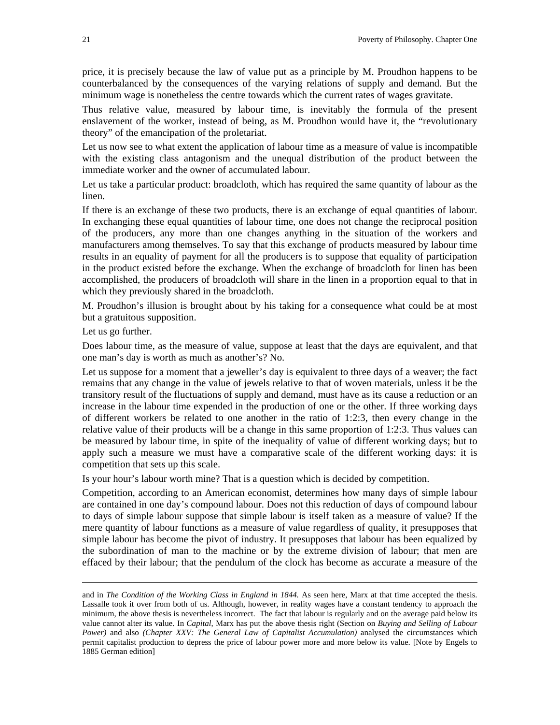price, it is precisely because the law of value put as a principle by M. Proudhon happens to be counterbalanced by the consequences of the varying relations of supply and demand. But the minimum wage is nonetheless the centre towards which the current rates of wages gravitate.

Thus relative value, measured by labour time, is inevitably the formula of the present enslavement of the worker, instead of being, as M. Proudhon would have it, the "revolutionary theory" of the emancipation of the proletariat.

Let us now see to what extent the application of labour time as a measure of value is incompatible with the existing class antagonism and the unequal distribution of the product between the immediate worker and the owner of accumulated labour.

Let us take a particular product: broadcloth, which has required the same quantity of labour as the linen.

If there is an exchange of these two products, there is an exchange of equal quantities of labour. In exchanging these equal quantities of labour time, one does not change the reciprocal position of the producers, any more than one changes anything in the situation of the workers and manufacturers among themselves. To say that this exchange of products measured by labour time results in an equality of payment for all the producers is to suppose that equality of participation in the product existed before the exchange. When the exchange of broadcloth for linen has been accomplished, the producers of broadcloth will share in the linen in a proportion equal to that in which they previously shared in the broadcloth.

M. Proudhon's illusion is brought about by his taking for a consequence what could be at most but a gratuitous supposition.

Let us go further.

l

Does labour time, as the measure of value, suppose at least that the days are equivalent, and that one man's day is worth as much as another's? No.

Let us suppose for a moment that a jeweller's day is equivalent to three days of a weaver; the fact remains that any change in the value of jewels relative to that of woven materials, unless it be the transitory result of the fluctuations of supply and demand, must have as its cause a reduction or an increase in the labour time expended in the production of one or the other. If three working days of different workers be related to one another in the ratio of 1:2:3, then every change in the relative value of their products will be a change in this same proportion of 1:2:3. Thus values can be measured by labour time, in spite of the inequality of value of different working days; but to apply such a measure we must have a comparative scale of the different working days: it is competition that sets up this scale.

Is your hour's labour worth mine? That is a question which is decided by competition.

Competition, according to an American economist, determines how many days of simple labour are contained in one day's compound labour. Does not this reduction of days of compound labour to days of simple labour suppose that simple labour is itself taken as a measure of value? If the mere quantity of labour functions as a measure of value regardless of quality, it presupposes that simple labour has become the pivot of industry. It presupposes that labour has been equalized by the subordination of man to the machine or by the extreme division of labour; that men are effaced by their labour; that the pendulum of the clock has become as accurate a measure of the

and in *The Condition of the Working Class in England in 1844.* As seen here, Marx at that time accepted the thesis. Lassalle took it over from both of us. Although, however, in reality wages have a constant tendency to approach the minimum, the above thesis is nevertheless incorrect. The fact that labour is regularly and on the average paid below its value cannot alter its value. In *Capital*, Marx has put the above thesis right (Section on *Buying and Selling of Labour Power)* and also *(Chapter XXV: The General Law of Capitalist Accumulation)* analysed the circumstances which permit capitalist production to depress the price of labour power more and more below its value. [Note by Engels to 1885 German edition]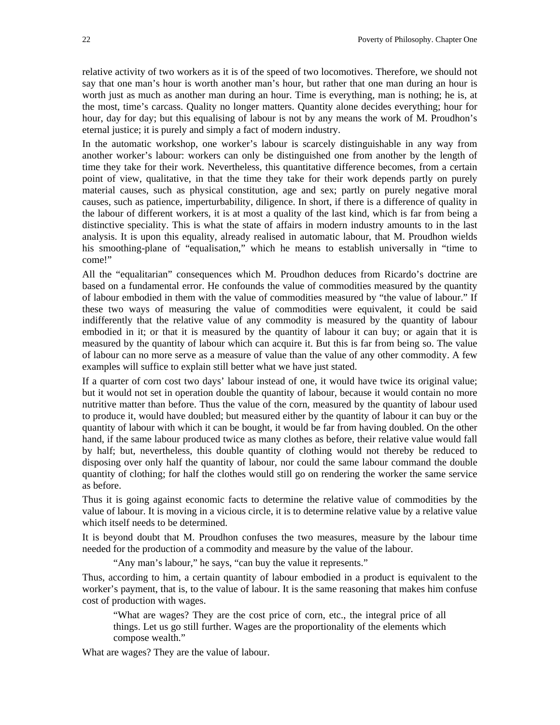relative activity of two workers as it is of the speed of two locomotives. Therefore, we should not say that one man's hour is worth another man's hour, but rather that one man during an hour is worth just as much as another man during an hour. Time is everything, man is nothing; he is, at the most, time's carcass. Quality no longer matters. Quantity alone decides everything; hour for hour, day for day; but this equalising of labour is not by any means the work of M. Proudhon's eternal justice; it is purely and simply a fact of modern industry.

In the automatic workshop, one worker's labour is scarcely distinguishable in any way from another worker's labour: workers can only be distinguished one from another by the length of time they take for their work. Nevertheless, this quantitative difference becomes, from a certain point of view, qualitative, in that the time they take for their work depends partly on purely material causes, such as physical constitution, age and sex; partly on purely negative moral causes, such as patience, imperturbability, diligence. In short, if there is a difference of quality in the labour of different workers, it is at most a quality of the last kind, which is far from being a distinctive speciality. This is what the state of affairs in modern industry amounts to in the last analysis. It is upon this equality, already realised in automatic labour, that M. Proudhon wields his smoothing-plane of "equalisation," which he means to establish universally in "time to come!"

All the "equalitarian" consequences which M. Proudhon deduces from Ricardo's doctrine are based on a fundamental error. He confounds the value of commodities measured by the quantity of labour embodied in them with the value of commodities measured by "the value of labour." If these two ways of measuring the value of commodities were equivalent, it could be said indifferently that the relative value of any commodity is measured by the quantity of labour embodied in it; or that it is measured by the quantity of labour it can buy; or again that it is measured by the quantity of labour which can acquire it. But this is far from being so. The value of labour can no more serve as a measure of value than the value of any other commodity. A few examples will suffice to explain still better what we have just stated.

If a quarter of corn cost two days' labour instead of one, it would have twice its original value; but it would not set in operation double the quantity of labour, because it would contain no more nutritive matter than before. Thus the value of the corn, measured by the quantity of labour used to produce it, would have doubled; but measured either by the quantity of labour it can buy or the quantity of labour with which it can be bought, it would be far from having doubled. On the other hand, if the same labour produced twice as many clothes as before, their relative value would fall by half; but, nevertheless, this double quantity of clothing would not thereby be reduced to disposing over only half the quantity of labour, nor could the same labour command the double quantity of clothing; for half the clothes would still go on rendering the worker the same service as before.

Thus it is going against economic facts to determine the relative value of commodities by the value of labour. It is moving in a vicious circle, it is to determine relative value by a relative value which itself needs to be determined.

It is beyond doubt that M. Proudhon confuses the two measures, measure by the labour time needed for the production of a commodity and measure by the value of the labour.

"Any man's labour," he says, "can buy the value it represents."

Thus, according to him, a certain quantity of labour embodied in a product is equivalent to the worker's payment, that is, to the value of labour. It is the same reasoning that makes him confuse cost of production with wages.

"What are wages? They are the cost price of corn, etc., the integral price of all things. Let us go still further. Wages are the proportionality of the elements which compose wealth."

What are wages? They are the value of labour.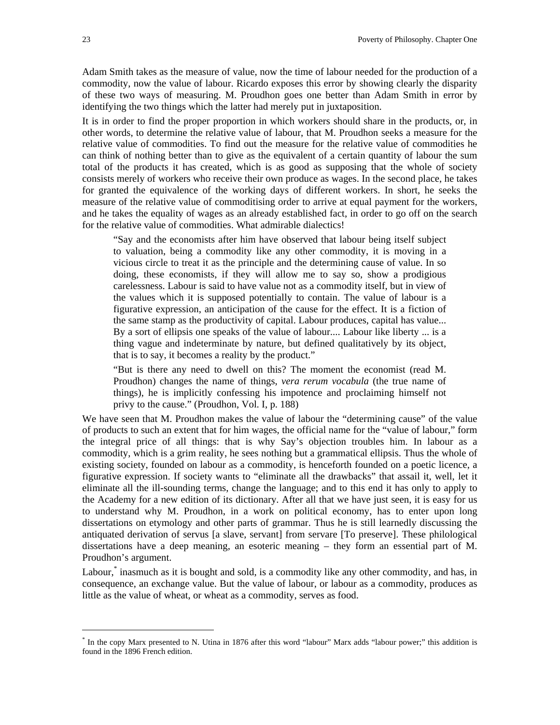Adam Smith takes as the measure of value, now the time of labour needed for the production of a commodity, now the value of labour. Ricardo exposes this error by showing clearly the disparity of these two ways of measuring. M. Proudhon goes one better than Adam Smith in error by identifying the two things which the latter had merely put in juxtaposition.

It is in order to find the proper proportion in which workers should share in the products, or, in other words, to determine the relative value of labour, that M. Proudhon seeks a measure for the relative value of commodities. To find out the measure for the relative value of commodities he can think of nothing better than to give as the equivalent of a certain quantity of labour the sum total of the products it has created, which is as good as supposing that the whole of society consists merely of workers who receive their own produce as wages. In the second place, he takes for granted the equivalence of the working days of different workers. In short, he seeks the measure of the relative value of commoditising order to arrive at equal payment for the workers, and he takes the equality of wages as an already established fact, in order to go off on the search for the relative value of commodities. What admirable dialectics!

"Say and the economists after him have observed that labour being itself subject to valuation, being a commodity like any other commodity, it is moving in a vicious circle to treat it as the principle and the determining cause of value. In so doing, these economists, if they will allow me to say so, show a prodigious carelessness. Labour is said to have value not as a commodity itself, but in view of the values which it is supposed potentially to contain. The value of labour is a figurative expression, an anticipation of the cause for the effect. It is a fiction of the same stamp as the productivity of capital. Labour produces, capital has value... By a sort of ellipsis one speaks of the value of labour.... Labour like liberty ... is a thing vague and indeterminate by nature, but defined qualitatively by its object, that is to say, it becomes a reality by the product."

"But is there any need to dwell on this? The moment the economist (read M. Proudhon) changes the name of things, *vera rerum vocabula* (the true name of things), he is implicitly confessing his impotence and proclaiming himself not privy to the cause." (Proudhon, Vol. I, p. 188)

We have seen that M. Proudhon makes the value of labour the "determining cause" of the value of products to such an extent that for him wages, the official name for the "value of labour," form the integral price of all things: that is why Say's objection troubles him. In labour as a commodity, which is a grim reality, he sees nothing but a grammatical ellipsis. Thus the whole of existing society, founded on labour as a commodity, is henceforth founded on a poetic licence, a figurative expression. If society wants to "eliminate all the drawbacks" that assail it, well, let it eliminate all the ill-sounding terms, change the language; and to this end it has only to apply to the Academy for a new edition of its dictionary. After all that we have just seen, it is easy for us to understand why M. Proudhon, in a work on political economy, has to enter upon long dissertations on etymology and other parts of grammar. Thus he is still learnedly discussing the antiquated derivation of servus [a slave, servant] from servare [To preserve]. These philological dissertations have a deep meaning, an esoteric meaning – they form an essential part of M. Proudhon's argument.

Labour,<sup>\*</sup> inasmuch as it is bought and sold, is a commodity like any other commodity, and has, in consequence, an exchange value. But the value of labour, or labour as a commodity, produces as little as the value of wheat, or wheat as a commodity, serves as food.

1

<sup>\*</sup> In the copy Marx presented to N. Utina in 1876 after this word "labour" Marx adds "labour power;" this addition is found in the 1896 French edition.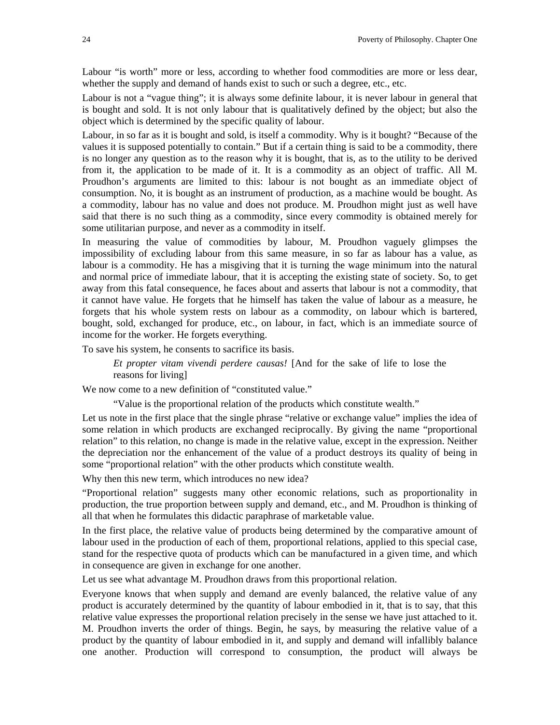Labour "is worth" more or less, according to whether food commodities are more or less dear, whether the supply and demand of hands exist to such or such a degree, etc., etc.

Labour is not a "vague thing"; it is always some definite labour, it is never labour in general that is bought and sold. It is not only labour that is qualitatively defined by the object; but also the object which is determined by the specific quality of labour.

Labour, in so far as it is bought and sold, is itself a commodity. Why is it bought? "Because of the values it is supposed potentially to contain." But if a certain thing is said to be a commodity, there is no longer any question as to the reason why it is bought, that is, as to the utility to be derived from it, the application to be made of it. It is a commodity as an object of traffic. All M. Proudhon's arguments are limited to this: labour is not bought as an immediate object of consumption. No, it is bought as an instrument of production, as a machine would be bought. As a commodity, labour has no value and does not produce. M. Proudhon might just as well have said that there is no such thing as a commodity, since every commodity is obtained merely for some utilitarian purpose, and never as a commodity in itself.

In measuring the value of commodities by labour, M. Proudhon vaguely glimpses the impossibility of excluding labour from this same measure, in so far as labour has a value, as labour is a commodity. He has a misgiving that it is turning the wage minimum into the natural and normal price of immediate labour, that it is accepting the existing state of society. So, to get away from this fatal consequence, he faces about and asserts that labour is not a commodity, that it cannot have value. He forgets that he himself has taken the value of labour as a measure, he forgets that his whole system rests on labour as a commodity, on labour which is bartered, bought, sold, exchanged for produce, etc., on labour, in fact, which is an immediate source of income for the worker. He forgets everything.

To save his system, he consents to sacrifice its basis.

*Et propter vitam vivendi perdere causas!* [And for the sake of life to lose the reasons for living]

We now come to a new definition of "constituted value."

"Value is the proportional relation of the products which constitute wealth."

Let us note in the first place that the single phrase "relative or exchange value" implies the idea of some relation in which products are exchanged reciprocally. By giving the name "proportional relation" to this relation, no change is made in the relative value, except in the expression. Neither the depreciation nor the enhancement of the value of a product destroys its quality of being in some "proportional relation" with the other products which constitute wealth.

Why then this new term, which introduces no new idea?

"Proportional relation" suggests many other economic relations, such as proportionality in production, the true proportion between supply and demand, etc., and M. Proudhon is thinking of all that when he formulates this didactic paraphrase of marketable value.

In the first place, the relative value of products being determined by the comparative amount of labour used in the production of each of them, proportional relations, applied to this special case, stand for the respective quota of products which can be manufactured in a given time, and which in consequence are given in exchange for one another.

Let us see what advantage M. Proudhon draws from this proportional relation.

Everyone knows that when supply and demand are evenly balanced, the relative value of any product is accurately determined by the quantity of labour embodied in it, that is to say, that this relative value expresses the proportional relation precisely in the sense we have just attached to it. M. Proudhon inverts the order of things. Begin, he says, by measuring the relative value of a product by the quantity of labour embodied in it, and supply and demand will infallibly balance one another. Production will correspond to consumption, the product will always be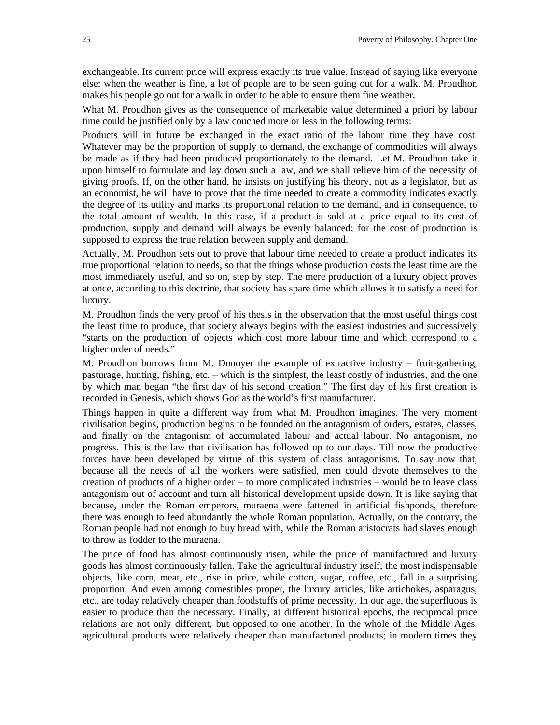exchangeable. Its current price will express exactly its true value. Instead of saying like everyone else: when the weather is fine, a lot of people are to be seen going out for a walk. M. Proudhon makes his people go out for a walk in order to be able to ensure them fine weather.

What M. Proudhon gives as the consequence of marketable value determined a priori by labour time could be justified only by a law couched more or less in the following terms:

Products will in future be exchanged in the exact ratio of the labour time they have cost. Whatever may be the proportion of supply to demand, the exchange of commodities will always be made as if they had been produced proportionately to the demand. Let M. Proudhon take it upon himself to formulate and lay down such a law, and we shall relieve him of the necessity of giving proofs. If, on the other hand, he insists on justifying his theory, not as a legislator, but as an economist, he will have to prove that the time needed to create a commodity indicates exactly the degree of its utility and marks its proportional relation to the demand, and in consequence, to the total amount of wealth. In this case, if a product is sold at a price equal to its cost of production, supply and demand will always be evenly balanced; for the cost of production is supposed to express the true relation between supply and demand.

Actually, M. Proudhon sets out to prove that labour time needed to create a product indicates its true proportional relation to needs, so that the things whose production costs the least time are the most immediately useful, and so on, step by step. The mere production of a luxury object proves at once, according to this doctrine, that society has spare time which allows it to satisfy a need for luxury.

M. Proudhon finds the very proof of his thesis in the observation that the most useful things cost the least time to produce, that society always begins with the easiest industries and successively "starts on the production of objects which cost more labour time and which correspond to a higher order of needs."

M. Proudhon borrows from M. Dunoyer the example of extractive industry – fruit-gathering, pasturage, hunting, fishing, etc. – which is the simplest, the least costly of industries, and the one by which man began "the first day of his second creation." The first day of his first creation is recorded in Genesis, which shows God as the world's first manufacturer.

Things happen in quite a different way from what M. Proudhon imagines. The very moment civilisation begins, production begins to be founded on the antagonism of orders, estates, classes, and finally on the antagonism of accumulated labour and actual labour. No antagonism, no progress. This is the law that civilisation has followed up to our days. Till now the productive forces have been developed by virtue of this system of class antagonisms. To say now that, because all the needs of all the workers were satisfied, men could devote themselves to the creation of products of a higher order – to more complicated industries – would be to leave class antagonism out of account and turn all historical development upside down. It is like saying that because, under the Roman emperors, muraena were fattened in artificial fishponds, therefore there was enough to feed abundantly the whole Roman population. Actually, on the contrary, the Roman people had not enough to buy bread with, while the Roman aristocrats had slaves enough to throw as fodder to the muraena.

The price of food has almost continuously risen, while the price of manufactured and luxury goods has almost continuously fallen. Take the agricultural industry itself; the most indispensable objects, like corn, meat, etc., rise in price, while cotton, sugar, coffee, etc., fall in a surprising proportion. And even among comestibles proper, the luxury articles, like artichokes, asparagus, etc., are today relatively cheaper than foodstuffs of prime necessity. In our age, the superfluous is easier to produce than the necessary. Finally, at different historical epochs, the reciprocal price relations are not only different, but opposed to one another. In the whole of the Middle Ages, agricultural products were relatively cheaper than manufactured products; in modern times they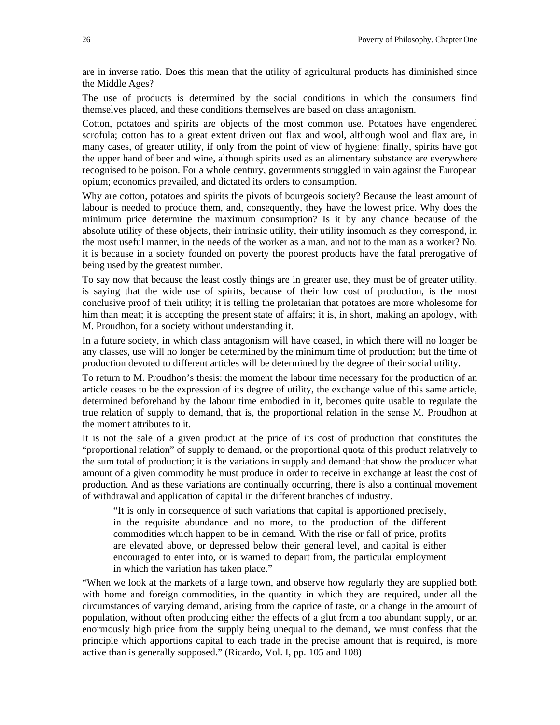are in inverse ratio. Does this mean that the utility of agricultural products has diminished since the Middle Ages?

The use of products is determined by the social conditions in which the consumers find themselves placed, and these conditions themselves are based on class antagonism.

Cotton, potatoes and spirits are objects of the most common use. Potatoes have engendered scrofula; cotton has to a great extent driven out flax and wool, although wool and flax are, in many cases, of greater utility, if only from the point of view of hygiene; finally, spirits have got the upper hand of beer and wine, although spirits used as an alimentary substance are everywhere recognised to be poison. For a whole century, governments struggled in vain against the European opium; economics prevailed, and dictated its orders to consumption.

Why are cotton, potatoes and spirits the pivots of bourgeois society? Because the least amount of labour is needed to produce them, and, consequently, they have the lowest price. Why does the minimum price determine the maximum consumption? Is it by any chance because of the absolute utility of these objects, their intrinsic utility, their utility insomuch as they correspond, in the most useful manner, in the needs of the worker as a man, and not to the man as a worker? No, it is because in a society founded on poverty the poorest products have the fatal prerogative of being used by the greatest number.

To say now that because the least costly things are in greater use, they must be of greater utility, is saying that the wide use of spirits, because of their low cost of production, is the most conclusive proof of their utility; it is telling the proletarian that potatoes are more wholesome for him than meat; it is accepting the present state of affairs; it is, in short, making an apology, with M. Proudhon, for a society without understanding it.

In a future society, in which class antagonism will have ceased, in which there will no longer be any classes, use will no longer be determined by the minimum time of production; but the time of production devoted to different articles will be determined by the degree of their social utility.

To return to M. Proudhon's thesis: the moment the labour time necessary for the production of an article ceases to be the expression of its degree of utility, the exchange value of this same article, determined beforehand by the labour time embodied in it, becomes quite usable to regulate the true relation of supply to demand, that is, the proportional relation in the sense M. Proudhon at the moment attributes to it.

It is not the sale of a given product at the price of its cost of production that constitutes the "proportional relation" of supply to demand, or the proportional quota of this product relatively to the sum total of production; it is the variations in supply and demand that show the producer what amount of a given commodity he must produce in order to receive in exchange at least the cost of production. And as these variations are continually occurring, there is also a continual movement of withdrawal and application of capital in the different branches of industry.

"It is only in consequence of such variations that capital is apportioned precisely, in the requisite abundance and no more, to the production of the different commodities which happen to be in demand. With the rise or fall of price, profits are elevated above, or depressed below their general level, and capital is either encouraged to enter into, or is warned to depart from, the particular employment in which the variation has taken place."

"When we look at the markets of a large town, and observe how regularly they are supplied both with home and foreign commodities, in the quantity in which they are required, under all the circumstances of varying demand, arising from the caprice of taste, or a change in the amount of population, without often producing either the effects of a glut from a too abundant supply, or an enormously high price from the supply being unequal to the demand, we must confess that the principle which apportions capital to each trade in the precise amount that is required, is more active than is generally supposed." (Ricardo, Vol. I, pp. 105 and 108)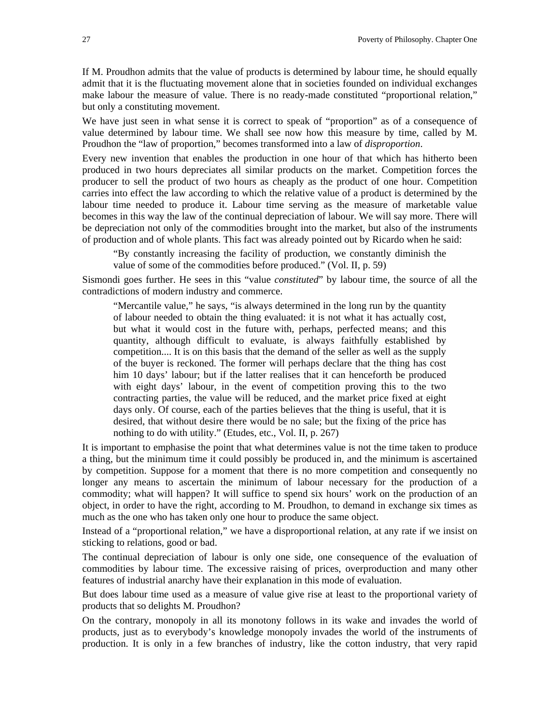If M. Proudhon admits that the value of products is determined by labour time, he should equally admit that it is the fluctuating movement alone that in societies founded on individual exchanges make labour the measure of value. There is no ready-made constituted "proportional relation," but only a constituting movement.

We have just seen in what sense it is correct to speak of "proportion" as of a consequence of value determined by labour time. We shall see now how this measure by time, called by M. Proudhon the "law of proportion," becomes transformed into a law of *disproportion*.

Every new invention that enables the production in one hour of that which has hitherto been produced in two hours depreciates all similar products on the market. Competition forces the producer to sell the product of two hours as cheaply as the product of one hour. Competition carries into effect the law according to which the relative value of a product is determined by the labour time needed to produce it. Labour time serving as the measure of marketable value becomes in this way the law of the continual depreciation of labour. We will say more. There will be depreciation not only of the commodities brought into the market, but also of the instruments of production and of whole plants. This fact was already pointed out by Ricardo when he said:

"By constantly increasing the facility of production, we constantly diminish the value of some of the commodities before produced." (Vol. II, p. 59)

Sismondi goes further. He sees in this "value *constituted*" by labour time, the source of all the contradictions of modern industry and commerce.

"Mercantile value," he says, "is always determined in the long run by the quantity of labour needed to obtain the thing evaluated: it is not what it has actually cost, but what it would cost in the future with, perhaps, perfected means; and this quantity, although difficult to evaluate, is always faithfully established by competition.... It is on this basis that the demand of the seller as well as the supply of the buyer is reckoned. The former will perhaps declare that the thing has cost him 10 days' labour; but if the latter realises that it can henceforth be produced with eight days' labour, in the event of competition proving this to the two contracting parties, the value will be reduced, and the market price fixed at eight days only. Of course, each of the parties believes that the thing is useful, that it is desired, that without desire there would be no sale; but the fixing of the price has nothing to do with utility." (Etudes, etc., Vol. II, p. 267)

It is important to emphasise the point that what determines value is not the time taken to produce a thing, but the minimum time it could possibly be produced in, and the minimum is ascertained by competition. Suppose for a moment that there is no more competition and consequently no longer any means to ascertain the minimum of labour necessary for the production of a commodity; what will happen? It will suffice to spend six hours' work on the production of an object, in order to have the right, according to M. Proudhon, to demand in exchange six times as much as the one who has taken only one hour to produce the same object.

Instead of a "proportional relation," we have a disproportional relation, at any rate if we insist on sticking to relations, good or bad.

The continual depreciation of labour is only one side, one consequence of the evaluation of commodities by labour time. The excessive raising of prices, overproduction and many other features of industrial anarchy have their explanation in this mode of evaluation.

But does labour time used as a measure of value give rise at least to the proportional variety of products that so delights M. Proudhon?

On the contrary, monopoly in all its monotony follows in its wake and invades the world of products, just as to everybody's knowledge monopoly invades the world of the instruments of production. It is only in a few branches of industry, like the cotton industry, that very rapid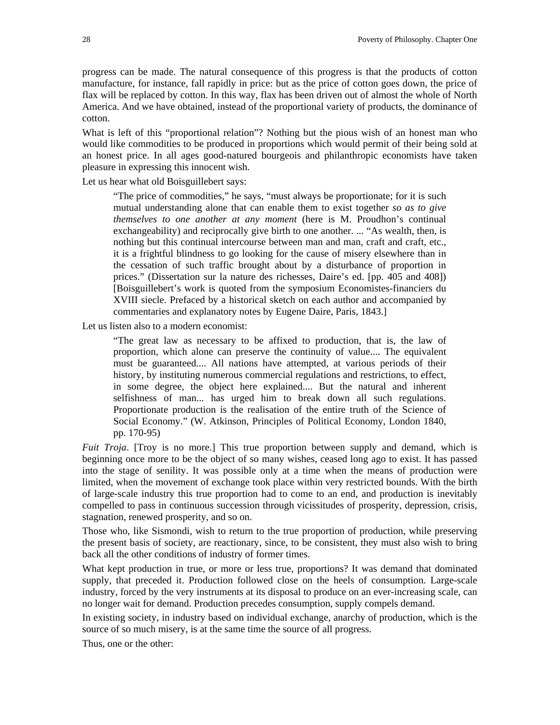progress can be made. The natural consequence of this progress is that the products of cotton manufacture, for instance, fall rapidly in price: but as the price of cotton goes down, the price of flax will be replaced by cotton. In this way, flax has been driven out of almost the whole of North America. And we have obtained, instead of the proportional variety of products, the dominance of cotton.

What is left of this "proportional relation"? Nothing but the pious wish of an honest man who would like commodities to be produced in proportions which would permit of their being sold at an honest price. In all ages good-natured bourgeois and philanthropic economists have taken pleasure in expressing this innocent wish.

Let us hear what old Boisguillebert says:

"The price of commodities," he says, "must always be proportionate; for it is such mutual understanding alone that can enable them to exist together *so as to give themselves to one another at any moment* (here is M. Proudhon's continual exchangeability) and reciprocally give birth to one another. ... "As wealth, then, is nothing but this continual intercourse between man and man, craft and craft, etc., it is a frightful blindness to go looking for the cause of misery elsewhere than in the cessation of such traffic brought about by a disturbance of proportion in prices." (Dissertation sur la nature des richesses, Daire's ed. [pp. 405 and 408]) [Boisguillebert's work is quoted from the symposium Economistes-financiers du XVIII siecle. Prefaced by a historical sketch on each author and accompanied by commentaries and explanatory notes by Eugene Daire, Paris, 1843.]

Let us listen also to a modern economist:

"The great law as necessary to be affixed to production, that is, the law of proportion, which alone can preserve the continuity of value.... The equivalent must be guaranteed.... All nations have attempted, at various periods of their history, by instituting numerous commercial regulations and restrictions, to effect, in some degree, the object here explained.... But the natural and inherent selfishness of man... has urged him to break down all such regulations. Proportionate production is the realisation of the entire truth of the Science of Social Economy." (W. Atkinson, Principles of Political Economy, London 1840, pp. 170-95)

*Fuit Troja*. [Troy is no more.] This true proportion between supply and demand, which is beginning once more to be the object of so many wishes, ceased long ago to exist. It has passed into the stage of senility. It was possible only at a time when the means of production were limited, when the movement of exchange took place within very restricted bounds. With the birth of large-scale industry this true proportion had to come to an end, and production is inevitably compelled to pass in continuous succession through vicissitudes of prosperity, depression, crisis, stagnation, renewed prosperity, and so on.

Those who, like Sismondi, wish to return to the true proportion of production, while preserving the present basis of society, are reactionary, since, to be consistent, they must also wish to bring back all the other conditions of industry of former times.

What kept production in true, or more or less true, proportions? It was demand that dominated supply, that preceded it. Production followed close on the heels of consumption. Large-scale industry, forced by the very instruments at its disposal to produce on an ever-increasing scale, can no longer wait for demand. Production precedes consumption, supply compels demand.

In existing society, in industry based on individual exchange, anarchy of production, which is the source of so much misery, is at the same time the source of all progress.

Thus, one or the other: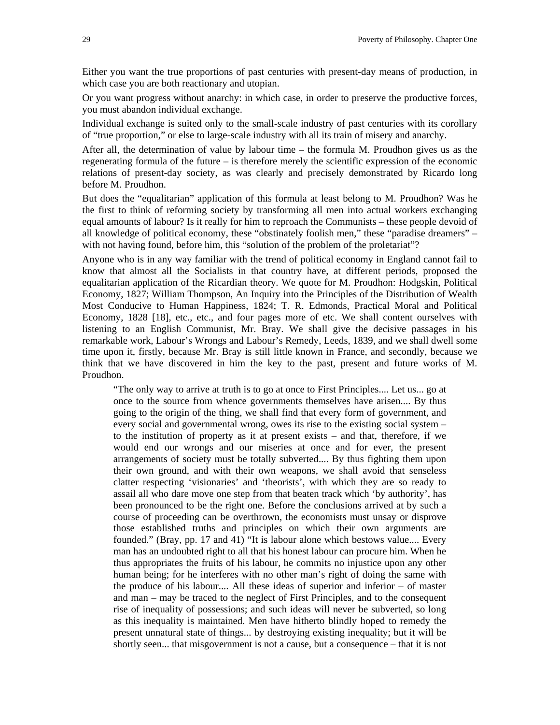Either you want the true proportions of past centuries with present-day means of production, in which case you are both reactionary and utopian.

Or you want progress without anarchy: in which case, in order to preserve the productive forces, you must abandon individual exchange.

Individual exchange is suited only to the small-scale industry of past centuries with its corollary of "true proportion," or else to large-scale industry with all its train of misery and anarchy.

After all, the determination of value by labour time – the formula M. Proudhon gives us as the regenerating formula of the future – is therefore merely the scientific expression of the economic relations of present-day society, as was clearly and precisely demonstrated by Ricardo long before M. Proudhon.

But does the "equalitarian" application of this formula at least belong to M. Proudhon? Was he the first to think of reforming society by transforming all men into actual workers exchanging equal amounts of labour? Is it really for him to reproach the Communists – these people devoid of all knowledge of political economy, these "obstinately foolish men," these "paradise dreamers" – with not having found, before him, this "solution of the problem of the proletariat"?

Anyone who is in any way familiar with the trend of political economy in England cannot fail to know that almost all the Socialists in that country have, at different periods, proposed the equalitarian application of the Ricardian theory. We quote for M. Proudhon: Hodgskin, Political Economy, 1827; William Thompson, An Inquiry into the Principles of the Distribution of Wealth Most Conducive to Human Happiness, 1824; T. R. Edmonds, Practical Moral and Political Economy, 1828 [18], etc., etc., and four pages more of etc. We shall content ourselves with listening to an English Communist, Mr. Bray. We shall give the decisive passages in his remarkable work, Labour's Wrongs and Labour's Remedy, Leeds, 1839, and we shall dwell some time upon it, firstly, because Mr. Bray is still little known in France, and secondly, because we think that we have discovered in him the key to the past, present and future works of M. Proudhon.

"The only way to arrive at truth is to go at once to First Principles.... Let us... go at once to the source from whence governments themselves have arisen.... By thus going to the origin of the thing, we shall find that every form of government, and every social and governmental wrong, owes its rise to the existing social system – to the institution of property as it at present exists – and that, therefore, if we would end our wrongs and our miseries at once and for ever, the present arrangements of society must be totally subverted.... By thus fighting them upon their own ground, and with their own weapons, we shall avoid that senseless clatter respecting 'visionaries' and 'theorists', with which they are so ready to assail all who dare move one step from that beaten track which 'by authority', has been pronounced to be the right one. Before the conclusions arrived at by such a course of proceeding can be overthrown, the economists must unsay or disprove those established truths and principles on which their own arguments are founded." (Bray, pp. 17 and 41) "It is labour alone which bestows value.... Every man has an undoubted right to all that his honest labour can procure him. When he thus appropriates the fruits of his labour, he commits no injustice upon any other human being; for he interferes with no other man's right of doing the same with the produce of his labour.... All these ideas of superior and inferior – of master and man – may be traced to the neglect of First Principles, and to the consequent rise of inequality of possessions; and such ideas will never be subverted, so long as this inequality is maintained. Men have hitherto blindly hoped to remedy the present unnatural state of things... by destroying existing inequality; but it will be shortly seen... that misgovernment is not a cause, but a consequence – that it is not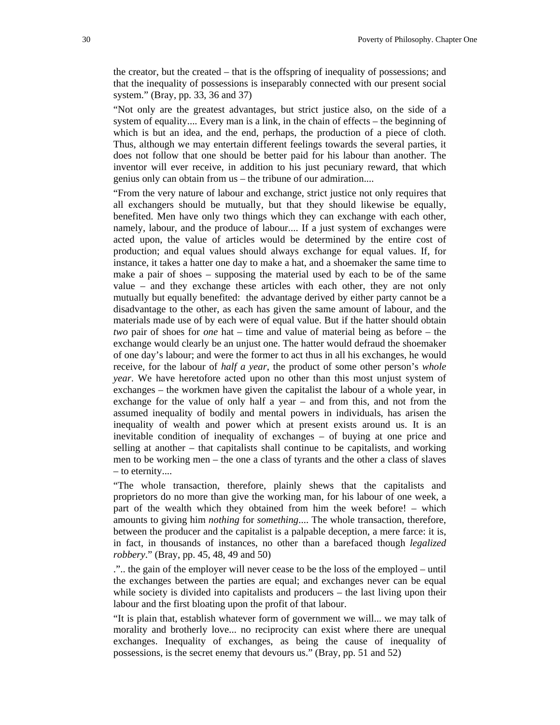the creator, but the created – that is the offspring of inequality of possessions; and that the inequality of possessions is inseparably connected with our present social system." (Bray, pp. 33, 36 and 37)

"Not only are the greatest advantages, but strict justice also, on the side of a system of equality.... Every man is a link, in the chain of effects – the beginning of which is but an idea, and the end, perhaps, the production of a piece of cloth. Thus, although we may entertain different feelings towards the several parties, it does not follow that one should be better paid for his labour than another. The inventor will ever receive, in addition to his just pecuniary reward, that which genius only can obtain from us – the tribune of our admiration....

"From the very nature of labour and exchange, strict justice not only requires that all exchangers should be mutually, but that they should likewise be equally, benefited. Men have only two things which they can exchange with each other, namely, labour, and the produce of labour.... If a just system of exchanges were acted upon, the value of articles would be determined by the entire cost of production; and equal values should always exchange for equal values. If, for instance, it takes a hatter one day to make a hat, and a shoemaker the same time to make a pair of shoes – supposing the material used by each to be of the same value – and they exchange these articles with each other, they are not only mutually but equally benefited: the advantage derived by either party cannot be a disadvantage to the other, as each has given the same amount of labour, and the materials made use of by each were of equal value. But if the hatter should obtain *two* pair of shoes for *one* hat – time and value of material being as before – the exchange would clearly be an unjust one. The hatter would defraud the shoemaker of one day's labour; and were the former to act thus in all his exchanges, he would receive, for the labour of *half a year*, the product of some other person's *whole year*. We have heretofore acted upon no other than this most unjust system of exchanges – the workmen have given the capitalist the labour of a whole year, in exchange for the value of only half a year – and from this, and not from the assumed inequality of bodily and mental powers in individuals, has arisen the inequality of wealth and power which at present exists around us. It is an inevitable condition of inequality of exchanges – of buying at one price and selling at another – that capitalists shall continue to be capitalists, and working men to be working men – the one a class of tyrants and the other a class of slaves – to eternity....

"The whole transaction, therefore, plainly shews that the capitalists and proprietors do no more than give the working man, for his labour of one week, a part of the wealth which they obtained from him the week before! – which amounts to giving him *nothing* for *something*.... The whole transaction, therefore, between the producer and the capitalist is a palpable deception, a mere farce: it is, in fact, in thousands of instances, no other than a barefaced though *legalized robbery*." (Bray, pp. 45, 48, 49 and 50)

.".. the gain of the employer will never cease to be the loss of the employed – until the exchanges between the parties are equal; and exchanges never can be equal while society is divided into capitalists and producers – the last living upon their labour and the first bloating upon the profit of that labour.

"It is plain that, establish whatever form of government we will... we may talk of morality and brotherly love... no reciprocity can exist where there are unequal exchanges. Inequality of exchanges, as being the cause of inequality of possessions, is the secret enemy that devours us." (Bray, pp. 51 and 52)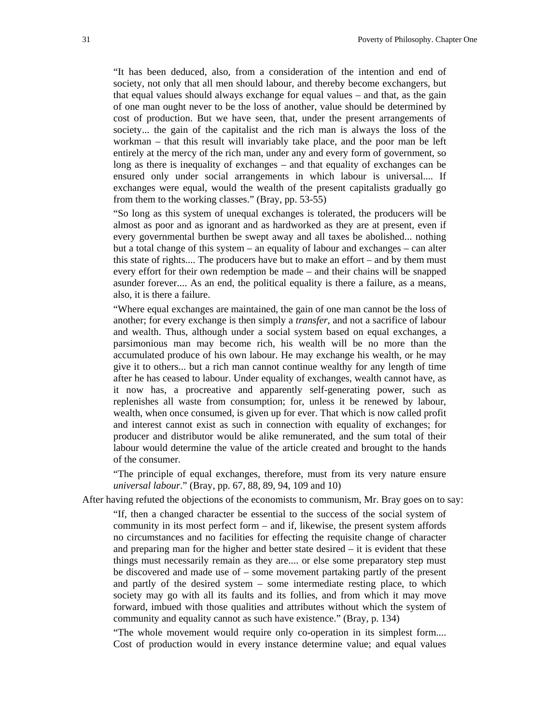"It has been deduced, also, from a consideration of the intention and end of society, not only that all men should labour, and thereby become exchangers, but that equal values should always exchange for equal values – and that, as the gain of one man ought never to be the loss of another, value should be determined by cost of production. But we have seen, that, under the present arrangements of society... the gain of the capitalist and the rich man is always the loss of the workman – that this result will invariably take place, and the poor man be left entirely at the mercy of the rich man, under any and every form of government, so long as there is inequality of exchanges – and that equality of exchanges can be ensured only under social arrangements in which labour is universal.... If exchanges were equal, would the wealth of the present capitalists gradually go from them to the working classes." (Bray, pp. 53-55)

"So long as this system of unequal exchanges is tolerated, the producers will be almost as poor and as ignorant and as hardworked as they are at present, even if every governmental burthen be swept away and all taxes be abolished... nothing but a total change of this system – an equality of labour and exchanges – can alter this state of rights.... The producers have but to make an effort – and by them must every effort for their own redemption be made – and their chains will be snapped asunder forever.... As an end, the political equality is there a failure, as a means, also, it is there a failure.

"Where equal exchanges are maintained, the gain of one man cannot be the loss of another; for every exchange is then simply a *transfer*, and not a sacrifice of labour and wealth. Thus, although under a social system based on equal exchanges, a parsimonious man may become rich, his wealth will be no more than the accumulated produce of his own labour. He may exchange his wealth, or he may give it to others... but a rich man cannot continue wealthy for any length of time after he has ceased to labour. Under equality of exchanges, wealth cannot have, as it now has, a procreative and apparently self-generating power, such as replenishes all waste from consumption; for, unless it be renewed by labour, wealth, when once consumed, is given up for ever. That which is now called profit and interest cannot exist as such in connection with equality of exchanges; for producer and distributor would be alike remunerated, and the sum total of their labour would determine the value of the article created and brought to the hands of the consumer.

"The principle of equal exchanges, therefore, must from its very nature ensure *universal labour*." (Bray, pp. 67, 88, 89, 94, 109 and 10)

After having refuted the objections of the economists to communism, Mr. Bray goes on to say:

"If, then a changed character be essential to the success of the social system of community in its most perfect form – and if, likewise, the present system affords no circumstances and no facilities for effecting the requisite change of character and preparing man for the higher and better state desired – it is evident that these things must necessarily remain as they are.... or else some preparatory step must be discovered and made use of – some movement partaking partly of the present and partly of the desired system – some intermediate resting place, to which society may go with all its faults and its follies, and from which it may move forward, imbued with those qualities and attributes without which the system of community and equality cannot as such have existence." (Bray, p. 134)

"The whole movement would require only co-operation in its simplest form.... Cost of production would in every instance determine value; and equal values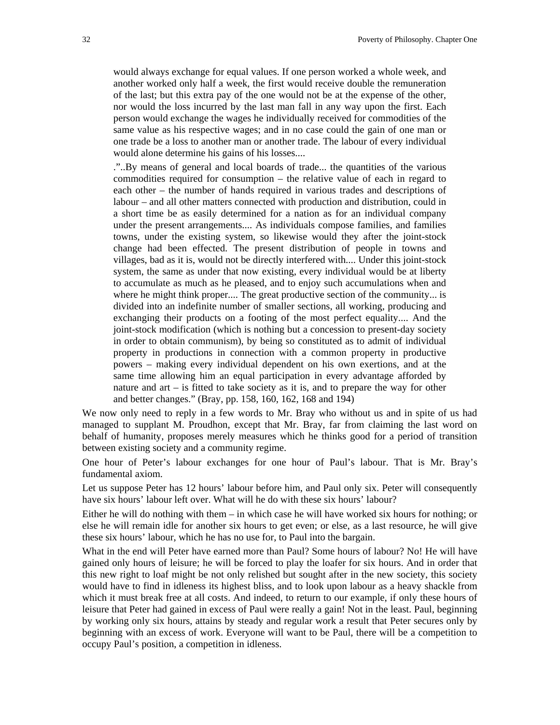would always exchange for equal values. If one person worked a whole week, and another worked only half a week, the first would receive double the remuneration of the last; but this extra pay of the one would not be at the expense of the other, nor would the loss incurred by the last man fall in any way upon the first. Each person would exchange the wages he individually received for commodities of the same value as his respective wages; and in no case could the gain of one man or one trade be a loss to another man or another trade. The labour of every individual would alone determine his gains of his losses....

."..By means of general and local boards of trade... the quantities of the various commodities required for consumption – the relative value of each in regard to each other – the number of hands required in various trades and descriptions of labour – and all other matters connected with production and distribution, could in a short time be as easily determined for a nation as for an individual company under the present arrangements.... As individuals compose families, and families towns, under the existing system, so likewise would they after the joint-stock change had been effected. The present distribution of people in towns and villages, bad as it is, would not be directly interfered with.... Under this joint-stock system, the same as under that now existing, every individual would be at liberty to accumulate as much as he pleased, and to enjoy such accumulations when and where he might think proper.... The great productive section of the community... is divided into an indefinite number of smaller sections, all working, producing and exchanging their products on a footing of the most perfect equality.... And the joint-stock modification (which is nothing but a concession to present-day society in order to obtain communism), by being so constituted as to admit of individual property in productions in connection with a common property in productive powers – making every individual dependent on his own exertions, and at the same time allowing him an equal participation in every advantage afforded by nature and art – is fitted to take society as it is, and to prepare the way for other and better changes." (Bray, pp. 158, 160, 162, 168 and 194)

We now only need to reply in a few words to Mr. Bray who without us and in spite of us had managed to supplant M. Proudhon, except that Mr. Bray, far from claiming the last word on behalf of humanity, proposes merely measures which he thinks good for a period of transition between existing society and a community regime.

One hour of Peter's labour exchanges for one hour of Paul's labour. That is Mr. Bray's fundamental axiom.

Let us suppose Peter has 12 hours' labour before him, and Paul only six. Peter will consequently have six hours' labour left over. What will he do with these six hours' labour?

Either he will do nothing with them – in which case he will have worked six hours for nothing; or else he will remain idle for another six hours to get even; or else, as a last resource, he will give these six hours' labour, which he has no use for, to Paul into the bargain.

What in the end will Peter have earned more than Paul? Some hours of labour? No! He will have gained only hours of leisure; he will be forced to play the loafer for six hours. And in order that this new right to loaf might be not only relished but sought after in the new society, this society would have to find in idleness its highest bliss, and to look upon labour as a heavy shackle from which it must break free at all costs. And indeed, to return to our example, if only these hours of leisure that Peter had gained in excess of Paul were really a gain! Not in the least. Paul, beginning by working only six hours, attains by steady and regular work a result that Peter secures only by beginning with an excess of work. Everyone will want to be Paul, there will be a competition to occupy Paul's position, a competition in idleness.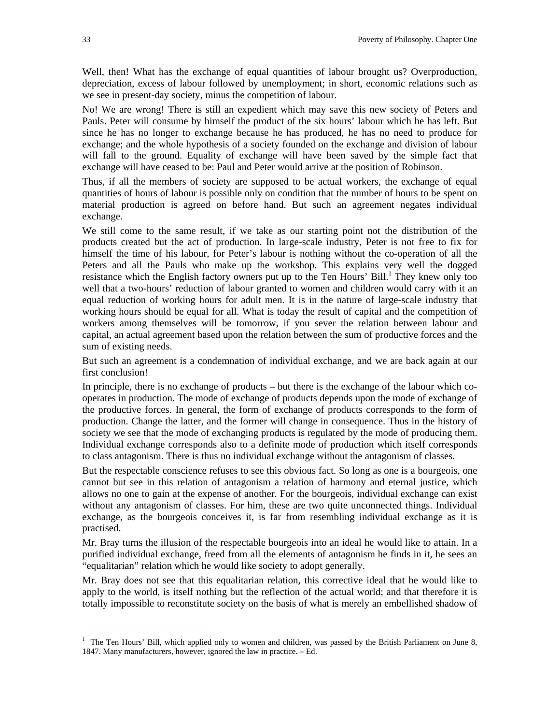Well, then! What has the exchange of equal quantities of labour brought us? Overproduction, depreciation, excess of labour followed by unemployment; in short, economic relations such as we see in present-day society, minus the competition of labour.

No! We are wrong! There is still an expedient which may save this new society of Peters and Pauls. Peter will consume by himself the product of the six hours' labour which he has left. But since he has no longer to exchange because he has produced, he has no need to produce for exchange; and the whole hypothesis of a society founded on the exchange and division of labour will fall to the ground. Equality of exchange will have been saved by the simple fact that exchange will have ceased to be: Paul and Peter would arrive at the position of Robinson.

Thus, if all the members of society are supposed to be actual workers, the exchange of equal quantities of hours of labour is possible only on condition that the number of hours to be spent on material production is agreed on before hand. But such an agreement negates individual exchange.

We still come to the same result, if we take as our starting point not the distribution of the products created but the act of production. In large-scale industry, Peter is not free to fix for himself the time of his labour, for Peter's labour is nothing without the co-operation of all the Peters and all the Pauls who make up the workshop. This explains very well the dogged resistance which the English factory owners put up to the Ten Hours' Bill.<sup>1</sup> They knew only too well that a two-hours' reduction of labour granted to women and children would carry with it an equal reduction of working hours for adult men. It is in the nature of large-scale industry that working hours should be equal for all. What is today the result of capital and the competition of workers among themselves will be tomorrow, if you sever the relation between labour and capital, an actual agreement based upon the relation between the sum of productive forces and the sum of existing needs.

But such an agreement is a condemnation of individual exchange, and we are back again at our first conclusion!

In principle, there is no exchange of products – but there is the exchange of the labour which cooperates in production. The mode of exchange of products depends upon the mode of exchange of the productive forces. In general, the form of exchange of products corresponds to the form of production. Change the latter, and the former will change in consequence. Thus in the history of society we see that the mode of exchanging products is regulated by the mode of producing them. Individual exchange corresponds also to a definite mode of production which itself corresponds to class antagonism. There is thus no individual exchange without the antagonism of classes.

But the respectable conscience refuses to see this obvious fact. So long as one is a bourgeois, one cannot but see in this relation of antagonism a relation of harmony and eternal justice, which allows no one to gain at the expense of another. For the bourgeois, individual exchange can exist without any antagonism of classes. For him, these are two quite unconnected things. Individual exchange, as the bourgeois conceives it, is far from resembling individual exchange as it is practised.

Mr. Bray turns the illusion of the respectable bourgeois into an ideal he would like to attain. In a purified individual exchange, freed from all the elements of antagonism he finds in it, he sees an "equalitarian" relation which he would like society to adopt generally.

Mr. Bray does not see that this equalitarian relation, this corrective ideal that he would like to apply to the world, is itself nothing but the reflection of the actual world; and that therefore it is totally impossible to reconstitute society on the basis of what is merely an embellished shadow of

1

<sup>&</sup>lt;sup>1</sup> The Ten Hours' Bill, which applied only to women and children, was passed by the British Parliament on June 8, 1847. Many manufacturers, however, ignored the law in practice. – Ed.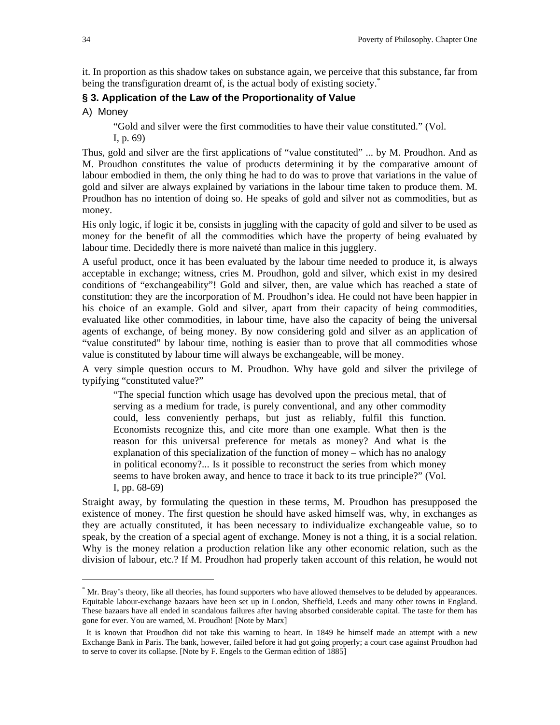it. In proportion as this shadow takes on substance again, we perceive that this substance, far from being the transfiguration dreamt of, is the actual body of existing society.<sup>\*</sup>

#### **§ 3. Application of the Law of the Proportionality of Value**

### A) Money

"Gold and silver were the first commodities to have their value constituted." (Vol. I, p. 69)

Thus, gold and silver are the first applications of "value constituted" ... by M. Proudhon. And as M. Proudhon constitutes the value of products determining it by the comparative amount of labour embodied in them, the only thing he had to do was to prove that variations in the value of gold and silver are always explained by variations in the labour time taken to produce them. M. Proudhon has no intention of doing so. He speaks of gold and silver not as commodities, but as money.

His only logic, if logic it be, consists in juggling with the capacity of gold and silver to be used as money for the benefit of all the commodities which have the property of being evaluated by labour time. Decidedly there is more naiveté than malice in this jugglery.

A useful product, once it has been evaluated by the labour time needed to produce it, is always acceptable in exchange; witness, cries M. Proudhon, gold and silver, which exist in my desired conditions of "exchangeability"! Gold and silver, then, are value which has reached a state of constitution: they are the incorporation of M. Proudhon's idea. He could not have been happier in his choice of an example. Gold and silver, apart from their capacity of being commodities, evaluated like other commodities, in labour time, have also the capacity of being the universal agents of exchange, of being money. By now considering gold and silver as an application of "value constituted" by labour time, nothing is easier than to prove that all commodities whose value is constituted by labour time will always be exchangeable, will be money.

A very simple question occurs to M. Proudhon. Why have gold and silver the privilege of typifying "constituted value?"

"The special function which usage has devolved upon the precious metal, that of serving as a medium for trade, is purely conventional, and any other commodity could, less conveniently perhaps, but just as reliably, fulfil this function. Economists recognize this, and cite more than one example. What then is the reason for this universal preference for metals as money? And what is the explanation of this specialization of the function of money – which has no analogy in political economy?... Is it possible to reconstruct the series from which money seems to have broken away, and hence to trace it back to its true principle?" (Vol. I, pp. 68-69)

Straight away, by formulating the question in these terms, M. Proudhon has presupposed the existence of money. The first question he should have asked himself was, why, in exchanges as they are actually constituted, it has been necessary to individualize exchangeable value, so to speak, by the creation of a special agent of exchange. Money is not a thing, it is a social relation. Why is the money relation a production relation like any other economic relation, such as the division of labour, etc.? If M. Proudhon had properly taken account of this relation, he would not

l

<sup>\*</sup> Mr. Bray's theory, like all theories, has found supporters who have allowed themselves to be deluded by appearances. Equitable labour-exchange bazaars have been set up in London, Sheffield, Leeds and many other towns in England. These bazaars have all ended in scandalous failures after having absorbed considerable capital. The taste for them has gone for ever. You are warned, M. Proudhon! [Note by Marx]

It is known that Proudhon did not take this warning to heart. In 1849 he himself made an attempt with a new Exchange Bank in Paris. The bank, however, failed before it had got going properly; a court case against Proudhon had to serve to cover its collapse. [Note by F. Engels to the German edition of 1885]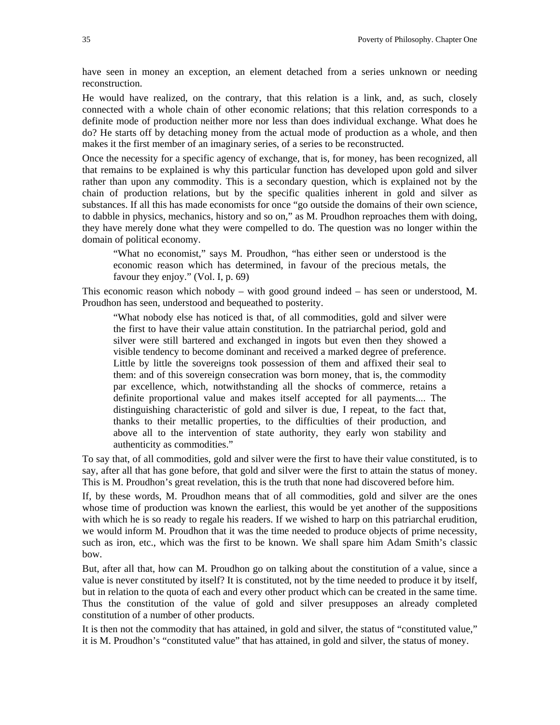have seen in money an exception, an element detached from a series unknown or needing reconstruction.

He would have realized, on the contrary, that this relation is a link, and, as such, closely connected with a whole chain of other economic relations; that this relation corresponds to a definite mode of production neither more nor less than does individual exchange. What does he do? He starts off by detaching money from the actual mode of production as a whole, and then makes it the first member of an imaginary series, of a series to be reconstructed.

Once the necessity for a specific agency of exchange, that is, for money, has been recognized, all that remains to be explained is why this particular function has developed upon gold and silver rather than upon any commodity. This is a secondary question, which is explained not by the chain of production relations, but by the specific qualities inherent in gold and silver as substances. If all this has made economists for once "go outside the domains of their own science, to dabble in physics, mechanics, history and so on," as M. Proudhon reproaches them with doing, they have merely done what they were compelled to do. The question was no longer within the domain of political economy.

"What no economist," says M. Proudhon, "has either seen or understood is the economic reason which has determined, in favour of the precious metals, the favour they enjoy." (Vol. I, p. 69)

This economic reason which nobody – with good ground indeed – has seen or understood, M. Proudhon has seen, understood and bequeathed to posterity.

"What nobody else has noticed is that, of all commodities, gold and silver were the first to have their value attain constitution. In the patriarchal period, gold and silver were still bartered and exchanged in ingots but even then they showed a visible tendency to become dominant and received a marked degree of preference. Little by little the sovereigns took possession of them and affixed their seal to them: and of this sovereign consecration was born money, that is, the commodity par excellence, which, notwithstanding all the shocks of commerce, retains a definite proportional value and makes itself accepted for all payments.... The distinguishing characteristic of gold and silver is due, I repeat, to the fact that, thanks to their metallic properties, to the difficulties of their production, and above all to the intervention of state authority, they early won stability and authenticity as commodities."

To say that, of all commodities, gold and silver were the first to have their value constituted, is to say, after all that has gone before, that gold and silver were the first to attain the status of money. This is M. Proudhon's great revelation, this is the truth that none had discovered before him.

If, by these words, M. Proudhon means that of all commodities, gold and silver are the ones whose time of production was known the earliest, this would be yet another of the suppositions with which he is so ready to regale his readers. If we wished to harp on this patriarchal erudition, we would inform M. Proudhon that it was the time needed to produce objects of prime necessity, such as iron, etc., which was the first to be known. We shall spare him Adam Smith's classic bow.

But, after all that, how can M. Proudhon go on talking about the constitution of a value, since a value is never constituted by itself? It is constituted, not by the time needed to produce it by itself, but in relation to the quota of each and every other product which can be created in the same time. Thus the constitution of the value of gold and silver presupposes an already completed constitution of a number of other products.

It is then not the commodity that has attained, in gold and silver, the status of "constituted value," it is M. Proudhon's "constituted value" that has attained, in gold and silver, the status of money.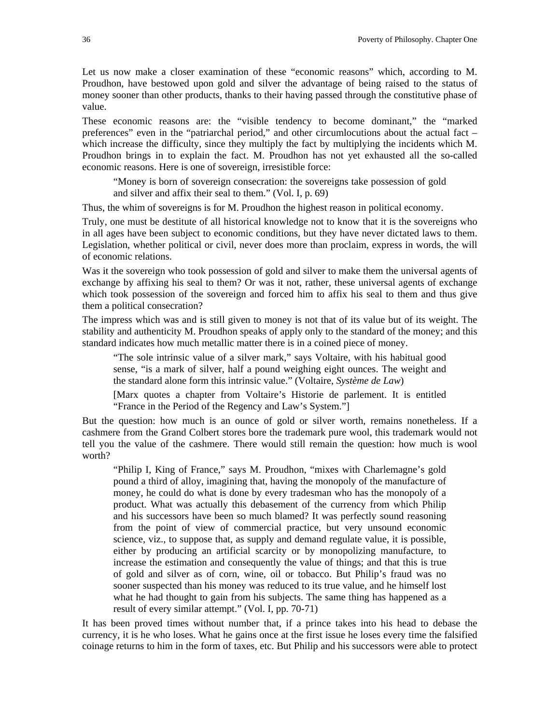Let us now make a closer examination of these "economic reasons" which, according to M. Proudhon, have bestowed upon gold and silver the advantage of being raised to the status of money sooner than other products, thanks to their having passed through the constitutive phase of value.

These economic reasons are: the "visible tendency to become dominant," the "marked preferences" even in the "patriarchal period," and other circumlocutions about the actual fact – which increase the difficulty, since they multiply the fact by multiplying the incidents which M. Proudhon brings in to explain the fact. M. Proudhon has not yet exhausted all the so-called economic reasons. Here is one of sovereign, irresistible force:

"Money is born of sovereign consecration: the sovereigns take possession of gold and silver and affix their seal to them." (Vol. I, p. 69)

Thus, the whim of sovereigns is for M. Proudhon the highest reason in political economy.

Truly, one must be destitute of all historical knowledge not to know that it is the sovereigns who in all ages have been subject to economic conditions, but they have never dictated laws to them. Legislation, whether political or civil, never does more than proclaim, express in words, the will of economic relations.

Was it the sovereign who took possession of gold and silver to make them the universal agents of exchange by affixing his seal to them? Or was it not, rather, these universal agents of exchange which took possession of the sovereign and forced him to affix his seal to them and thus give them a political consecration?

The impress which was and is still given to money is not that of its value but of its weight. The stability and authenticity M. Proudhon speaks of apply only to the standard of the money; and this standard indicates how much metallic matter there is in a coined piece of money.

"The sole intrinsic value of a silver mark," says Voltaire, with his habitual good sense, "is a mark of silver, half a pound weighing eight ounces. The weight and the standard alone form this intrinsic value." (Voltaire, *Système de Law*)

[Marx quotes a chapter from Voltaire's Historie de parlement. It is entitled "France in the Period of the Regency and Law's System."]

But the question: how much is an ounce of gold or silver worth, remains nonetheless. If a cashmere from the Grand Colbert stores bore the trademark pure wool, this trademark would not tell you the value of the cashmere. There would still remain the question: how much is wool worth?

"Philip I, King of France," says M. Proudhon, "mixes with Charlemagne's gold pound a third of alloy, imagining that, having the monopoly of the manufacture of money, he could do what is done by every tradesman who has the monopoly of a product. What was actually this debasement of the currency from which Philip and his successors have been so much blamed? It was perfectly sound reasoning from the point of view of commercial practice, but very unsound economic science, viz., to suppose that, as supply and demand regulate value, it is possible, either by producing an artificial scarcity or by monopolizing manufacture, to increase the estimation and consequently the value of things; and that this is true of gold and silver as of corn, wine, oil or tobacco. But Philip's fraud was no sooner suspected than his money was reduced to its true value, and he himself lost what he had thought to gain from his subjects. The same thing has happened as a result of every similar attempt." (Vol. I, pp. 70-71)

It has been proved times without number that, if a prince takes into his head to debase the currency, it is he who loses. What he gains once at the first issue he loses every time the falsified coinage returns to him in the form of taxes, etc. But Philip and his successors were able to protect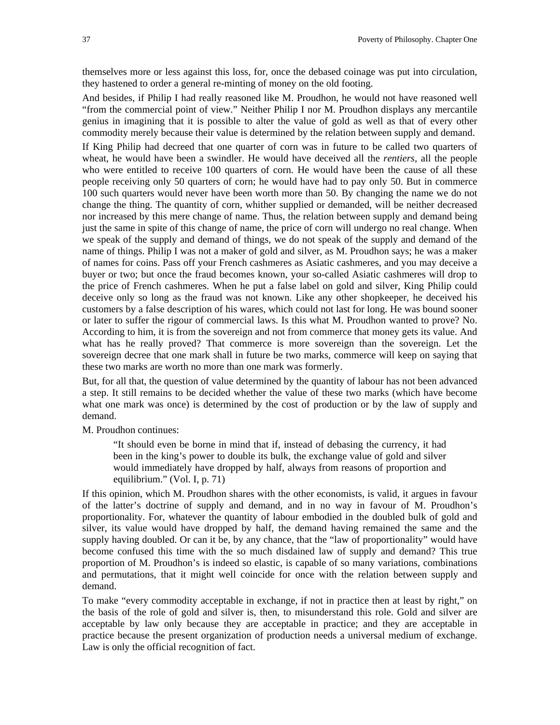themselves more or less against this loss, for, once the debased coinage was put into circulation, they hastened to order a general re-minting of money on the old footing.

And besides, if Philip I had really reasoned like M. Proudhon, he would not have reasoned well "from the commercial point of view." Neither Philip I nor M. Proudhon displays any mercantile genius in imagining that it is possible to alter the value of gold as well as that of every other commodity merely because their value is determined by the relation between supply and demand.

If King Philip had decreed that one quarter of corn was in future to be called two quarters of wheat, he would have been a swindler. He would have deceived all the *rentiers,* all the people who were entitled to receive 100 quarters of corn. He would have been the cause of all these people receiving only 50 quarters of corn; he would have had to pay only 50. But in commerce 100 such quarters would never have been worth more than 50. By changing the name we do not change the thing. The quantity of corn, whither supplied or demanded, will be neither decreased nor increased by this mere change of name. Thus, the relation between supply and demand being just the same in spite of this change of name, the price of corn will undergo no real change. When we speak of the supply and demand of things, we do not speak of the supply and demand of the name of things. Philip I was not a maker of gold and silver, as M. Proudhon says; he was a maker of names for coins. Pass off your French cashmeres as Asiatic cashmeres, and you may deceive a buyer or two; but once the fraud becomes known, your so-called Asiatic cashmeres will drop to the price of French cashmeres. When he put a false label on gold and silver, King Philip could deceive only so long as the fraud was not known. Like any other shopkeeper, he deceived his customers by a false description of his wares, which could not last for long. He was bound sooner or later to suffer the rigour of commercial laws. Is this what M. Proudhon wanted to prove? No. According to him, it is from the sovereign and not from commerce that money gets its value. And what has he really proved? That commerce is more sovereign than the sovereign. Let the sovereign decree that one mark shall in future be two marks, commerce will keep on saying that these two marks are worth no more than one mark was formerly.

But, for all that, the question of value determined by the quantity of labour has not been advanced a step. It still remains to be decided whether the value of these two marks (which have become what one mark was once) is determined by the cost of production or by the law of supply and demand.

M. Proudhon continues:

"It should even be borne in mind that if, instead of debasing the currency, it had been in the king's power to double its bulk, the exchange value of gold and silver would immediately have dropped by half, always from reasons of proportion and equilibrium." (Vol. I, p. 71)

If this opinion, which M. Proudhon shares with the other economists, is valid, it argues in favour of the latter's doctrine of supply and demand, and in no way in favour of M. Proudhon's proportionality. For, whatever the quantity of labour embodied in the doubled bulk of gold and silver, its value would have dropped by half, the demand having remained the same and the supply having doubled. Or can it be, by any chance, that the "law of proportionality" would have become confused this time with the so much disdained law of supply and demand? This true proportion of M. Proudhon's is indeed so elastic, is capable of so many variations, combinations and permutations, that it might well coincide for once with the relation between supply and demand.

To make "every commodity acceptable in exchange, if not in practice then at least by right," on the basis of the role of gold and silver is, then, to misunderstand this role. Gold and silver are acceptable by law only because they are acceptable in practice; and they are acceptable in practice because the present organization of production needs a universal medium of exchange. Law is only the official recognition of fact.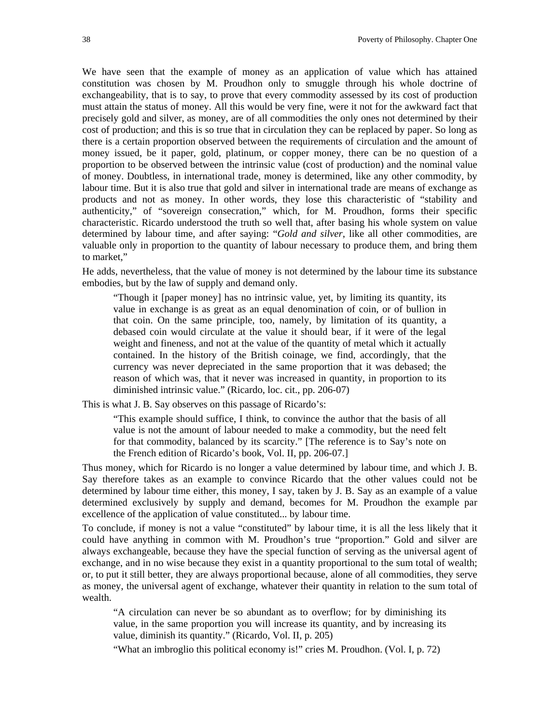We have seen that the example of money as an application of value which has attained constitution was chosen by M. Proudhon only to smuggle through his whole doctrine of exchangeability, that is to say, to prove that every commodity assessed by its cost of production must attain the status of money. All this would be very fine, were it not for the awkward fact that precisely gold and silver, as money, are of all commodities the only ones not determined by their cost of production; and this is so true that in circulation they can be replaced by paper. So long as there is a certain proportion observed between the requirements of circulation and the amount of money issued, be it paper, gold, platinum, or copper money, there can be no question of a proportion to be observed between the intrinsic value (cost of production) and the nominal value of money. Doubtless, in international trade, money is determined, like any other commodity, by labour time. But it is also true that gold and silver in international trade are means of exchange as products and not as money. In other words, they lose this characteristic of "stability and authenticity," of "sovereign consecration," which, for M. Proudhon, forms their specific characteristic. Ricardo understood the truth so well that, after basing his whole system on value determined by labour time, and after saying: "*Gold and silver*, like all other commodities, are valuable only in proportion to the quantity of labour necessary to produce them, and bring them to market,"

He adds, nevertheless, that the value of money is not determined by the labour time its substance embodies, but by the law of supply and demand only.

"Though it [paper money] has no intrinsic value, yet, by limiting its quantity, its value in exchange is as great as an equal denomination of coin, or of bullion in that coin. On the same principle, too, namely, by limitation of its quantity, a debased coin would circulate at the value it should bear, if it were of the legal weight and fineness, and not at the value of the quantity of metal which it actually contained. In the history of the British coinage, we find, accordingly, that the currency was never depreciated in the same proportion that it was debased; the reason of which was, that it never was increased in quantity, in proportion to its diminished intrinsic value." (Ricardo, loc. cit., pp. 206-07)

This is what J. B. Say observes on this passage of Ricardo's:

"This example should suffice, I think, to convince the author that the basis of all value is not the amount of labour needed to make a commodity, but the need felt for that commodity, balanced by its scarcity." [The reference is to Say's note on the French edition of Ricardo's book, Vol. II, pp. 206-07.]

Thus money, which for Ricardo is no longer a value determined by labour time, and which J. B. Say therefore takes as an example to convince Ricardo that the other values could not be determined by labour time either, this money, I say, taken by J. B. Say as an example of a value determined exclusively by supply and demand, becomes for M. Proudhon the example par excellence of the application of value constituted... by labour time.

To conclude, if money is not a value "constituted" by labour time, it is all the less likely that it could have anything in common with M. Proudhon's true "proportion." Gold and silver are always exchangeable, because they have the special function of serving as the universal agent of exchange, and in no wise because they exist in a quantity proportional to the sum total of wealth; or, to put it still better, they are always proportional because, alone of all commodities, they serve as money, the universal agent of exchange, whatever their quantity in relation to the sum total of wealth.

"A circulation can never be so abundant as to overflow; for by diminishing its value, in the same proportion you will increase its quantity, and by increasing its value, diminish its quantity." (Ricardo, Vol. II, p. 205)

"What an imbroglio this political economy is!" cries M. Proudhon. (Vol. I, p. 72)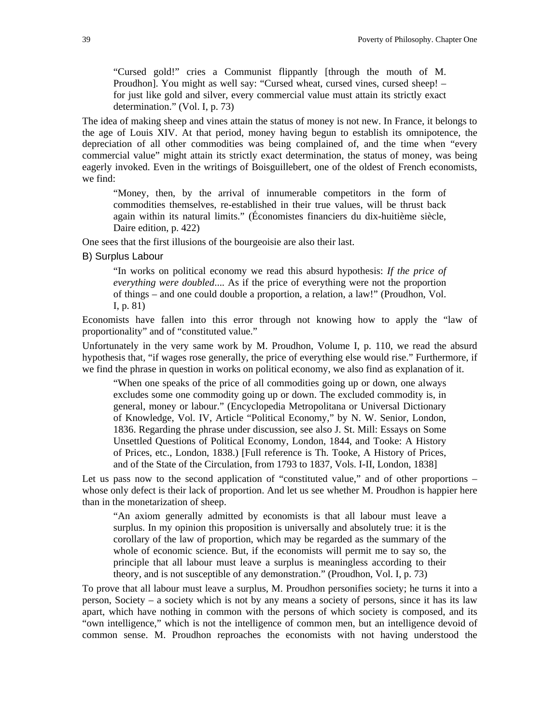"Cursed gold!" cries a Communist flippantly [through the mouth of M. Proudhon]. You might as well say: "Cursed wheat, cursed vines, cursed sheep! – for just like gold and silver, every commercial value must attain its strictly exact determination." (Vol. I, p. 73)

The idea of making sheep and vines attain the status of money is not new. In France, it belongs to the age of Louis XIV. At that period, money having begun to establish its omnipotence, the depreciation of all other commodities was being complained of, and the time when "every commercial value" might attain its strictly exact determination, the status of money, was being eagerly invoked. Even in the writings of Boisguillebert, one of the oldest of French economists, we find:

"Money, then, by the arrival of innumerable competitors in the form of commodities themselves, re-established in their true values, will be thrust back again within its natural limits." (Économistes financiers du dix-huitième siècle, Daire edition, p. 422)

One sees that the first illusions of the bourgeoisie are also their last.

B) Surplus Labour

"In works on political economy we read this absurd hypothesis: *If the price of everything were doubled*.... As if the price of everything were not the proportion of things – and one could double a proportion, a relation, a law!" (Proudhon, Vol. I, p. 81)

Economists have fallen into this error through not knowing how to apply the "law of proportionality" and of "constituted value."

Unfortunately in the very same work by M. Proudhon, Volume I, p. 110, we read the absurd hypothesis that, "if wages rose generally, the price of everything else would rise." Furthermore, if we find the phrase in question in works on political economy, we also find as explanation of it.

"When one speaks of the price of all commodities going up or down, one always excludes some one commodity going up or down. The excluded commodity is, in general, money or labour." (Encyclopedia Metropolitana or Universal Dictionary of Knowledge, Vol. IV, Article "Political Economy," by N. W. Senior, London, 1836. Regarding the phrase under discussion, see also J. St. Mill: Essays on Some Unsettled Questions of Political Economy, London, 1844, and Tooke: A History of Prices, etc., London, 1838.) [Full reference is Th. Tooke, A History of Prices, and of the State of the Circulation, from 1793 to 1837, Vols. I-II, London, 1838]

Let us pass now to the second application of "constituted value," and of other proportions – whose only defect is their lack of proportion. And let us see whether M. Proudhon is happier here than in the monetarization of sheep.

"An axiom generally admitted by economists is that all labour must leave a surplus. In my opinion this proposition is universally and absolutely true: it is the corollary of the law of proportion, which may be regarded as the summary of the whole of economic science. But, if the economists will permit me to say so, the principle that all labour must leave a surplus is meaningless according to their theory, and is not susceptible of any demonstration." (Proudhon, Vol. I, p. 73)

To prove that all labour must leave a surplus, M. Proudhon personifies society; he turns it into a person, Society – a society which is not by any means a society of persons, since it has its law apart, which have nothing in common with the persons of which society is composed, and its "own intelligence," which is not the intelligence of common men, but an intelligence devoid of common sense. M. Proudhon reproaches the economists with not having understood the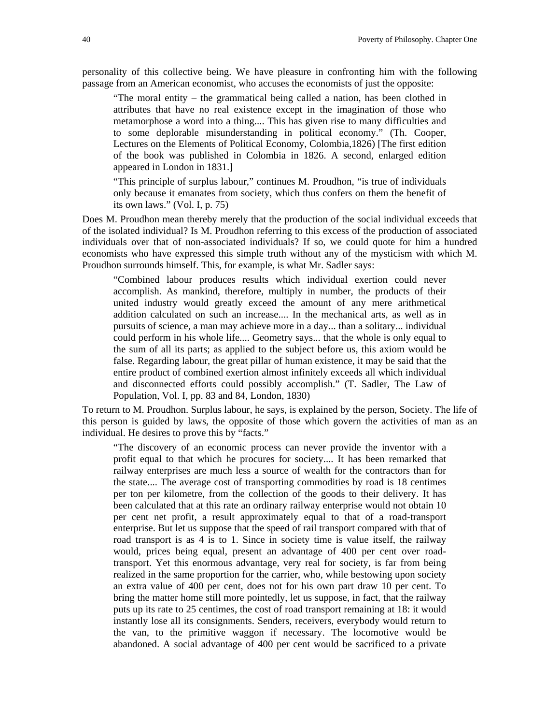personality of this collective being. We have pleasure in confronting him with the following passage from an American economist, who accuses the economists of just the opposite:

"The moral entity – the grammatical being called a nation, has been clothed in attributes that have no real existence except in the imagination of those who metamorphose a word into a thing.... This has given rise to many difficulties and to some deplorable misunderstanding in political economy." (Th. Cooper, Lectures on the Elements of Political Economy, Colombia,1826) [The first edition of the book was published in Colombia in 1826. A second, enlarged edition appeared in London in 1831.]

"This principle of surplus labour," continues M. Proudhon, "is true of individuals only because it emanates from society, which thus confers on them the benefit of its own laws." (Vol. I, p. 75)

Does M. Proudhon mean thereby merely that the production of the social individual exceeds that of the isolated individual? Is M. Proudhon referring to this excess of the production of associated individuals over that of non-associated individuals? If so, we could quote for him a hundred economists who have expressed this simple truth without any of the mysticism with which M. Proudhon surrounds himself. This, for example, is what Mr. Sadler says:

"Combined labour produces results which individual exertion could never accomplish. As mankind, therefore, multiply in number, the products of their united industry would greatly exceed the amount of any mere arithmetical addition calculated on such an increase.... In the mechanical arts, as well as in pursuits of science, a man may achieve more in a day... than a solitary... individual could perform in his whole life.... Geometry says... that the whole is only equal to the sum of all its parts; as applied to the subject before us, this axiom would be false. Regarding labour, the great pillar of human existence, it may be said that the entire product of combined exertion almost infinitely exceeds all which individual and disconnected efforts could possibly accomplish." (T. Sadler, The Law of Population, Vol. I, pp. 83 and 84, London, 1830)

To return to M. Proudhon. Surplus labour, he says, is explained by the person, Society. The life of this person is guided by laws, the opposite of those which govern the activities of man as an individual. He desires to prove this by "facts."

"The discovery of an economic process can never provide the inventor with a profit equal to that which he procures for society.... It has been remarked that railway enterprises are much less a source of wealth for the contractors than for the state.... The average cost of transporting commodities by road is 18 centimes per ton per kilometre, from the collection of the goods to their delivery. It has been calculated that at this rate an ordinary railway enterprise would not obtain 10 per cent net profit, a result approximately equal to that of a road-transport enterprise. But let us suppose that the speed of rail transport compared with that of road transport is as 4 is to 1. Since in society time is value itself, the railway would, prices being equal, present an advantage of 400 per cent over roadtransport. Yet this enormous advantage, very real for society, is far from being realized in the same proportion for the carrier, who, while bestowing upon society an extra value of 400 per cent, does not for his own part draw 10 per cent. To bring the matter home still more pointedly, let us suppose, in fact, that the railway puts up its rate to 25 centimes, the cost of road transport remaining at 18: it would instantly lose all its consignments. Senders, receivers, everybody would return to the van, to the primitive waggon if necessary. The locomotive would be abandoned. A social advantage of 400 per cent would be sacrificed to a private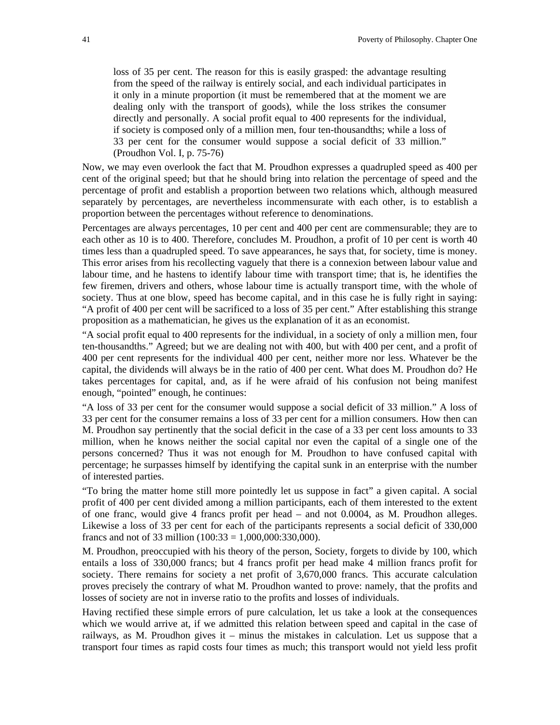loss of 35 per cent. The reason for this is easily grasped: the advantage resulting from the speed of the railway is entirely social, and each individual participates in it only in a minute proportion (it must be remembered that at the moment we are dealing only with the transport of goods), while the loss strikes the consumer directly and personally. A social profit equal to 400 represents for the individual, if society is composed only of a million men, four ten-thousandths; while a loss of 33 per cent for the consumer would suppose a social deficit of 33 million." (Proudhon Vol. I, p. 75-76)

Now, we may even overlook the fact that M. Proudhon expresses a quadrupled speed as 400 per cent of the original speed; but that he should bring into relation the percentage of speed and the percentage of profit and establish a proportion between two relations which, although measured separately by percentages, are nevertheless incommensurate with each other, is to establish a proportion between the percentages without reference to denominations.

Percentages are always percentages, 10 per cent and 400 per cent are commensurable; they are to each other as 10 is to 400. Therefore, concludes M. Proudhon, a profit of 10 per cent is worth 40 times less than a quadrupled speed. To save appearances, he says that, for society, time is money. This error arises from his recollecting vaguely that there is a connexion between labour value and labour time, and he hastens to identify labour time with transport time; that is, he identifies the few firemen, drivers and others, whose labour time is actually transport time, with the whole of society. Thus at one blow, speed has become capital, and in this case he is fully right in saying: "A profit of 400 per cent will be sacrificed to a loss of 35 per cent." After establishing this strange proposition as a mathematician, he gives us the explanation of it as an economist.

"A social profit equal to 400 represents for the individual, in a society of only a million men, four ten-thousandths." Agreed; but we are dealing not with 400, but with 400 per cent, and a profit of 400 per cent represents for the individual 400 per cent, neither more nor less. Whatever be the capital, the dividends will always be in the ratio of 400 per cent. What does M. Proudhon do? He takes percentages for capital, and, as if he were afraid of his confusion not being manifest enough, "pointed" enough, he continues:

"A loss of 33 per cent for the consumer would suppose a social deficit of 33 million." A loss of 33 per cent for the consumer remains a loss of 33 per cent for a million consumers. How then can M. Proudhon say pertinently that the social deficit in the case of a 33 per cent loss amounts to 33 million, when he knows neither the social capital nor even the capital of a single one of the persons concerned? Thus it was not enough for M. Proudhon to have confused capital with percentage; he surpasses himself by identifying the capital sunk in an enterprise with the number of interested parties.

"To bring the matter home still more pointedly let us suppose in fact" a given capital. A social profit of 400 per cent divided among a million participants, each of them interested to the extent of one franc, would give 4 francs profit per head – and not 0.0004, as M. Proudhon alleges. Likewise a loss of 33 per cent for each of the participants represents a social deficit of 330,000 francs and not of 33 million  $(100:33 = 1,000,000:330,000)$ .

M. Proudhon, preoccupied with his theory of the person, Society, forgets to divide by 100, which entails a loss of 330,000 francs; but 4 francs profit per head make 4 million francs profit for society. There remains for society a net profit of 3,670,000 francs. This accurate calculation proves precisely the contrary of what M. Proudhon wanted to prove: namely, that the profits and losses of society are not in inverse ratio to the profits and losses of individuals.

Having rectified these simple errors of pure calculation, let us take a look at the consequences which we would arrive at, if we admitted this relation between speed and capital in the case of railways, as M. Proudhon gives it – minus the mistakes in calculation. Let us suppose that a transport four times as rapid costs four times as much; this transport would not yield less profit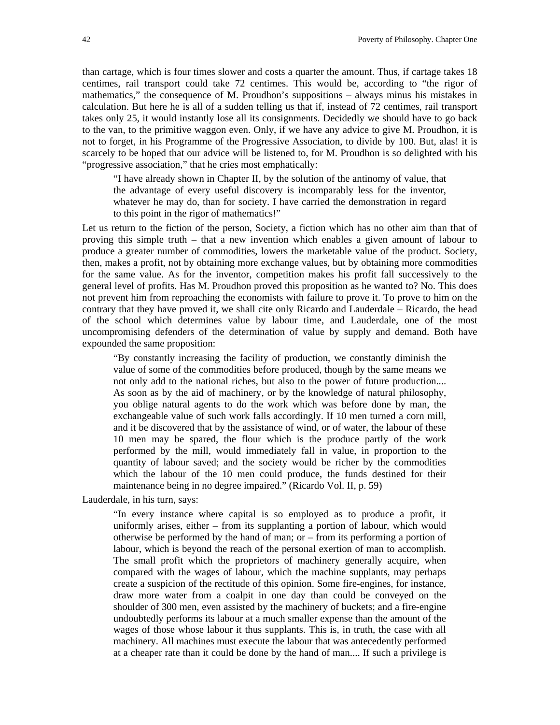than cartage, which is four times slower and costs a quarter the amount. Thus, if cartage takes 18 centimes, rail transport could take 72 centimes. This would be, according to "the rigor of mathematics," the consequence of M. Proudhon's suppositions – always minus his mistakes in calculation. But here he is all of a sudden telling us that if, instead of 72 centimes, rail transport takes only 25, it would instantly lose all its consignments. Decidedly we should have to go back to the van, to the primitive waggon even. Only, if we have any advice to give M. Proudhon, it is not to forget, in his Programme of the Progressive Association, to divide by 100. But, alas! it is scarcely to be hoped that our advice will be listened to, for M. Proudhon is so delighted with his "progressive association," that he cries most emphatically:

"I have already shown in Chapter II, by the solution of the antinomy of value, that the advantage of every useful discovery is incomparably less for the inventor, whatever he may do, than for society. I have carried the demonstration in regard to this point in the rigor of mathematics!"

Let us return to the fiction of the person, Society, a fiction which has no other aim than that of proving this simple truth – that a new invention which enables a given amount of labour to produce a greater number of commodities, lowers the marketable value of the product. Society, then, makes a profit, not by obtaining more exchange values, but by obtaining more commodities for the same value. As for the inventor, competition makes his profit fall successively to the general level of profits. Has M. Proudhon proved this proposition as he wanted to? No. This does not prevent him from reproaching the economists with failure to prove it. To prove to him on the contrary that they have proved it, we shall cite only Ricardo and Lauderdale – Ricardo, the head of the school which determines value by labour time, and Lauderdale, one of the most uncompromising defenders of the determination of value by supply and demand. Both have expounded the same proposition:

"By constantly increasing the facility of production, we constantly diminish the value of some of the commodities before produced, though by the same means we not only add to the national riches, but also to the power of future production.... As soon as by the aid of machinery, or by the knowledge of natural philosophy, you oblige natural agents to do the work which was before done by man, the exchangeable value of such work falls accordingly. If 10 men turned a corn mill, and it be discovered that by the assistance of wind, or of water, the labour of these 10 men may be spared, the flour which is the produce partly of the work performed by the mill, would immediately fall in value, in proportion to the quantity of labour saved; and the society would be richer by the commodities which the labour of the 10 men could produce, the funds destined for their maintenance being in no degree impaired." (Ricardo Vol. II, p. 59)

Lauderdale, in his turn, says:

"In every instance where capital is so employed as to produce a profit, it uniformly arises, either – from its supplanting a portion of labour, which would otherwise be performed by the hand of man; or – from its performing a portion of labour, which is beyond the reach of the personal exertion of man to accomplish. The small profit which the proprietors of machinery generally acquire, when compared with the wages of labour, which the machine supplants, may perhaps create a suspicion of the rectitude of this opinion. Some fire-engines, for instance, draw more water from a coalpit in one day than could be conveyed on the shoulder of 300 men, even assisted by the machinery of buckets; and a fire-engine undoubtedly performs its labour at a much smaller expense than the amount of the wages of those whose labour it thus supplants. This is, in truth, the case with all machinery. All machines must execute the labour that was antecedently performed at a cheaper rate than it could be done by the hand of man.... If such a privilege is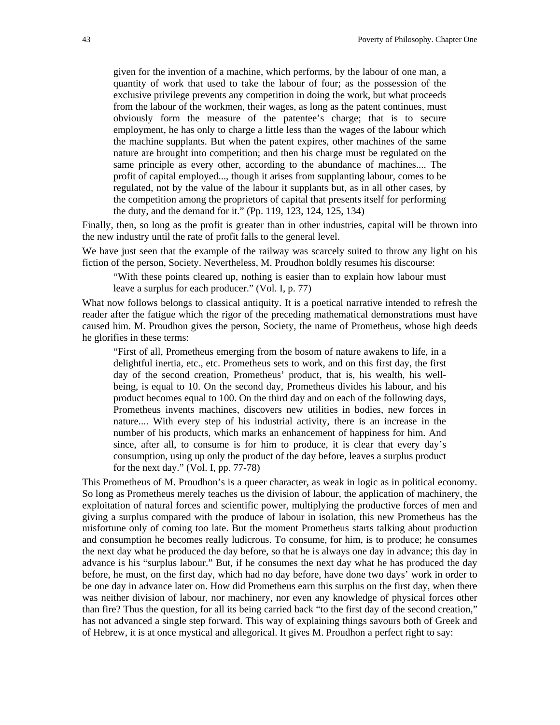given for the invention of a machine, which performs, by the labour of one man, a quantity of work that used to take the labour of four; as the possession of the exclusive privilege prevents any competition in doing the work, but what proceeds from the labour of the workmen, their wages, as long as the patent continues, must obviously form the measure of the patentee's charge; that is to secure employment, he has only to charge a little less than the wages of the labour which the machine supplants. But when the patent expires, other machines of the same nature are brought into competition; and then his charge must be regulated on the same principle as every other, according to the abundance of machines.... The profit of capital employed..., though it arises from supplanting labour, comes to be regulated, not by the value of the labour it supplants but, as in all other cases, by the competition among the proprietors of capital that presents itself for performing the duty, and the demand for it." (Pp. 119, 123, 124, 125, 134)

Finally, then, so long as the profit is greater than in other industries, capital will be thrown into the new industry until the rate of profit falls to the general level.

We have just seen that the example of the railway was scarcely suited to throw any light on his fiction of the person, Society. Nevertheless, M. Proudhon boldly resumes his discourse:

"With these points cleared up, nothing is easier than to explain how labour must leave a surplus for each producer." (Vol. I, p. 77)

What now follows belongs to classical antiquity. It is a poetical narrative intended to refresh the reader after the fatigue which the rigor of the preceding mathematical demonstrations must have caused him. M. Proudhon gives the person, Society, the name of Prometheus, whose high deeds he glorifies in these terms:

"First of all, Prometheus emerging from the bosom of nature awakens to life, in a delightful inertia, etc., etc. Prometheus sets to work, and on this first day, the first day of the second creation, Prometheus' product, that is, his wealth, his wellbeing, is equal to 10. On the second day, Prometheus divides his labour, and his product becomes equal to 100. On the third day and on each of the following days, Prometheus invents machines, discovers new utilities in bodies, new forces in nature.... With every step of his industrial activity, there is an increase in the number of his products, which marks an enhancement of happiness for him. And since, after all, to consume is for him to produce, it is clear that every day's consumption, using up only the product of the day before, leaves a surplus product for the next day." (Vol. I, pp. 77-78)

This Prometheus of M. Proudhon's is a queer character, as weak in logic as in political economy. So long as Prometheus merely teaches us the division of labour, the application of machinery, the exploitation of natural forces and scientific power, multiplying the productive forces of men and giving a surplus compared with the produce of labour in isolation, this new Prometheus has the misfortune only of coming too late. But the moment Prometheus starts talking about production and consumption he becomes really ludicrous. To consume, for him, is to produce; he consumes the next day what he produced the day before, so that he is always one day in advance; this day in advance is his "surplus labour." But, if he consumes the next day what he has produced the day before, he must, on the first day, which had no day before, have done two days' work in order to be one day in advance later on. How did Prometheus earn this surplus on the first day, when there was neither division of labour, nor machinery, nor even any knowledge of physical forces other than fire? Thus the question, for all its being carried back "to the first day of the second creation," has not advanced a single step forward. This way of explaining things savours both of Greek and of Hebrew, it is at once mystical and allegorical. It gives M. Proudhon a perfect right to say: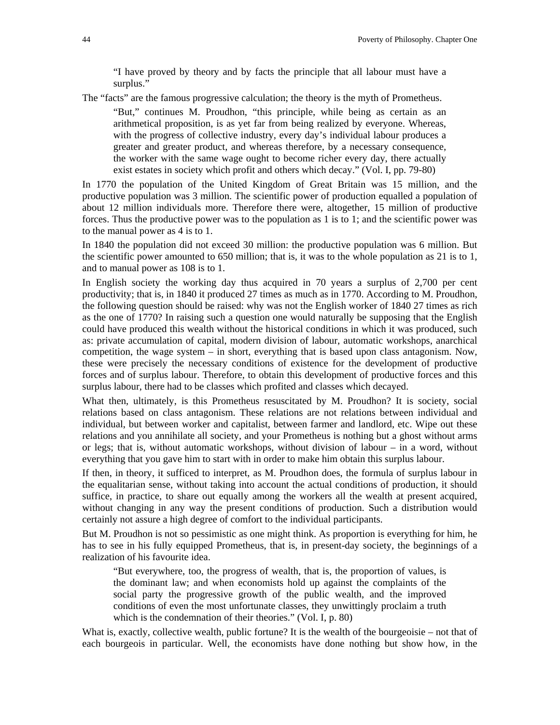"I have proved by theory and by facts the principle that all labour must have a surplus."

The "facts" are the famous progressive calculation; the theory is the myth of Prometheus.

"But," continues M. Proudhon, "this principle, while being as certain as an arithmetical proposition, is as yet far from being realized by everyone. Whereas, with the progress of collective industry, every day's individual labour produces a greater and greater product, and whereas therefore, by a necessary consequence, the worker with the same wage ought to become richer every day, there actually exist estates in society which profit and others which decay." (Vol. I, pp. 79-80)

In 1770 the population of the United Kingdom of Great Britain was 15 million, and the productive population was 3 million. The scientific power of production equalled a population of about 12 million individuals more. Therefore there were, altogether, 15 million of productive forces. Thus the productive power was to the population as 1 is to 1; and the scientific power was to the manual power as 4 is to 1.

In 1840 the population did not exceed 30 million: the productive population was 6 million. But the scientific power amounted to 650 million; that is, it was to the whole population as 21 is to 1, and to manual power as 108 is to 1.

In English society the working day thus acquired in 70 years a surplus of 2,700 per cent productivity; that is, in 1840 it produced 27 times as much as in 1770. According to M. Proudhon, the following question should be raised: why was not the English worker of 1840 27 times as rich as the one of 1770? In raising such a question one would naturally be supposing that the English could have produced this wealth without the historical conditions in which it was produced, such as: private accumulation of capital, modern division of labour, automatic workshops, anarchical competition, the wage system – in short, everything that is based upon class antagonism. Now, these were precisely the necessary conditions of existence for the development of productive forces and of surplus labour. Therefore, to obtain this development of productive forces and this surplus labour, there had to be classes which profited and classes which decayed.

What then, ultimately, is this Prometheus resuscitated by M. Proudhon? It is society, social relations based on class antagonism. These relations are not relations between individual and individual, but between worker and capitalist, between farmer and landlord, etc. Wipe out these relations and you annihilate all society, and your Prometheus is nothing but a ghost without arms or legs; that is, without automatic workshops, without division of labour – in a word, without everything that you gave him to start with in order to make him obtain this surplus labour.

If then, in theory, it sufficed to interpret, as M. Proudhon does, the formula of surplus labour in the equalitarian sense, without taking into account the actual conditions of production, it should suffice, in practice, to share out equally among the workers all the wealth at present acquired, without changing in any way the present conditions of production. Such a distribution would certainly not assure a high degree of comfort to the individual participants.

But M. Proudhon is not so pessimistic as one might think. As proportion is everything for him, he has to see in his fully equipped Prometheus, that is, in present-day society, the beginnings of a realization of his favourite idea.

"But everywhere, too, the progress of wealth, that is, the proportion of values, is the dominant law; and when economists hold up against the complaints of the social party the progressive growth of the public wealth, and the improved conditions of even the most unfortunate classes, they unwittingly proclaim a truth which is the condemnation of their theories." (Vol. I, p. 80)

What is, exactly, collective wealth, public fortune? It is the wealth of the bourgeoisie – not that of each bourgeois in particular. Well, the economists have done nothing but show how, in the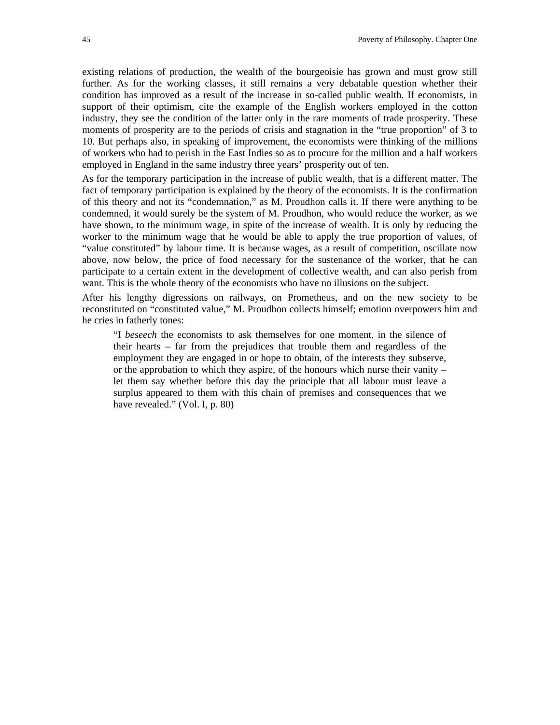existing relations of production, the wealth of the bourgeoisie has grown and must grow still further. As for the working classes, it still remains a very debatable question whether their condition has improved as a result of the increase in so-called public wealth. If economists, in support of their optimism, cite the example of the English workers employed in the cotton industry, they see the condition of the latter only in the rare moments of trade prosperity. These moments of prosperity are to the periods of crisis and stagnation in the "true proportion" of 3 to 10. But perhaps also, in speaking of improvement, the economists were thinking of the millions of workers who had to perish in the East Indies so as to procure for the million and a half workers employed in England in the same industry three years' prosperity out of ten.

As for the temporary participation in the increase of public wealth, that is a different matter. The fact of temporary participation is explained by the theory of the economists. It is the confirmation of this theory and not its "condemnation," as M. Proudhon calls it. If there were anything to be condemned, it would surely be the system of M. Proudhon, who would reduce the worker, as we have shown, to the minimum wage, in spite of the increase of wealth. It is only by reducing the worker to the minimum wage that he would be able to apply the true proportion of values, of "value constituted" by labour time. It is because wages, as a result of competition, oscillate now above, now below, the price of food necessary for the sustenance of the worker, that he can participate to a certain extent in the development of collective wealth, and can also perish from want. This is the whole theory of the economists who have no illusions on the subject.

After his lengthy digressions on railways, on Prometheus, and on the new society to be reconstituted on "constituted value," M. Proudhon collects himself; emotion overpowers him and he cries in fatherly tones:

"I *beseech* the economists to ask themselves for one moment, in the silence of their hearts – far from the prejudices that trouble them and regardless of the employment they are engaged in or hope to obtain, of the interests they subserve, or the approbation to which they aspire, of the honours which nurse their vanity – let them say whether before this day the principle that all labour must leave a surplus appeared to them with this chain of premises and consequences that we have revealed." (Vol. I, p. 80)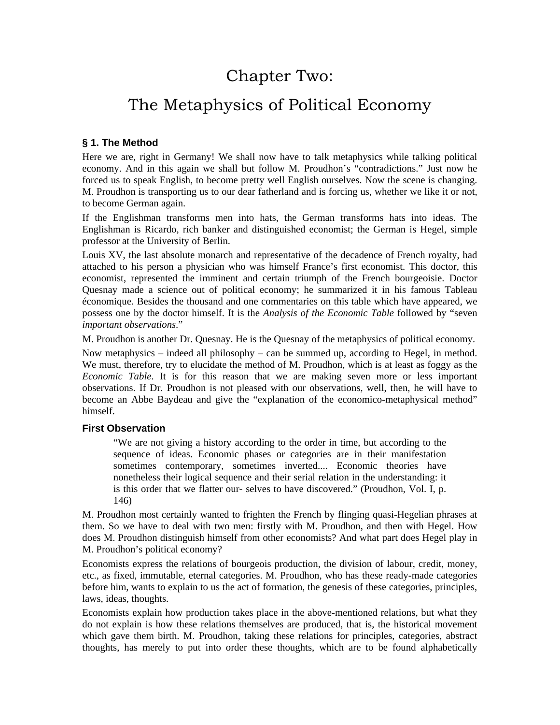# Chapter Two:

## The Metaphysics of Political Economy

## **§ 1. The Method**

Here we are, right in Germany! We shall now have to talk metaphysics while talking political economy. And in this again we shall but follow M. Proudhon's "contradictions." Just now he forced us to speak English, to become pretty well English ourselves. Now the scene is changing. M. Proudhon is transporting us to our dear fatherland and is forcing us, whether we like it or not, to become German again.

If the Englishman transforms men into hats, the German transforms hats into ideas. The Englishman is Ricardo, rich banker and distinguished economist; the German is Hegel, simple professor at the University of Berlin.

Louis XV, the last absolute monarch and representative of the decadence of French royalty, had attached to his person a physician who was himself France's first economist. This doctor, this economist, represented the imminent and certain triumph of the French bourgeoisie. Doctor Quesnay made a science out of political economy; he summarized it in his famous Tableau économique. Besides the thousand and one commentaries on this table which have appeared, we possess one by the doctor himself. It is the *Analysis of the Economic Table* followed by "seven *important observations*."

M. Proudhon is another Dr. Quesnay. He is the Quesnay of the metaphysics of political economy.

Now metaphysics – indeed all philosophy – can be summed up, according to Hegel, in method. We must, therefore, try to elucidate the method of M. Proudhon, which is at least as foggy as the *Economic Table*. It is for this reason that we are making seven more or less important observations. If Dr. Proudhon is not pleased with our observations, well, then, he will have to become an Abbe Baydeau and give the "explanation of the economico-metaphysical method" himself.

## **First Observation**

"We are not giving a history according to the order in time, but according to the sequence of ideas. Economic phases or categories are in their manifestation sometimes contemporary, sometimes inverted.... Economic theories have nonetheless their logical sequence and their serial relation in the understanding: it is this order that we flatter our- selves to have discovered." (Proudhon, Vol. I, p. 146)

M. Proudhon most certainly wanted to frighten the French by flinging quasi-Hegelian phrases at them. So we have to deal with two men: firstly with M. Proudhon, and then with Hegel. How does M. Proudhon distinguish himself from other economists? And what part does Hegel play in M. Proudhon's political economy?

Economists express the relations of bourgeois production, the division of labour, credit, money, etc., as fixed, immutable, eternal categories. M. Proudhon, who has these ready-made categories before him, wants to explain to us the act of formation, the genesis of these categories, principles, laws, ideas, thoughts.

Economists explain how production takes place in the above-mentioned relations, but what they do not explain is how these relations themselves are produced, that is, the historical movement which gave them birth. M. Proudhon, taking these relations for principles, categories, abstract thoughts, has merely to put into order these thoughts, which are to be found alphabetically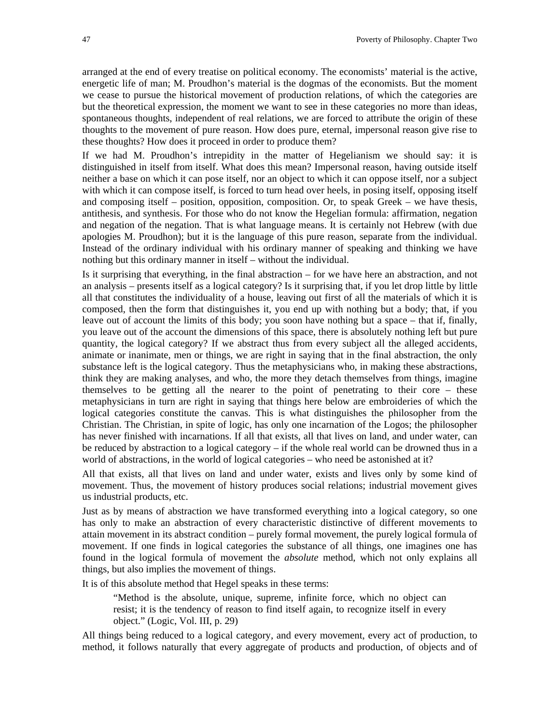arranged at the end of every treatise on political economy. The economists' material is the active, energetic life of man; M. Proudhon's material is the dogmas of the economists. But the moment we cease to pursue the historical movement of production relations, of which the categories are but the theoretical expression, the moment we want to see in these categories no more than ideas, spontaneous thoughts, independent of real relations, we are forced to attribute the origin of these thoughts to the movement of pure reason. How does pure, eternal, impersonal reason give rise to these thoughts? How does it proceed in order to produce them?

If we had M. Proudhon's intrepidity in the matter of Hegelianism we should say: it is distinguished in itself from itself. What does this mean? Impersonal reason, having outside itself neither a base on which it can pose itself, nor an object to which it can oppose itself, nor a subject with which it can compose itself, is forced to turn head over heels, in posing itself, opposing itself and composing itself – position, opposition, composition. Or, to speak Greek – we have thesis, antithesis, and synthesis. For those who do not know the Hegelian formula: affirmation, negation and negation of the negation. That is what language means. It is certainly not Hebrew (with due apologies M. Proudhon); but it is the language of this pure reason, separate from the individual. Instead of the ordinary individual with his ordinary manner of speaking and thinking we have nothing but this ordinary manner in itself – without the individual.

Is it surprising that everything, in the final abstraction – for we have here an abstraction, and not an analysis – presents itself as a logical category? Is it surprising that, if you let drop little by little all that constitutes the individuality of a house, leaving out first of all the materials of which it is composed, then the form that distinguishes it, you end up with nothing but a body; that, if you leave out of account the limits of this body; you soon have nothing but a space – that if, finally, you leave out of the account the dimensions of this space, there is absolutely nothing left but pure quantity, the logical category? If we abstract thus from every subject all the alleged accidents, animate or inanimate, men or things, we are right in saying that in the final abstraction, the only substance left is the logical category. Thus the metaphysicians who, in making these abstractions, think they are making analyses, and who, the more they detach themselves from things, imagine themselves to be getting all the nearer to the point of penetrating to their core – these metaphysicians in turn are right in saying that things here below are embroideries of which the logical categories constitute the canvas. This is what distinguishes the philosopher from the Christian. The Christian, in spite of logic, has only one incarnation of the Logos; the philosopher has never finished with incarnations. If all that exists, all that lives on land, and under water, can be reduced by abstraction to a logical category – if the whole real world can be drowned thus in a world of abstractions, in the world of logical categories – who need be astonished at it?

All that exists, all that lives on land and under water, exists and lives only by some kind of movement. Thus, the movement of history produces social relations; industrial movement gives us industrial products, etc.

Just as by means of abstraction we have transformed everything into a logical category, so one has only to make an abstraction of every characteristic distinctive of different movements to attain movement in its abstract condition – purely formal movement, the purely logical formula of movement. If one finds in logical categories the substance of all things, one imagines one has found in the logical formula of movement the *absolute* method, which not only explains all things, but also implies the movement of things.

It is of this absolute method that Hegel speaks in these terms:

"Method is the absolute, unique, supreme, infinite force, which no object can resist; it is the tendency of reason to find itself again, to recognize itself in every object." (Logic, Vol. III, p. 29)

All things being reduced to a logical category, and every movement, every act of production, to method, it follows naturally that every aggregate of products and production, of objects and of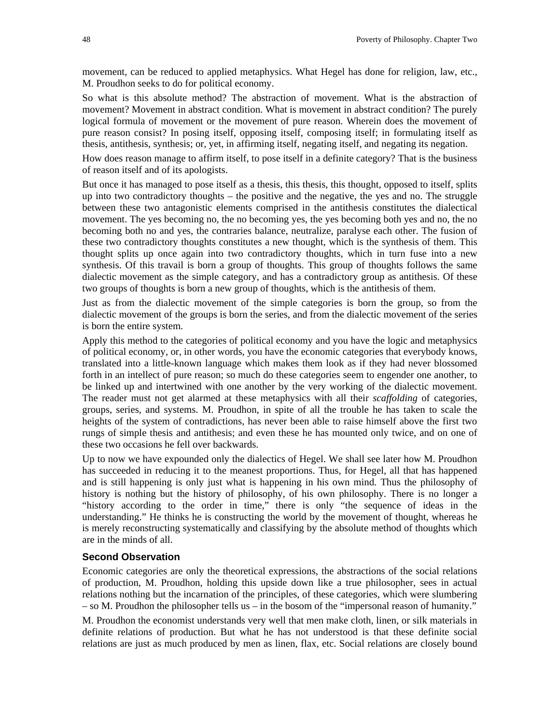movement, can be reduced to applied metaphysics. What Hegel has done for religion, law, etc., M. Proudhon seeks to do for political economy.

So what is this absolute method? The abstraction of movement. What is the abstraction of movement? Movement in abstract condition. What is movement in abstract condition? The purely logical formula of movement or the movement of pure reason. Wherein does the movement of pure reason consist? In posing itself, opposing itself, composing itself; in formulating itself as thesis, antithesis, synthesis; or, yet, in affirming itself, negating itself, and negating its negation.

How does reason manage to affirm itself, to pose itself in a definite category? That is the business of reason itself and of its apologists.

But once it has managed to pose itself as a thesis, this thesis, this thought, opposed to itself, splits up into two contradictory thoughts – the positive and the negative, the yes and no. The struggle between these two antagonistic elements comprised in the antithesis constitutes the dialectical movement. The yes becoming no, the no becoming yes, the yes becoming both yes and no, the no becoming both no and yes, the contraries balance, neutralize, paralyse each other. The fusion of these two contradictory thoughts constitutes a new thought, which is the synthesis of them. This thought splits up once again into two contradictory thoughts, which in turn fuse into a new synthesis. Of this travail is born a group of thoughts. This group of thoughts follows the same dialectic movement as the simple category, and has a contradictory group as antithesis. Of these two groups of thoughts is born a new group of thoughts, which is the antithesis of them.

Just as from the dialectic movement of the simple categories is born the group, so from the dialectic movement of the groups is born the series, and from the dialectic movement of the series is born the entire system.

Apply this method to the categories of political economy and you have the logic and metaphysics of political economy, or, in other words, you have the economic categories that everybody knows, translated into a little-known language which makes them look as if they had never blossomed forth in an intellect of pure reason; so much do these categories seem to engender one another, to be linked up and intertwined with one another by the very working of the dialectic movement. The reader must not get alarmed at these metaphysics with all their *scaffolding* of categories, groups, series, and systems. M. Proudhon, in spite of all the trouble he has taken to scale the heights of the system of contradictions, has never been able to raise himself above the first two rungs of simple thesis and antithesis; and even these he has mounted only twice, and on one of these two occasions he fell over backwards.

Up to now we have expounded only the dialectics of Hegel. We shall see later how M. Proudhon has succeeded in reducing it to the meanest proportions. Thus, for Hegel, all that has happened and is still happening is only just what is happening in his own mind. Thus the philosophy of history is nothing but the history of philosophy, of his own philosophy. There is no longer a "history according to the order in time," there is only "the sequence of ideas in the understanding." He thinks he is constructing the world by the movement of thought, whereas he is merely reconstructing systematically and classifying by the absolute method of thoughts which are in the minds of all.

#### **Second Observation**

Economic categories are only the theoretical expressions, the abstractions of the social relations of production, M. Proudhon, holding this upside down like a true philosopher, sees in actual relations nothing but the incarnation of the principles, of these categories, which were slumbering – so M. Proudhon the philosopher tells us – in the bosom of the "impersonal reason of humanity."

M. Proudhon the economist understands very well that men make cloth, linen, or silk materials in definite relations of production. But what he has not understood is that these definite social relations are just as much produced by men as linen, flax, etc. Social relations are closely bound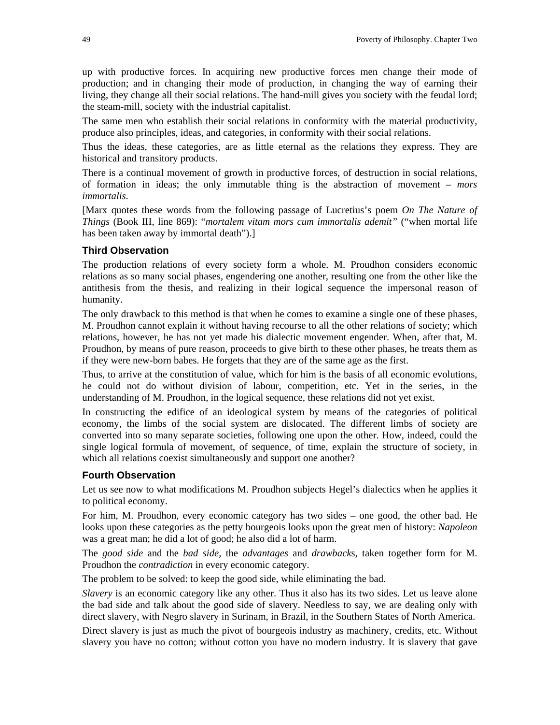up with productive forces. In acquiring new productive forces men change their mode of production; and in changing their mode of production, in changing the way of earning their living, they change all their social relations. The hand-mill gives you society with the feudal lord; the steam-mill, society with the industrial capitalist.

The same men who establish their social relations in conformity with the material productivity, produce also principles, ideas, and categories, in conformity with their social relations.

Thus the ideas, these categories, are as little eternal as the relations they express. They are historical and transitory products.

There is a continual movement of growth in productive forces, of destruction in social relations, of formation in ideas; the only immutable thing is the abstraction of movement – *mors immortalis*.

[Marx quotes these words from the following passage of Lucretius's poem *On The Nature of Things* (Book III, line 869): "*mortalem vitam mors cum immortalis ademit"* ("when mortal life has been taken away by immortal death").]

## **Third Observation**

The production relations of every society form a whole. M. Proudhon considers economic relations as so many social phases, engendering one another, resulting one from the other like the antithesis from the thesis, and realizing in their logical sequence the impersonal reason of humanity.

The only drawback to this method is that when he comes to examine a single one of these phases, M. Proudhon cannot explain it without having recourse to all the other relations of society; which relations, however, he has not yet made his dialectic movement engender. When, after that, M. Proudhon, by means of pure reason, proceeds to give birth to these other phases, he treats them as if they were new-born babes. He forgets that they are of the same age as the first.

Thus, to arrive at the constitution of value, which for him is the basis of all economic evolutions, he could not do without division of labour, competition, etc. Yet in the series, in the understanding of M. Proudhon, in the logical sequence, these relations did not yet exist.

In constructing the edifice of an ideological system by means of the categories of political economy, the limbs of the social system are dislocated. The different limbs of society are converted into so many separate societies, following one upon the other. How, indeed, could the single logical formula of movement, of sequence, of time, explain the structure of society, in which all relations coexist simultaneously and support one another?

### **Fourth Observation**

Let us see now to what modifications M. Proudhon subjects Hegel's dialectics when he applies it to political economy.

For him, M. Proudhon, every economic category has two sides – one good, the other bad. He looks upon these categories as the petty bourgeois looks upon the great men of history: *Napoleon* was a great man; he did a lot of good; he also did a lot of harm.

The *good side* and the *bad side*, the *advantages* and *drawback*s, taken together form for M. Proudhon the *contradiction* in every economic category.

The problem to be solved: to keep the good side, while eliminating the bad.

*Slavery* is an economic category like any other. Thus it also has its two sides. Let us leave alone the bad side and talk about the good side of slavery. Needless to say, we are dealing only with direct slavery, with Negro slavery in Surinam, in Brazil, in the Southern States of North America.

Direct slavery is just as much the pivot of bourgeois industry as machinery, credits, etc. Without slavery you have no cotton; without cotton you have no modern industry. It is slavery that gave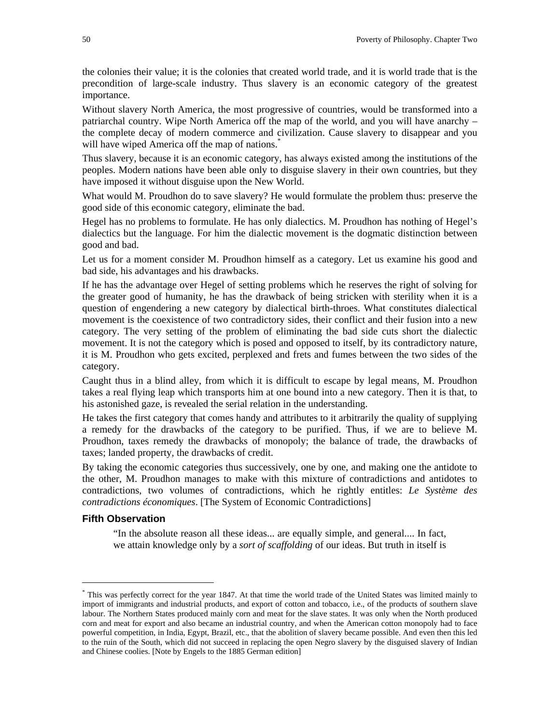the colonies their value; it is the colonies that created world trade, and it is world trade that is the precondition of large-scale industry. Thus slavery is an economic category of the greatest importance.

Without slavery North America, the most progressive of countries, would be transformed into a patriarchal country. Wipe North America off the map of the world, and you will have anarchy – the complete decay of modern commerce and civilization. Cause slavery to disappear and you will have wiped America off the map of nations.<sup>\*</sup>

Thus slavery, because it is an economic category, has always existed among the institutions of the peoples. Modern nations have been able only to disguise slavery in their own countries, but they have imposed it without disguise upon the New World.

What would M. Proudhon do to save slavery? He would formulate the problem thus: preserve the good side of this economic category, eliminate the bad.

Hegel has no problems to formulate. He has only dialectics. M. Proudhon has nothing of Hegel's dialectics but the language. For him the dialectic movement is the dogmatic distinction between good and bad.

Let us for a moment consider M. Proudhon himself as a category. Let us examine his good and bad side, his advantages and his drawbacks.

If he has the advantage over Hegel of setting problems which he reserves the right of solving for the greater good of humanity, he has the drawback of being stricken with sterility when it is a question of engendering a new category by dialectical birth-throes. What constitutes dialectical movement is the coexistence of two contradictory sides, their conflict and their fusion into a new category. The very setting of the problem of eliminating the bad side cuts short the dialectic movement. It is not the category which is posed and opposed to itself, by its contradictory nature, it is M. Proudhon who gets excited, perplexed and frets and fumes between the two sides of the category.

Caught thus in a blind alley, from which it is difficult to escape by legal means, M. Proudhon takes a real flying leap which transports him at one bound into a new category. Then it is that, to his astonished gaze, is revealed the serial relation in the understanding.

He takes the first category that comes handy and attributes to it arbitrarily the quality of supplying a remedy for the drawbacks of the category to be purified. Thus, if we are to believe M. Proudhon, taxes remedy the drawbacks of monopoly; the balance of trade, the drawbacks of taxes; landed property, the drawbacks of credit.

By taking the economic categories thus successively, one by one, and making one the antidote to the other, M. Proudhon manages to make with this mixture of contradictions and antidotes to contradictions, two volumes of contradictions, which he rightly entitles: *Le Système des contradictions économiques*. [The System of Economic Contradictions]

## **Fifth Observation**

l

"In the absolute reason all these ideas... are equally simple, and general.... In fact, we attain knowledge only by a *sort of scaffolding* of our ideas. But truth in itself is

<sup>\*</sup> This was perfectly correct for the year 1847. At that time the world trade of the United States was limited mainly to import of immigrants and industrial products, and export of cotton and tobacco, i.e., of the products of southern slave labour. The Northern States produced mainly corn and meat for the slave states. It was only when the North produced corn and meat for export and also became an industrial country, and when the American cotton monopoly had to face powerful competition, in India, Egypt, Brazil, etc., that the abolition of slavery became possible. And even then this led to the ruin of the South, which did not succeed in replacing the open Negro slavery by the disguised slavery of Indian and Chinese coolies. [Note by Engels to the 1885 German edition]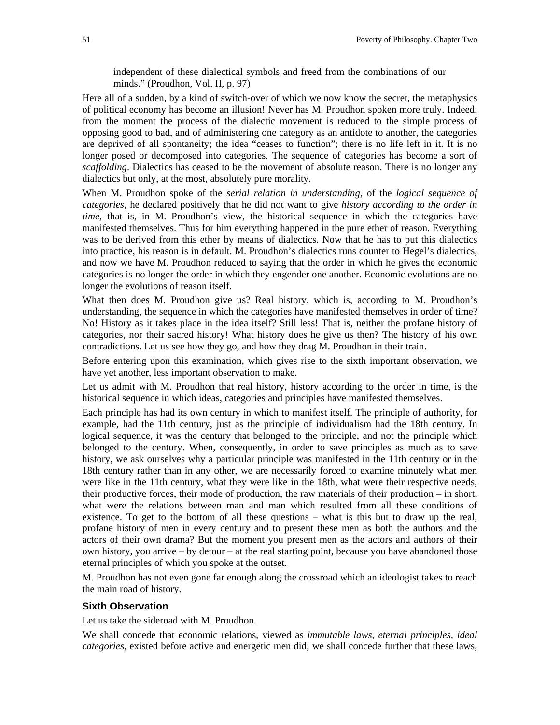independent of these dialectical symbols and freed from the combinations of our minds." (Proudhon, Vol. II, p. 97)

Here all of a sudden, by a kind of switch-over of which we now know the secret, the metaphysics of political economy has become an illusion! Never has M. Proudhon spoken more truly. Indeed, from the moment the process of the dialectic movement is reduced to the simple process of opposing good to bad, and of administering one category as an antidote to another, the categories are deprived of all spontaneity; the idea "ceases to function"; there is no life left in it. It is no longer posed or decomposed into categories. The sequence of categories has become a sort of *scaffolding*. Dialectics has ceased to be the movement of absolute reason. There is no longer any dialectics but only, at the most, absolutely pure morality.

When M. Proudhon spoke of the *serial relation in understanding*, of the *logical sequence of categories*, he declared positively that he did not want to give *history according to the order in time*, that is, in M. Proudhon's view, the historical sequence in which the categories have manifested themselves. Thus for him everything happened in the pure ether of reason. Everything was to be derived from this ether by means of dialectics. Now that he has to put this dialectics into practice, his reason is in default. M. Proudhon's dialectics runs counter to Hegel's dialectics, and now we have M. Proudhon reduced to saying that the order in which he gives the economic categories is no longer the order in which they engender one another. Economic evolutions are no longer the evolutions of reason itself.

What then does M. Proudhon give us? Real history, which is, according to M. Proudhon's understanding, the sequence in which the categories have manifested themselves in order of time? No! History as it takes place in the idea itself? Still less! That is, neither the profane history of categories, nor their sacred history! What history does he give us then? The history of his own contradictions. Let us see how they go, and how they drag M. Proudhon in their train.

Before entering upon this examination, which gives rise to the sixth important observation, we have yet another, less important observation to make.

Let us admit with M. Proudhon that real history, history according to the order in time, is the historical sequence in which ideas, categories and principles have manifested themselves.

Each principle has had its own century in which to manifest itself. The principle of authority, for example, had the 11th century, just as the principle of individualism had the 18th century. In logical sequence, it was the century that belonged to the principle, and not the principle which belonged to the century. When, consequently, in order to save principles as much as to save history, we ask ourselves why a particular principle was manifested in the 11th century or in the 18th century rather than in any other, we are necessarily forced to examine minutely what men were like in the 11th century, what they were like in the 18th, what were their respective needs, their productive forces, their mode of production, the raw materials of their production – in short, what were the relations between man and man which resulted from all these conditions of existence. To get to the bottom of all these questions – what is this but to draw up the real, profane history of men in every century and to present these men as both the authors and the actors of their own drama? But the moment you present men as the actors and authors of their own history, you arrive – by detour – at the real starting point, because you have abandoned those eternal principles of which you spoke at the outset.

M. Proudhon has not even gone far enough along the crossroad which an ideologist takes to reach the main road of history.

## **Sixth Observation**

Let us take the sideroad with M. Proudhon.

We shall concede that economic relations, viewed as *immutable laws, eternal principles, ideal categories*, existed before active and energetic men did; we shall concede further that these laws,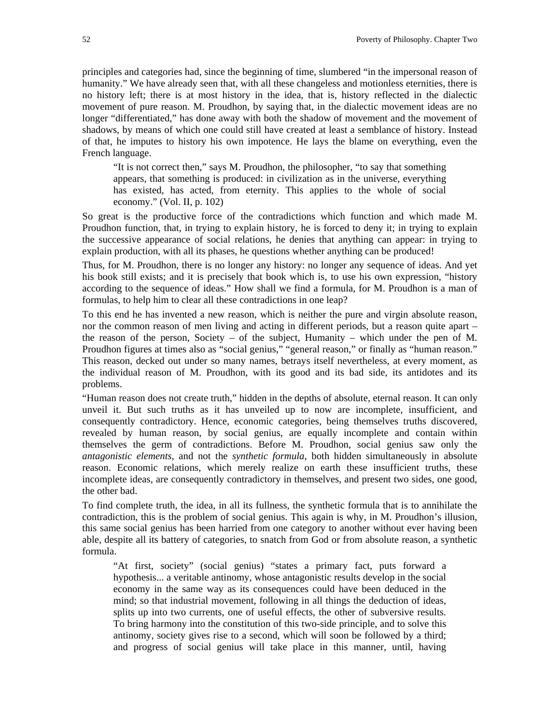principles and categories had, since the beginning of time, slumbered "in the impersonal reason of humanity." We have already seen that, with all these changeless and motionless eternities, there is no history left; there is at most history in the idea, that is, history reflected in the dialectic movement of pure reason. M. Proudhon, by saying that, in the dialectic movement ideas are no longer "differentiated," has done away with both the shadow of movement and the movement of shadows, by means of which one could still have created at least a semblance of history. Instead of that, he imputes to history his own impotence. He lays the blame on everything, even the French language.

"It is not correct then," says M. Proudhon, the philosopher, "to say that something appears, that something is produced: in civilization as in the universe, everything has existed, has acted, from eternity. This applies to the whole of social economy." (Vol. II, p. 102)

So great is the productive force of the contradictions which function and which made M. Proudhon function, that, in trying to explain history, he is forced to deny it; in trying to explain the successive appearance of social relations, he denies that anything can appear: in trying to explain production, with all its phases, he questions whether anything can be produced!

Thus, for M. Proudhon, there is no longer any history: no longer any sequence of ideas. And yet his book still exists; and it is precisely that book which is, to use his own expression, "history according to the sequence of ideas." How shall we find a formula, for M. Proudhon is a man of formulas, to help him to clear all these contradictions in one leap?

To this end he has invented a new reason, which is neither the pure and virgin absolute reason, nor the common reason of men living and acting in different periods, but a reason quite apart – the reason of the person, Society – of the subject, Humanity – which under the pen of M. Proudhon figures at times also as "social genius," "general reason," or finally as "human reason." This reason, decked out under so many names, betrays itself nevertheless, at every moment, as the individual reason of M. Proudhon, with its good and its bad side, its antidotes and its problems.

"Human reason does not create truth," hidden in the depths of absolute, eternal reason. It can only unveil it. But such truths as it has unveiled up to now are incomplete, insufficient, and consequently contradictory. Hence, economic categories, being themselves truths discovered, revealed by human reason, by social genius, are equally incomplete and contain within themselves the germ of contradictions. Before M. Proudhon, social genius saw only the *antagonistic elements*, and not the *synthetic formula*, both hidden simultaneously in absolute reason. Economic relations, which merely realize on earth these insufficient truths, these incomplete ideas, are consequently contradictory in themselves, and present two sides, one good, the other bad.

To find complete truth, the idea, in all its fullness, the synthetic formula that is to annihilate the contradiction, this is the problem of social genius. This again is why, in M. Proudhon's illusion, this same social genius has been harried from one category to another without ever having been able, despite all its battery of categories, to snatch from God or from absolute reason, a synthetic formula.

"At first, society" (social genius) "states a primary fact, puts forward a hypothesis... a veritable antinomy, whose antagonistic results develop in the social economy in the same way as its consequences could have been deduced in the mind; so that industrial movement, following in all things the deduction of ideas, splits up into two currents, one of useful effects, the other of subversive results. To bring harmony into the constitution of this two-side principle, and to solve this antinomy, society gives rise to a second, which will soon be followed by a third; and progress of social genius will take place in this manner, until, having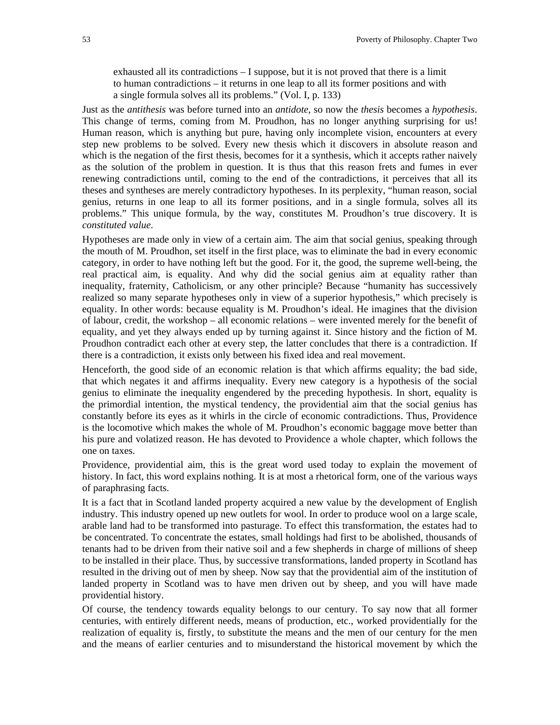exhausted all its contradictions – I suppose, but it is not proved that there is a limit to human contradictions – it returns in one leap to all its former positions and with a single formula solves all its problems." (Vol. I, p. 133)

Just as the *antithesis* was before turned into an *antidote*, so now the *thesis* becomes a *hypothesis*. This change of terms, coming from M. Proudhon, has no longer anything surprising for us! Human reason, which is anything but pure, having only incomplete vision, encounters at every step new problems to be solved. Every new thesis which it discovers in absolute reason and which is the negation of the first thesis, becomes for it a synthesis, which it accepts rather naively as the solution of the problem in question. It is thus that this reason frets and fumes in ever renewing contradictions until, coming to the end of the contradictions, it perceives that all its theses and syntheses are merely contradictory hypotheses. In its perplexity, "human reason, social genius, returns in one leap to all its former positions, and in a single formula, solves all its problems." This unique formula, by the way, constitutes M. Proudhon's true discovery. It is *constituted value*.

Hypotheses are made only in view of a certain aim. The aim that social genius, speaking through the mouth of M. Proudhon, set itself in the first place, was to eliminate the bad in every economic category, in order to have nothing left but the good. For it, the good, the supreme well-being, the real practical aim, is equality. And why did the social genius aim at equality rather than inequality, fraternity, Catholicism, or any other principle? Because "humanity has successively realized so many separate hypotheses only in view of a superior hypothesis," which precisely is equality. In other words: because equality is M. Proudhon's ideal. He imagines that the division of labour, credit, the workshop – all economic relations – were invented merely for the benefit of equality, and yet they always ended up by turning against it. Since history and the fiction of M. Proudhon contradict each other at every step, the latter concludes that there is a contradiction. If there is a contradiction, it exists only between his fixed idea and real movement.

Henceforth, the good side of an economic relation is that which affirms equality; the bad side, that which negates it and affirms inequality. Every new category is a hypothesis of the social genius to eliminate the inequality engendered by the preceding hypothesis. In short, equality is the primordial intention, the mystical tendency, the providential aim that the social genius has constantly before its eyes as it whirls in the circle of economic contradictions. Thus, Providence is the locomotive which makes the whole of M. Proudhon's economic baggage move better than his pure and volatized reason. He has devoted to Providence a whole chapter, which follows the one on taxes.

Providence, providential aim, this is the great word used today to explain the movement of history. In fact, this word explains nothing. It is at most a rhetorical form, one of the various ways of paraphrasing facts.

It is a fact that in Scotland landed property acquired a new value by the development of English industry. This industry opened up new outlets for wool. In order to produce wool on a large scale, arable land had to be transformed into pasturage. To effect this transformation, the estates had to be concentrated. To concentrate the estates, small holdings had first to be abolished, thousands of tenants had to be driven from their native soil and a few shepherds in charge of millions of sheep to be installed in their place. Thus, by successive transformations, landed property in Scotland has resulted in the driving out of men by sheep. Now say that the providential aim of the institution of landed property in Scotland was to have men driven out by sheep, and you will have made providential history.

Of course, the tendency towards equality belongs to our century. To say now that all former centuries, with entirely different needs, means of production, etc., worked providentially for the realization of equality is, firstly, to substitute the means and the men of our century for the men and the means of earlier centuries and to misunderstand the historical movement by which the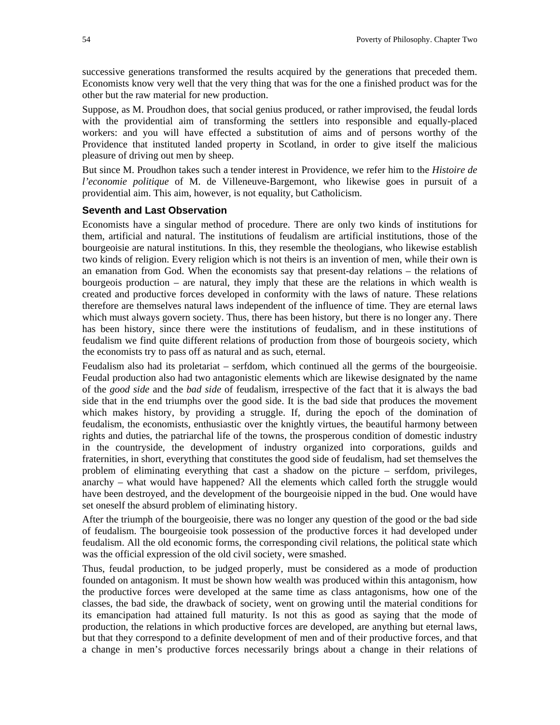successive generations transformed the results acquired by the generations that preceded them. Economists know very well that the very thing that was for the one a finished product was for the other but the raw material for new production.

Suppose, as M. Proudhon does, that social genius produced, or rather improvised, the feudal lords with the providential aim of transforming the settlers into responsible and equally-placed workers: and you will have effected a substitution of aims and of persons worthy of the Providence that instituted landed property in Scotland, in order to give itself the malicious pleasure of driving out men by sheep.

But since M. Proudhon takes such a tender interest in Providence, we refer him to the *Histoire de l'economie politique* of M. de Villeneuve-Bargemont, who likewise goes in pursuit of a providential aim. This aim, however, is not equality, but Catholicism.

#### **Seventh and Last Observation**

Economists have a singular method of procedure. There are only two kinds of institutions for them, artificial and natural. The institutions of feudalism are artificial institutions, those of the bourgeoisie are natural institutions. In this, they resemble the theologians, who likewise establish two kinds of religion. Every religion which is not theirs is an invention of men, while their own is an emanation from God. When the economists say that present-day relations – the relations of bourgeois production – are natural, they imply that these are the relations in which wealth is created and productive forces developed in conformity with the laws of nature. These relations therefore are themselves natural laws independent of the influence of time. They are eternal laws which must always govern society. Thus, there has been history, but there is no longer any. There has been history, since there were the institutions of feudalism, and in these institutions of feudalism we find quite different relations of production from those of bourgeois society, which the economists try to pass off as natural and as such, eternal.

Feudalism also had its proletariat – serfdom, which continued all the germs of the bourgeoisie. Feudal production also had two antagonistic elements which are likewise designated by the name of the *good side* and the *bad side* of feudalism, irrespective of the fact that it is always the bad side that in the end triumphs over the good side. It is the bad side that produces the movement which makes history, by providing a struggle. If, during the epoch of the domination of feudalism, the economists, enthusiastic over the knightly virtues, the beautiful harmony between rights and duties, the patriarchal life of the towns, the prosperous condition of domestic industry in the countryside, the development of industry organized into corporations, guilds and fraternities, in short, everything that constitutes the good side of feudalism, had set themselves the problem of eliminating everything that cast a shadow on the picture – serfdom, privileges, anarchy – what would have happened? All the elements which called forth the struggle would have been destroyed, and the development of the bourgeoisie nipped in the bud. One would have set oneself the absurd problem of eliminating history.

After the triumph of the bourgeoisie, there was no longer any question of the good or the bad side of feudalism. The bourgeoisie took possession of the productive forces it had developed under feudalism. All the old economic forms, the corresponding civil relations, the political state which was the official expression of the old civil society, were smashed.

Thus, feudal production, to be judged properly, must be considered as a mode of production founded on antagonism. It must be shown how wealth was produced within this antagonism, how the productive forces were developed at the same time as class antagonisms, how one of the classes, the bad side, the drawback of society, went on growing until the material conditions for its emancipation had attained full maturity. Is not this as good as saying that the mode of production, the relations in which productive forces are developed, are anything but eternal laws, but that they correspond to a definite development of men and of their productive forces, and that a change in men's productive forces necessarily brings about a change in their relations of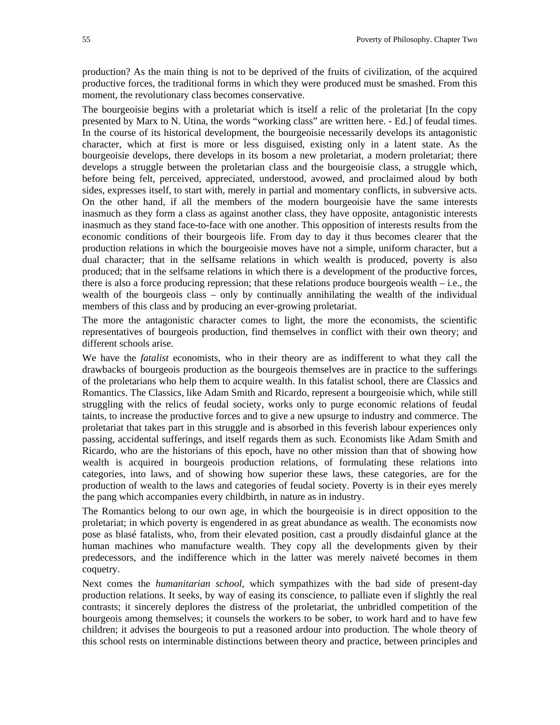production? As the main thing is not to be deprived of the fruits of civilization, of the acquired productive forces, the traditional forms in which they were produced must be smashed. From this moment, the revolutionary class becomes conservative.

The bourgeoisie begins with a proletariat which is itself a relic of the proletariat [In the copy presented by Marx to N. Utina, the words "working class" are written here. - Ed.] of feudal times. In the course of its historical development, the bourgeoisie necessarily develops its antagonistic character, which at first is more or less disguised, existing only in a latent state. As the bourgeoisie develops, there develops in its bosom a new proletariat, a modern proletariat; there develops a struggle between the proletarian class and the bourgeoisie class, a struggle which, before being felt, perceived, appreciated, understood, avowed, and proclaimed aloud by both sides, expresses itself, to start with, merely in partial and momentary conflicts, in subversive acts. On the other hand, if all the members of the modern bourgeoisie have the same interests inasmuch as they form a class as against another class, they have opposite, antagonistic interests inasmuch as they stand face-to-face with one another. This opposition of interests results from the economic conditions of their bourgeois life. From day to day it thus becomes clearer that the production relations in which the bourgeoisie moves have not a simple, uniform character, but a dual character; that in the selfsame relations in which wealth is produced, poverty is also produced; that in the selfsame relations in which there is a development of the productive forces, there is also a force producing repression; that these relations produce bourgeois wealth  $-$  i.e., the wealth of the bourgeois class – only by continually annihilating the wealth of the individual members of this class and by producing an ever-growing proletariat.

The more the antagonistic character comes to light, the more the economists, the scientific representatives of bourgeois production, find themselves in conflict with their own theory; and different schools arise.

We have the *fatalist* economists, who in their theory are as indifferent to what they call the drawbacks of bourgeois production as the bourgeois themselves are in practice to the sufferings of the proletarians who help them to acquire wealth. In this fatalist school, there are Classics and Romantics. The Classics, like Adam Smith and Ricardo, represent a bourgeoisie which, while still struggling with the relics of feudal society, works only to purge economic relations of feudal taints, to increase the productive forces and to give a new upsurge to industry and commerce. The proletariat that takes part in this struggle and is absorbed in this feverish labour experiences only passing, accidental sufferings, and itself regards them as such. Economists like Adam Smith and Ricardo, who are the historians of this epoch, have no other mission than that of showing how wealth is acquired in bourgeois production relations, of formulating these relations into categories, into laws, and of showing how superior these laws, these categories, are for the production of wealth to the laws and categories of feudal society. Poverty is in their eyes merely the pang which accompanies every childbirth, in nature as in industry.

The Romantics belong to our own age, in which the bourgeoisie is in direct opposition to the proletariat; in which poverty is engendered in as great abundance as wealth. The economists now pose as blasé fatalists, who, from their elevated position, cast a proudly disdainful glance at the human machines who manufacture wealth. They copy all the developments given by their predecessors, and the indifference which in the latter was merely naiveté becomes in them coquetry.

Next comes the *humanitarian school*, which sympathizes with the bad side of present-day production relations. It seeks, by way of easing its conscience, to palliate even if slightly the real contrasts; it sincerely deplores the distress of the proletariat, the unbridled competition of the bourgeois among themselves; it counsels the workers to be sober, to work hard and to have few children; it advises the bourgeois to put a reasoned ardour into production. The whole theory of this school rests on interminable distinctions between theory and practice, between principles and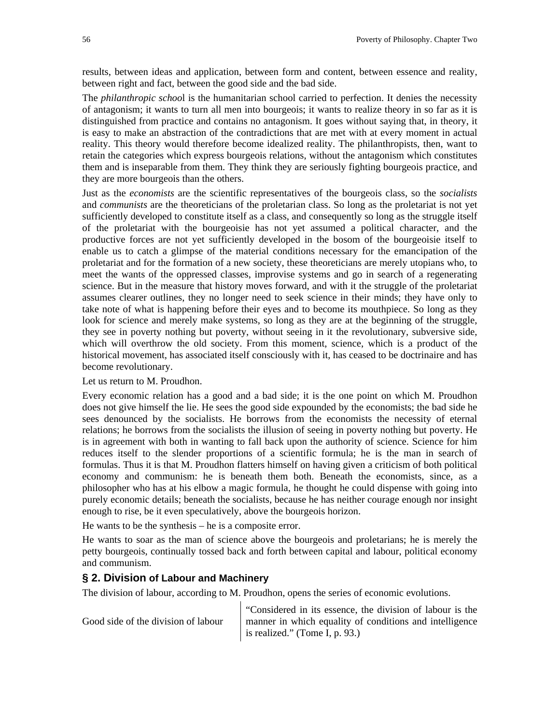results, between ideas and application, between form and content, between essence and reality, between right and fact, between the good side and the bad side.

The *philanthropic schoo*l is the humanitarian school carried to perfection. It denies the necessity of antagonism; it wants to turn all men into bourgeois; it wants to realize theory in so far as it is distinguished from practice and contains no antagonism. It goes without saying that, in theory, it is easy to make an abstraction of the contradictions that are met with at every moment in actual reality. This theory would therefore become idealized reality. The philanthropists, then, want to retain the categories which express bourgeois relations, without the antagonism which constitutes them and is inseparable from them. They think they are seriously fighting bourgeois practice, and they are more bourgeois than the others.

Just as the *economists* are the scientific representatives of the bourgeois class, so the *socialists* and *communists* are the theoreticians of the proletarian class. So long as the proletariat is not yet sufficiently developed to constitute itself as a class, and consequently so long as the struggle itself of the proletariat with the bourgeoisie has not yet assumed a political character, and the productive forces are not yet sufficiently developed in the bosom of the bourgeoisie itself to enable us to catch a glimpse of the material conditions necessary for the emancipation of the proletariat and for the formation of a new society, these theoreticians are merely utopians who, to meet the wants of the oppressed classes, improvise systems and go in search of a regenerating science. But in the measure that history moves forward, and with it the struggle of the proletariat assumes clearer outlines, they no longer need to seek science in their minds; they have only to take note of what is happening before their eyes and to become its mouthpiece. So long as they look for science and merely make systems, so long as they are at the beginning of the struggle, they see in poverty nothing but poverty, without seeing in it the revolutionary, subversive side, which will overthrow the old society. From this moment, science, which is a product of the historical movement, has associated itself consciously with it, has ceased to be doctrinaire and has become revolutionary.

## Let us return to M. Proudhon.

Every economic relation has a good and a bad side; it is the one point on which M. Proudhon does not give himself the lie. He sees the good side expounded by the economists; the bad side he sees denounced by the socialists. He borrows from the economists the necessity of eternal relations; he borrows from the socialists the illusion of seeing in poverty nothing but poverty. He is in agreement with both in wanting to fall back upon the authority of science. Science for him reduces itself to the slender proportions of a scientific formula; he is the man in search of formulas. Thus it is that M. Proudhon flatters himself on having given a criticism of both political economy and communism: he is beneath them both. Beneath the economists, since, as a philosopher who has at his elbow a magic formula, he thought he could dispense with going into purely economic details; beneath the socialists, because he has neither courage enough nor insight enough to rise, be it even speculatively, above the bourgeois horizon.

He wants to be the synthesis – he is a composite error.

He wants to soar as the man of science above the bourgeois and proletarians; he is merely the petty bourgeois, continually tossed back and forth between capital and labour, political economy and communism.

### **§ 2. Division of Labour and Machinery**

The division of labour, according to M. Proudhon, opens the series of economic evolutions.

Good side of the division of labour

"Considered in its essence, the division of labour is the manner in which equality of conditions and intelligence is realized." (Tome I, p. 93.)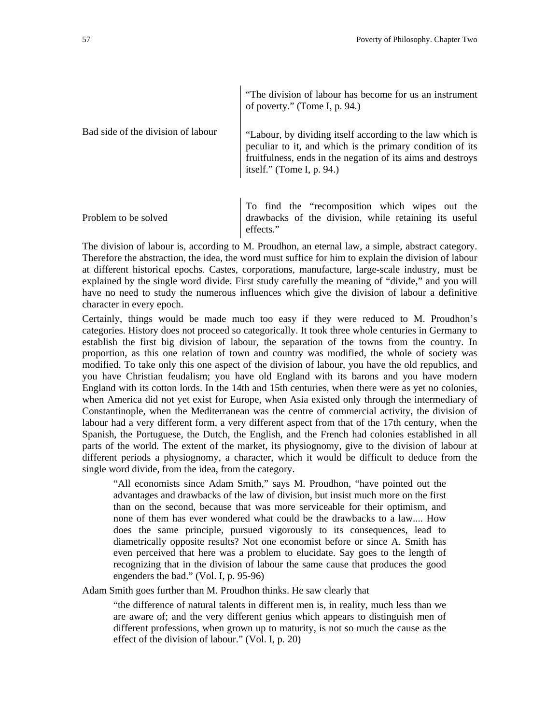|                                    | "The division of labour has become for us an instrument<br>of poverty." (Tome I, p. 94.)                                                                                                                           |
|------------------------------------|--------------------------------------------------------------------------------------------------------------------------------------------------------------------------------------------------------------------|
| Bad side of the division of labour | "Labour, by dividing itself according to the law which is<br>peculiar to it, and which is the primary condition of its<br>fruitfulness, ends in the negation of its aims and destroys<br>itself." (Tome I, p. 94.) |
| Problem to be solved               | To find the "recomposition which wipes out the<br>drawbacks of the division, while retaining its useful<br>effects."                                                                                               |

The division of labour is, according to M. Proudhon, an eternal law, a simple, abstract category. Therefore the abstraction, the idea, the word must suffice for him to explain the division of labour at different historical epochs. Castes, corporations, manufacture, large-scale industry, must be explained by the single word divide. First study carefully the meaning of "divide," and you will have no need to study the numerous influences which give the division of labour a definitive character in every epoch.

Certainly, things would be made much too easy if they were reduced to M. Proudhon's categories. History does not proceed so categorically. It took three whole centuries in Germany to establish the first big division of labour, the separation of the towns from the country. In proportion, as this one relation of town and country was modified, the whole of society was modified. To take only this one aspect of the division of labour, you have the old republics, and you have Christian feudalism; you have old England with its barons and you have modern England with its cotton lords. In the 14th and 15th centuries, when there were as yet no colonies, when America did not yet exist for Europe, when Asia existed only through the intermediary of Constantinople, when the Mediterranean was the centre of commercial activity, the division of labour had a very different form, a very different aspect from that of the 17th century, when the Spanish, the Portuguese, the Dutch, the English, and the French had colonies established in all parts of the world. The extent of the market, its physiognomy, give to the division of labour at different periods a physiognomy, a character, which it would be difficult to deduce from the single word divide, from the idea, from the category.

"All economists since Adam Smith," says M. Proudhon, "have pointed out the advantages and drawbacks of the law of division, but insist much more on the first than on the second, because that was more serviceable for their optimism, and none of them has ever wondered what could be the drawbacks to a law.... How does the same principle, pursued vigorously to its consequences, lead to diametrically opposite results? Not one economist before or since A. Smith has even perceived that here was a problem to elucidate. Say goes to the length of recognizing that in the division of labour the same cause that produces the good engenders the bad." (Vol. I, p. 95-96)

Adam Smith goes further than M. Proudhon thinks. He saw clearly that

"the difference of natural talents in different men is, in reality, much less than we are aware of; and the very different genius which appears to distinguish men of different professions, when grown up to maturity, is not so much the cause as the effect of the division of labour." (Vol. I, p. 20)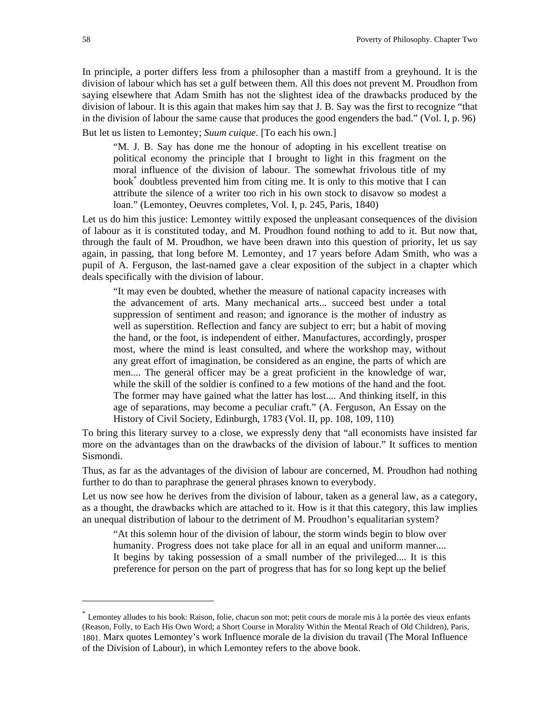In principle, a porter differs less from a philosopher than a mastiff from a greyhound. It is the division of labour which has set a gulf between them. All this does not prevent M. Proudhon from saying elsewhere that Adam Smith has not the slightest idea of the drawbacks produced by the division of labour. It is this again that makes him say that J. B. Say was the first to recognize "that in the division of labour the same cause that produces the good engenders the bad." (Vol. I, p. 96)

But let us listen to Lemontey; *Suum cuique*. [To each his own.]

"M. J. B. Say has done me the honour of adopting in his excellent treatise on political economy the principle that I brought to light in this fragment on the moral influence of the division of labour. The somewhat frivolous title of my book\* doubtless prevented him from citing me. It is only to this motive that I can attribute the silence of a writer too rich in his own stock to disavow so modest a loan." (Lemontey, Oeuvres completes, Vol. I, p. 245, Paris, 1840)

Let us do him this justice: Lemontey wittily exposed the unpleasant consequences of the division of labour as it is constituted today, and M. Proudhon found nothing to add to it. But now that, through the fault of M. Proudhon, we have been drawn into this question of priority, let us say again, in passing, that long before M. Lemontey, and 17 years before Adam Smith, who was a pupil of A. Ferguson, the last-named gave a clear exposition of the subject in a chapter which deals specifically with the division of labour.

"It may even be doubted, whether the measure of national capacity increases with the advancement of arts. Many mechanical arts... succeed best under a total suppression of sentiment and reason; and ignorance is the mother of industry as well as superstition. Reflection and fancy are subject to err; but a habit of moving the hand, or the foot, is independent of either. Manufactures, accordingly, prosper most, where the mind is least consulted, and where the workshop may, without any great effort of imagination, be considered as an engine, the parts of which are men.... The general officer may be a great proficient in the knowledge of war, while the skill of the soldier is confined to a few motions of the hand and the foot. The former may have gained what the latter has lost.... And thinking itself, in this age of separations, may become a peculiar craft." (A. Ferguson, An Essay on the History of Civil Society, Edinburgh, 1783 (Vol. II, pp. 108, 109, 110)

To bring this literary survey to a close, we expressly deny that "all economists have insisted far more on the advantages than on the drawbacks of the division of labour." It suffices to mention Sismondi.

Thus, as far as the advantages of the division of labour are concerned, M. Proudhon had nothing further to do than to paraphrase the general phrases known to everybody.

Let us now see how he derives from the division of labour, taken as a general law, as a category, as a thought, the drawbacks which are attached to it. How is it that this category, this law implies an unequal distribution of labour to the detriment of M. Proudhon's equalitarian system?

"At this solemn hour of the division of labour, the storm winds begin to blow over humanity. Progress does not take place for all in an equal and uniform manner.... It begins by taking possession of a small number of the privileged.... It is this preference for person on the part of progress that has for so long kept up the belief

1

<sup>\*</sup> Lemontey alludes to his book: Raison, folie, chacun son mot; petit cours de morale mis à la portée des vieux enfants (Reason, Folly, to Each His Own Word; a Short Course in Morality Within the Mental Reach of Old Children), Paris, 1801. Marx quotes Lemontey's work Influence morale de la division du travail (The Moral Influence of the Division of Labour), in which Lemontey refers to the above book.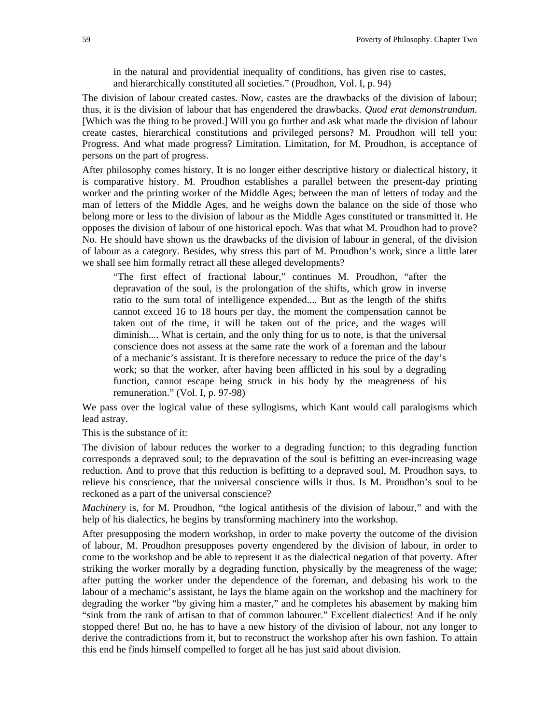in the natural and providential inequality of conditions, has given rise to castes, and hierarchically constituted all societies." (Proudhon, Vol. I, p. 94)

The division of labour created castes. Now, castes are the drawbacks of the division of labour; thus, it is the division of labour that has engendered the drawbacks. *Quod erat demonstrandum.* [Which was the thing to be proved.] Will you go further and ask what made the division of labour create castes, hierarchical constitutions and privileged persons? M. Proudhon will tell you: Progress. And what made progress? Limitation. Limitation, for M. Proudhon, is acceptance of persons on the part of progress.

After philosophy comes history. It is no longer either descriptive history or dialectical history, it is comparative history. M. Proudhon establishes a parallel between the present-day printing worker and the printing worker of the Middle Ages; between the man of letters of today and the man of letters of the Middle Ages, and he weighs down the balance on the side of those who belong more or less to the division of labour as the Middle Ages constituted or transmitted it. He opposes the division of labour of one historical epoch. Was that what M. Proudhon had to prove? No. He should have shown us the drawbacks of the division of labour in general, of the division of labour as a category. Besides, why stress this part of M. Proudhon's work, since a little later we shall see him formally retract all these alleged developments?

"The first effect of fractional labour," continues M. Proudhon, "after the depravation of the soul, is the prolongation of the shifts, which grow in inverse ratio to the sum total of intelligence expended.... But as the length of the shifts cannot exceed 16 to 18 hours per day, the moment the compensation cannot be taken out of the time, it will be taken out of the price, and the wages will diminish.... What is certain, and the only thing for us to note, is that the universal conscience does not assess at the same rate the work of a foreman and the labour of a mechanic's assistant. It is therefore necessary to reduce the price of the day's work; so that the worker, after having been afflicted in his soul by a degrading function, cannot escape being struck in his body by the meagreness of his remuneration." (Vol. I, p. 97-98)

We pass over the logical value of these syllogisms, which Kant would call paralogisms which lead astray.

This is the substance of it:

The division of labour reduces the worker to a degrading function; to this degrading function corresponds a depraved soul; to the depravation of the soul is befitting an ever-increasing wage reduction. And to prove that this reduction is befitting to a depraved soul, M. Proudhon says, to relieve his conscience, that the universal conscience wills it thus. Is M. Proudhon's soul to be reckoned as a part of the universal conscience?

*Machinery* is, for M. Proudhon, "the logical antithesis of the division of labour," and with the help of his dialectics, he begins by transforming machinery into the workshop.

After presupposing the modern workshop, in order to make poverty the outcome of the division of labour, M. Proudhon presupposes poverty engendered by the division of labour, in order to come to the workshop and be able to represent it as the dialectical negation of that poverty. After striking the worker morally by a degrading function, physically by the meagreness of the wage; after putting the worker under the dependence of the foreman, and debasing his work to the labour of a mechanic's assistant, he lays the blame again on the workshop and the machinery for degrading the worker "by giving him a master," and he completes his abasement by making him "sink from the rank of artisan to that of common labourer." Excellent dialectics! And if he only stopped there! But no, he has to have a new history of the division of labour, not any longer to derive the contradictions from it, but to reconstruct the workshop after his own fashion. To attain this end he finds himself compelled to forget all he has just said about division.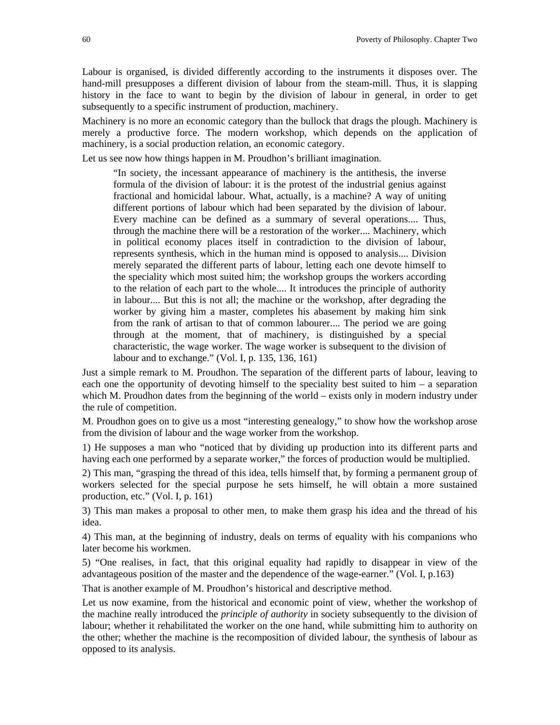Labour is organised, is divided differently according to the instruments it disposes over. The hand-mill presupposes a different division of labour from the steam-mill. Thus, it is slapping history in the face to want to begin by the division of labour in general, in order to get subsequently to a specific instrument of production, machinery.

Machinery is no more an economic category than the bullock that drags the plough. Machinery is merely a productive force. The modern workshop, which depends on the application of machinery, is a social production relation, an economic category.

Let us see now how things happen in M. Proudhon's brilliant imagination.

"In society, the incessant appearance of machinery is the antithesis, the inverse formula of the division of labour: it is the protest of the industrial genius against fractional and homicidal labour. What, actually, is a machine? A way of uniting different portions of labour which had been separated by the division of labour. Every machine can be defined as a summary of several operations.... Thus, through the machine there will be a restoration of the worker.... Machinery, which in political economy places itself in contradiction to the division of labour, represents synthesis, which in the human mind is opposed to analysis.... Division merely separated the different parts of labour, letting each one devote himself to the speciality which most suited him; the workshop groups the workers according to the relation of each part to the whole.... It introduces the principle of authority in labour.... But this is not all; the machine or the workshop, after degrading the worker by giving him a master, completes his abasement by making him sink from the rank of artisan to that of common labourer.... The period we are going through at the moment, that of machinery, is distinguished by a special characteristic, the wage worker. The wage worker is subsequent to the division of labour and to exchange." (Vol. I, p. 135, 136, 161)

Just a simple remark to M. Proudhon. The separation of the different parts of labour, leaving to each one the opportunity of devoting himself to the speciality best suited to him – a separation which M. Proudhon dates from the beginning of the world – exists only in modern industry under the rule of competition.

M. Proudhon goes on to give us a most "interesting genealogy," to show how the workshop arose from the division of labour and the wage worker from the workshop.

1) He supposes a man who "noticed that by dividing up production into its different parts and having each one performed by a separate worker," the forces of production would be multiplied.

2) This man, "grasping the thread of this idea, tells himself that, by forming a permanent group of workers selected for the special purpose he sets himself, he will obtain a more sustained production, etc." (Vol. I, p. 161)

3) This man makes a proposal to other men, to make them grasp his idea and the thread of his idea.

4) This man, at the beginning of industry, deals on terms of equality with his companions who later become his workmen.

5) "One realises, in fact, that this original equality had rapidly to disappear in view of the advantageous position of the master and the dependence of the wage-earner." (Vol. I, p.163)

That is another example of M. Proudhon's historical and descriptive method.

Let us now examine, from the historical and economic point of view, whether the workshop of the machine really introduced the *principle of authority* in society subsequently to the division of labour; whether it rehabilitated the worker on the one hand, while submitting him to authority on the other; whether the machine is the recomposition of divided labour, the synthesis of labour as opposed to its analysis.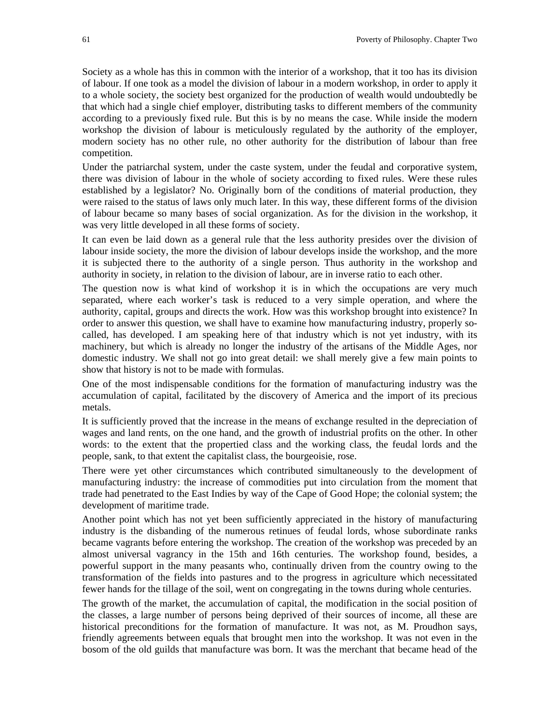Society as a whole has this in common with the interior of a workshop, that it too has its division of labour. If one took as a model the division of labour in a modern workshop, in order to apply it to a whole society, the society best organized for the production of wealth would undoubtedly be that which had a single chief employer, distributing tasks to different members of the community according to a previously fixed rule. But this is by no means the case. While inside the modern workshop the division of labour is meticulously regulated by the authority of the employer, modern society has no other rule, no other authority for the distribution of labour than free competition.

Under the patriarchal system, under the caste system, under the feudal and corporative system, there was division of labour in the whole of society according to fixed rules. Were these rules established by a legislator? No. Originally born of the conditions of material production, they were raised to the status of laws only much later. In this way, these different forms of the division of labour became so many bases of social organization. As for the division in the workshop, it was very little developed in all these forms of society.

It can even be laid down as a general rule that the less authority presides over the division of labour inside society, the more the division of labour develops inside the workshop, and the more it is subjected there to the authority of a single person. Thus authority in the workshop and authority in society, in relation to the division of labour, are in inverse ratio to each other.

The question now is what kind of workshop it is in which the occupations are very much separated, where each worker's task is reduced to a very simple operation, and where the authority, capital, groups and directs the work. How was this workshop brought into existence? In order to answer this question, we shall have to examine how manufacturing industry, properly socalled, has developed. I am speaking here of that industry which is not yet industry, with its machinery, but which is already no longer the industry of the artisans of the Middle Ages, nor domestic industry. We shall not go into great detail: we shall merely give a few main points to show that history is not to be made with formulas.

One of the most indispensable conditions for the formation of manufacturing industry was the accumulation of capital, facilitated by the discovery of America and the import of its precious metals.

It is sufficiently proved that the increase in the means of exchange resulted in the depreciation of wages and land rents, on the one hand, and the growth of industrial profits on the other. In other words: to the extent that the propertied class and the working class, the feudal lords and the people, sank, to that extent the capitalist class, the bourgeoisie, rose.

There were yet other circumstances which contributed simultaneously to the development of manufacturing industry: the increase of commodities put into circulation from the moment that trade had penetrated to the East Indies by way of the Cape of Good Hope; the colonial system; the development of maritime trade.

Another point which has not yet been sufficiently appreciated in the history of manufacturing industry is the disbanding of the numerous retinues of feudal lords, whose subordinate ranks became vagrants before entering the workshop. The creation of the workshop was preceded by an almost universal vagrancy in the 15th and 16th centuries. The workshop found, besides, a powerful support in the many peasants who, continually driven from the country owing to the transformation of the fields into pastures and to the progress in agriculture which necessitated fewer hands for the tillage of the soil, went on congregating in the towns during whole centuries.

The growth of the market, the accumulation of capital, the modification in the social position of the classes, a large number of persons being deprived of their sources of income, all these are historical preconditions for the formation of manufacture. It was not, as M. Proudhon says, friendly agreements between equals that brought men into the workshop. It was not even in the bosom of the old guilds that manufacture was born. It was the merchant that became head of the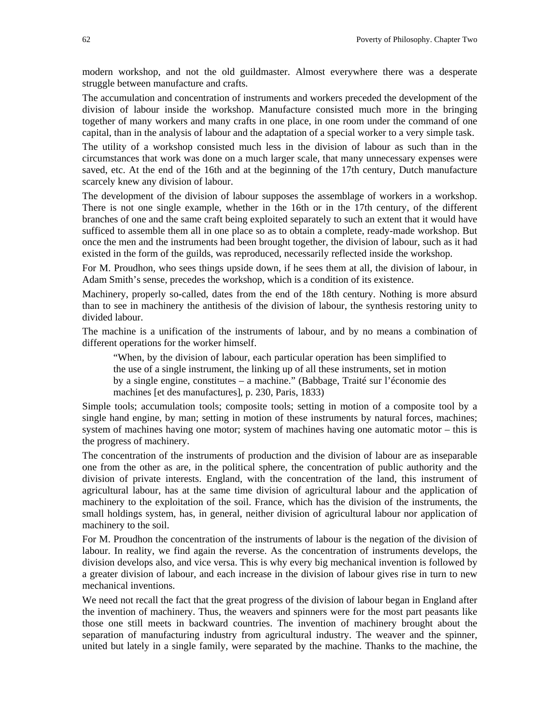modern workshop, and not the old guildmaster. Almost everywhere there was a desperate struggle between manufacture and crafts.

The accumulation and concentration of instruments and workers preceded the development of the division of labour inside the workshop. Manufacture consisted much more in the bringing together of many workers and many crafts in one place, in one room under the command of one capital, than in the analysis of labour and the adaptation of a special worker to a very simple task.

The utility of a workshop consisted much less in the division of labour as such than in the circumstances that work was done on a much larger scale, that many unnecessary expenses were saved, etc. At the end of the 16th and at the beginning of the 17th century, Dutch manufacture scarcely knew any division of labour.

The development of the division of labour supposes the assemblage of workers in a workshop. There is not one single example, whether in the 16th or in the 17th century, of the different branches of one and the same craft being exploited separately to such an extent that it would have sufficed to assemble them all in one place so as to obtain a complete, ready-made workshop. But once the men and the instruments had been brought together, the division of labour, such as it had existed in the form of the guilds, was reproduced, necessarily reflected inside the workshop.

For M. Proudhon, who sees things upside down, if he sees them at all, the division of labour, in Adam Smith's sense, precedes the workshop, which is a condition of its existence.

Machinery, properly so-called, dates from the end of the 18th century. Nothing is more absurd than to see in machinery the antithesis of the division of labour, the synthesis restoring unity to divided labour.

The machine is a unification of the instruments of labour, and by no means a combination of different operations for the worker himself.

"When, by the division of labour, each particular operation has been simplified to the use of a single instrument, the linking up of all these instruments, set in motion by a single engine, constitutes – a machine." (Babbage, Traité sur l'économie des machines [et des manufactures], p. 230, Paris, 1833)

Simple tools; accumulation tools; composite tools; setting in motion of a composite tool by a single hand engine, by man; setting in motion of these instruments by natural forces, machines; system of machines having one motor; system of machines having one automatic motor – this is the progress of machinery.

The concentration of the instruments of production and the division of labour are as inseparable one from the other as are, in the political sphere, the concentration of public authority and the division of private interests. England, with the concentration of the land, this instrument of agricultural labour, has at the same time division of agricultural labour and the application of machinery to the exploitation of the soil. France, which has the division of the instruments, the small holdings system, has, in general, neither division of agricultural labour nor application of machinery to the soil.

For M. Proudhon the concentration of the instruments of labour is the negation of the division of labour. In reality, we find again the reverse. As the concentration of instruments develops, the division develops also, and vice versa. This is why every big mechanical invention is followed by a greater division of labour, and each increase in the division of labour gives rise in turn to new mechanical inventions.

We need not recall the fact that the great progress of the division of labour began in England after the invention of machinery. Thus, the weavers and spinners were for the most part peasants like those one still meets in backward countries. The invention of machinery brought about the separation of manufacturing industry from agricultural industry. The weaver and the spinner, united but lately in a single family, were separated by the machine. Thanks to the machine, the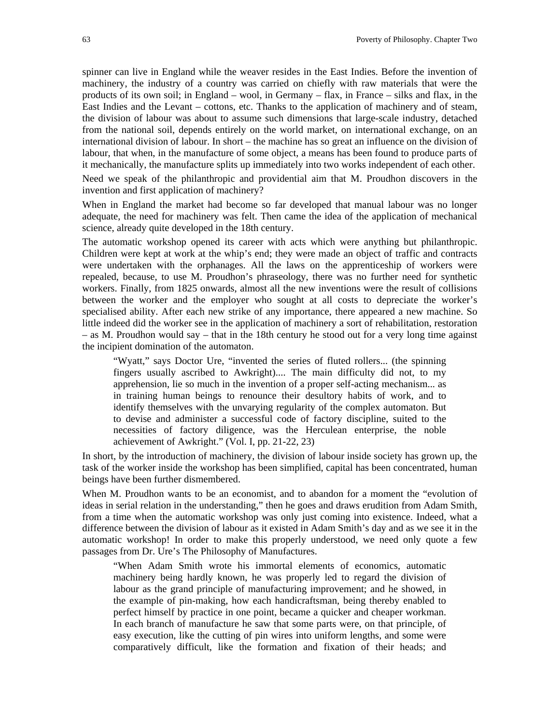spinner can live in England while the weaver resides in the East Indies. Before the invention of machinery, the industry of a country was carried on chiefly with raw materials that were the products of its own soil; in England – wool, in Germany – flax, in France – silks and flax, in the East Indies and the Levant – cottons, etc. Thanks to the application of machinery and of steam, the division of labour was about to assume such dimensions that large-scale industry, detached from the national soil, depends entirely on the world market, on international exchange, on an international division of labour. In short – the machine has so great an influence on the division of labour, that when, in the manufacture of some object, a means has been found to produce parts of it mechanically, the manufacture splits up immediately into two works independent of each other.

Need we speak of the philanthropic and providential aim that M. Proudhon discovers in the invention and first application of machinery?

When in England the market had become so far developed that manual labour was no longer adequate, the need for machinery was felt. Then came the idea of the application of mechanical science, already quite developed in the 18th century.

The automatic workshop opened its career with acts which were anything but philanthropic. Children were kept at work at the whip's end; they were made an object of traffic and contracts were undertaken with the orphanages. All the laws on the apprenticeship of workers were repealed, because, to use M. Proudhon's phraseology, there was no further need for synthetic workers. Finally, from 1825 onwards, almost all the new inventions were the result of collisions between the worker and the employer who sought at all costs to depreciate the worker's specialised ability. After each new strike of any importance, there appeared a new machine. So little indeed did the worker see in the application of machinery a sort of rehabilitation, restoration – as M. Proudhon would say – that in the 18th century he stood out for a very long time against the incipient domination of the automaton.

"Wyatt," says Doctor Ure, "invented the series of fluted rollers... (the spinning fingers usually ascribed to Awkright).... The main difficulty did not, to my apprehension, lie so much in the invention of a proper self-acting mechanism... as in training human beings to renounce their desultory habits of work, and to identify themselves with the unvarying regularity of the complex automaton. But to devise and administer a successful code of factory discipline, suited to the necessities of factory diligence, was the Herculean enterprise, the noble achievement of Awkright." (Vol. I, pp. 21-22, 23)

In short, by the introduction of machinery, the division of labour inside society has grown up, the task of the worker inside the workshop has been simplified, capital has been concentrated, human beings have been further dismembered.

When M. Proudhon wants to be an economist, and to abandon for a moment the "evolution of ideas in serial relation in the understanding," then he goes and draws erudition from Adam Smith, from a time when the automatic workshop was only just coming into existence. Indeed, what a difference between the division of labour as it existed in Adam Smith's day and as we see it in the automatic workshop! In order to make this properly understood, we need only quote a few passages from Dr. Ure's The Philosophy of Manufactures.

"When Adam Smith wrote his immortal elements of economics, automatic machinery being hardly known, he was properly led to regard the division of labour as the grand principle of manufacturing improvement; and he showed, in the example of pin-making, how each handicraftsman, being thereby enabled to perfect himself by practice in one point, became a quicker and cheaper workman. In each branch of manufacture he saw that some parts were, on that principle, of easy execution, like the cutting of pin wires into uniform lengths, and some were comparatively difficult, like the formation and fixation of their heads; and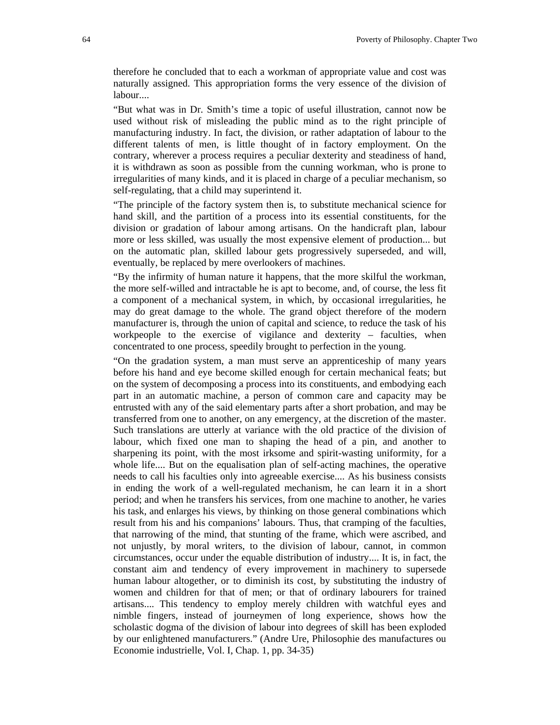therefore he concluded that to each a workman of appropriate value and cost was naturally assigned. This appropriation forms the very essence of the division of labour....

"But what was in Dr. Smith's time a topic of useful illustration, cannot now be used without risk of misleading the public mind as to the right principle of manufacturing industry. In fact, the division, or rather adaptation of labour to the different talents of men, is little thought of in factory employment. On the contrary, wherever a process requires a peculiar dexterity and steadiness of hand, it is withdrawn as soon as possible from the cunning workman, who is prone to irregularities of many kinds, and it is placed in charge of a peculiar mechanism, so self-regulating, that a child may superintend it.

"The principle of the factory system then is, to substitute mechanical science for hand skill, and the partition of a process into its essential constituents, for the division or gradation of labour among artisans. On the handicraft plan, labour more or less skilled, was usually the most expensive element of production... but on the automatic plan, skilled labour gets progressively superseded, and will, eventually, be replaced by mere overlookers of machines.

"By the infirmity of human nature it happens, that the more skilful the workman, the more self-willed and intractable he is apt to become, and, of course, the less fit a component of a mechanical system, in which, by occasional irregularities, he may do great damage to the whole. The grand object therefore of the modern manufacturer is, through the union of capital and science, to reduce the task of his workpeople to the exercise of vigilance and dexterity – faculties, when concentrated to one process, speedily brought to perfection in the young.

"On the gradation system, a man must serve an apprenticeship of many years before his hand and eye become skilled enough for certain mechanical feats; but on the system of decomposing a process into its constituents, and embodying each part in an automatic machine, a person of common care and capacity may be entrusted with any of the said elementary parts after a short probation, and may be transferred from one to another, on any emergency, at the discretion of the master. Such translations are utterly at variance with the old practice of the division of labour, which fixed one man to shaping the head of a pin, and another to sharpening its point, with the most irksome and spirit-wasting uniformity, for a whole life.... But on the equalisation plan of self-acting machines, the operative needs to call his faculties only into agreeable exercise.... As his business consists in ending the work of a well-regulated mechanism, he can learn it in a short period; and when he transfers his services, from one machine to another, he varies his task, and enlarges his views, by thinking on those general combinations which result from his and his companions' labours. Thus, that cramping of the faculties, that narrowing of the mind, that stunting of the frame, which were ascribed, and not unjustly, by moral writers, to the division of labour, cannot, in common circumstances, occur under the equable distribution of industry.... It is, in fact, the constant aim and tendency of every improvement in machinery to supersede human labour altogether, or to diminish its cost, by substituting the industry of women and children for that of men; or that of ordinary labourers for trained artisans.... This tendency to employ merely children with watchful eyes and nimble fingers, instead of journeymen of long experience, shows how the scholastic dogma of the division of labour into degrees of skill has been exploded by our enlightened manufacturers." (Andre Ure, Philosophie des manufactures ou Economie industrielle, Vol. I, Chap. 1, pp. 34-35)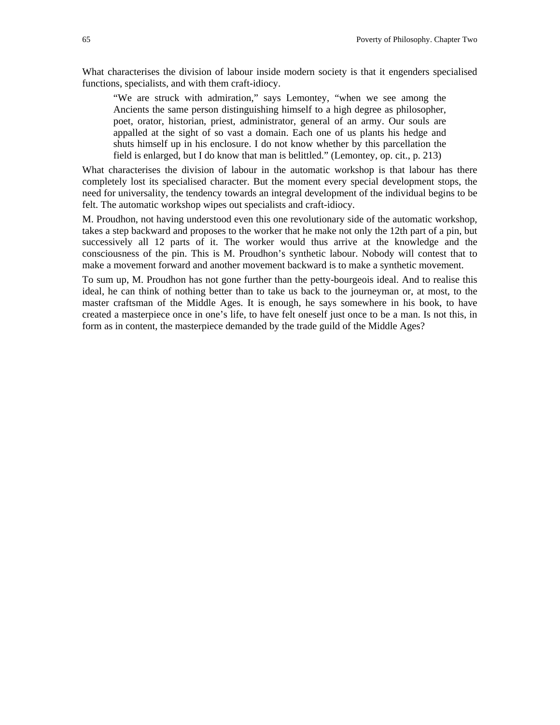What characterises the division of labour inside modern society is that it engenders specialised functions, specialists, and with them craft-idiocy.

"We are struck with admiration," says Lemontey, "when we see among the Ancients the same person distinguishing himself to a high degree as philosopher, poet, orator, historian, priest, administrator, general of an army. Our souls are appalled at the sight of so vast a domain. Each one of us plants his hedge and shuts himself up in his enclosure. I do not know whether by this parcellation the field is enlarged, but I do know that man is belittled." (Lemontey, op. cit., p. 213)

What characterises the division of labour in the automatic workshop is that labour has there completely lost its specialised character. But the moment every special development stops, the need for universality, the tendency towards an integral development of the individual begins to be felt. The automatic workshop wipes out specialists and craft-idiocy.

M. Proudhon, not having understood even this one revolutionary side of the automatic workshop, takes a step backward and proposes to the worker that he make not only the 12th part of a pin, but successively all 12 parts of it. The worker would thus arrive at the knowledge and the consciousness of the pin. This is M. Proudhon's synthetic labour. Nobody will contest that to make a movement forward and another movement backward is to make a synthetic movement.

To sum up, M. Proudhon has not gone further than the petty-bourgeois ideal. And to realise this ideal, he can think of nothing better than to take us back to the journeyman or, at most, to the master craftsman of the Middle Ages. It is enough, he says somewhere in his book, to have created a masterpiece once in one's life, to have felt oneself just once to be a man. Is not this, in form as in content, the masterpiece demanded by the trade guild of the Middle Ages?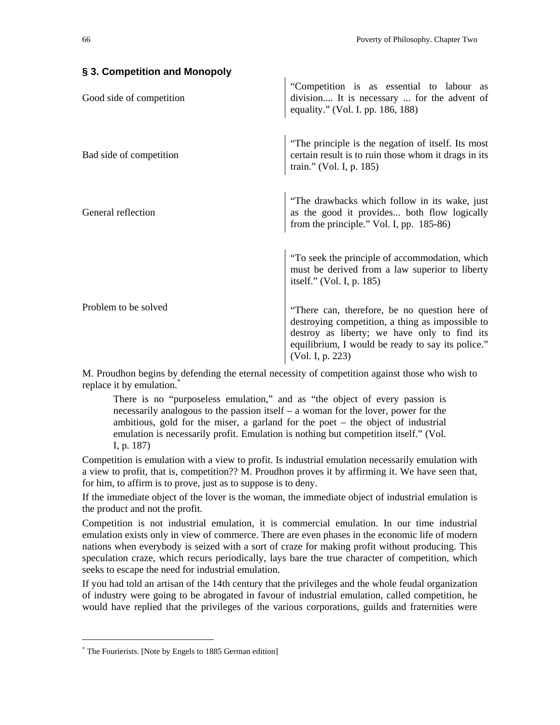| Good side of competition | "Competition is as essential to labour as<br>division It is necessary  for the advent of<br>equality." (Vol. I. pp. 186, 188)                                                                                              |
|--------------------------|----------------------------------------------------------------------------------------------------------------------------------------------------------------------------------------------------------------------------|
| Bad side of competition  | "The principle is the negation of itself. Its most<br>certain result is to ruin those whom it drags in its<br>train." (Vol. I, p. 185)                                                                                     |
| General reflection       | "The drawbacks which follow in its wake, just<br>as the good it provides both flow logically<br>from the principle." Vol. I, pp. 185-86)                                                                                   |
|                          | "To seek the principle of accommodation, which<br>must be derived from a law superior to liberty<br>itself." (Vol. I, p. 185)                                                                                              |
| Problem to be solved     | "There can, therefore, be no question here of<br>destroying competition, a thing as impossible to<br>destroy as liberty; we have only to find its<br>equilibrium, I would be ready to say its police."<br>(Vol. I, p. 223) |

M. Proudhon begins by defending the eternal necessity of competition against those who wish to replace it by emulation.<sup>\*</sup>

There is no "purposeless emulation," and as "the object of every passion is necessarily analogous to the passion itself – a woman for the lover, power for the ambitious, gold for the miser, a garland for the poet – the object of industrial emulation is necessarily profit. Emulation is nothing but competition itself." (Vol. I, p. 187)

Competition is emulation with a view to profit. Is industrial emulation necessarily emulation with a view to profit, that is, competition?? M. Proudhon proves it by affirming it. We have seen that, for him, to affirm is to prove, just as to suppose is to deny.

If the immediate object of the lover is the woman, the immediate object of industrial emulation is the product and not the profit.

Competition is not industrial emulation, it is commercial emulation. In our time industrial emulation exists only in view of commerce. There are even phases in the economic life of modern nations when everybody is seized with a sort of craze for making profit without producing. This speculation craze, which recurs periodically, lays bare the true character of competition, which seeks to escape the need for industrial emulation.

If you had told an artisan of the 14th century that the privileges and the whole feudal organization of industry were going to be abrogated in favour of industrial emulation, called competition, he would have replied that the privileges of the various corporations, guilds and fraternities were

1

**§ 3. Competition and Monopoly** 

<sup>\*</sup> The Fourierists. [Note by Engels to 1885 German edition]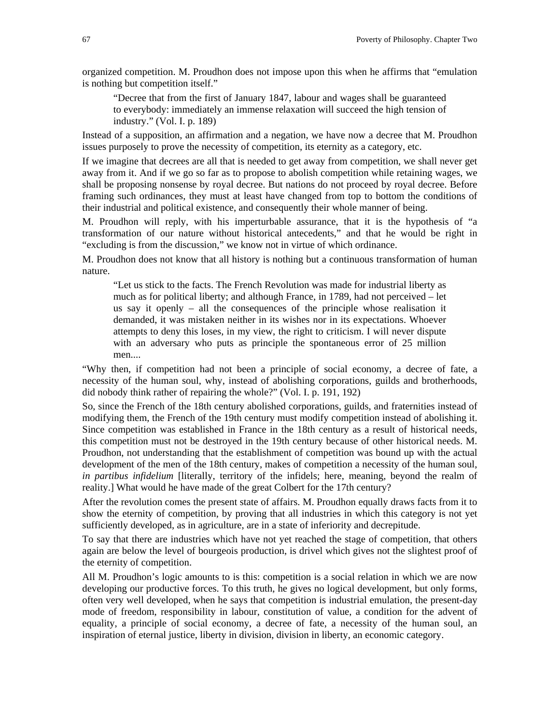organized competition. M. Proudhon does not impose upon this when he affirms that "emulation is nothing but competition itself."

"Decree that from the first of January 1847, labour and wages shall be guaranteed to everybody: immediately an immense relaxation will succeed the high tension of industry." (Vol. I. p. 189)

Instead of a supposition, an affirmation and a negation, we have now a decree that M. Proudhon issues purposely to prove the necessity of competition, its eternity as a category, etc.

If we imagine that decrees are all that is needed to get away from competition, we shall never get away from it. And if we go so far as to propose to abolish competition while retaining wages, we shall be proposing nonsense by royal decree. But nations do not proceed by royal decree. Before framing such ordinances, they must at least have changed from top to bottom the conditions of their industrial and political existence, and consequently their whole manner of being.

M. Proudhon will reply, with his imperturbable assurance, that it is the hypothesis of "a transformation of our nature without historical antecedents," and that he would be right in "excluding is from the discussion," we know not in virtue of which ordinance.

M. Proudhon does not know that all history is nothing but a continuous transformation of human nature.

"Let us stick to the facts. The French Revolution was made for industrial liberty as much as for political liberty; and although France, in 1789, had not perceived – let us say it openly – all the consequences of the principle whose realisation it demanded, it was mistaken neither in its wishes nor in its expectations. Whoever attempts to deny this loses, in my view, the right to criticism. I will never dispute with an adversary who puts as principle the spontaneous error of 25 million men....

"Why then, if competition had not been a principle of social economy, a decree of fate, a necessity of the human soul, why, instead of abolishing corporations, guilds and brotherhoods, did nobody think rather of repairing the whole?" (Vol. I. p. 191, 192)

So, since the French of the 18th century abolished corporations, guilds, and fraternities instead of modifying them, the French of the 19th century must modify competition instead of abolishing it. Since competition was established in France in the 18th century as a result of historical needs, this competition must not be destroyed in the 19th century because of other historical needs. M. Proudhon, not understanding that the establishment of competition was bound up with the actual development of the men of the 18th century, makes of competition a necessity of the human soul, *in partibus infidelium* [literally, territory of the infidels; here, meaning, beyond the realm of reality.] What would he have made of the great Colbert for the 17th century?

After the revolution comes the present state of affairs. M. Proudhon equally draws facts from it to show the eternity of competition, by proving that all industries in which this category is not yet sufficiently developed, as in agriculture, are in a state of inferiority and decrepitude.

To say that there are industries which have not yet reached the stage of competition, that others again are below the level of bourgeois production, is drivel which gives not the slightest proof of the eternity of competition.

All M. Proudhon's logic amounts to is this: competition is a social relation in which we are now developing our productive forces. To this truth, he gives no logical development, but only forms, often very well developed, when he says that competition is industrial emulation, the present-day mode of freedom, responsibility in labour, constitution of value, a condition for the advent of equality, a principle of social economy, a decree of fate, a necessity of the human soul, an inspiration of eternal justice, liberty in division, division in liberty, an economic category.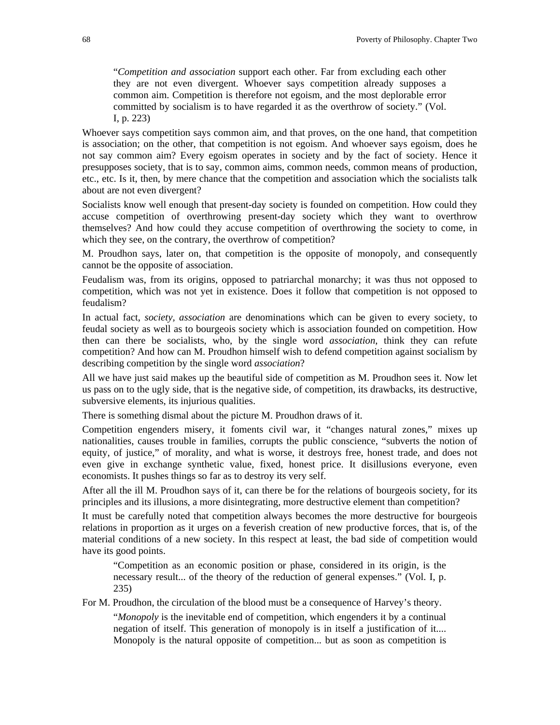"*Competition and association* support each other. Far from excluding each other they are not even divergent. Whoever says competition already supposes a common aim. Competition is therefore not egoism, and the most deplorable error committed by socialism is to have regarded it as the overthrow of society." (Vol. I, p. 223)

Whoever says competition says common aim, and that proves, on the one hand, that competition is association; on the other, that competition is not egoism. And whoever says egoism, does he not say common aim? Every egoism operates in society and by the fact of society. Hence it presupposes society, that is to say, common aims, common needs, common means of production, etc., etc. Is it, then, by mere chance that the competition and association which the socialists talk about are not even divergent?

Socialists know well enough that present-day society is founded on competition. How could they accuse competition of overthrowing present-day society which they want to overthrow themselves? And how could they accuse competition of overthrowing the society to come, in which they see, on the contrary, the overthrow of competition?

M. Proudhon says, later on, that competition is the opposite of monopoly, and consequently cannot be the opposite of association.

Feudalism was, from its origins, opposed to patriarchal monarchy; it was thus not opposed to competition, which was not yet in existence. Does it follow that competition is not opposed to feudalism?

In actual fact, *society, association* are denominations which can be given to every society, to feudal society as well as to bourgeois society which is association founded on competition. How then can there be socialists, who, by the single word *association*, think they can refute competition? And how can M. Proudhon himself wish to defend competition against socialism by describing competition by the single word *association*?

All we have just said makes up the beautiful side of competition as M. Proudhon sees it. Now let us pass on to the ugly side, that is the negative side, of competition, its drawbacks, its destructive, subversive elements, its injurious qualities.

There is something dismal about the picture M. Proudhon draws of it.

Competition engenders misery, it foments civil war, it "changes natural zones," mixes up nationalities, causes trouble in families, corrupts the public conscience, "subverts the notion of equity, of justice," of morality, and what is worse, it destroys free, honest trade, and does not even give in exchange synthetic value, fixed, honest price. It disillusions everyone, even economists. It pushes things so far as to destroy its very self.

After all the ill M. Proudhon says of it, can there be for the relations of bourgeois society, for its principles and its illusions, a more disintegrating, more destructive element than competition?

It must be carefully noted that competition always becomes the more destructive for bourgeois relations in proportion as it urges on a feverish creation of new productive forces, that is, of the material conditions of a new society. In this respect at least, the bad side of competition would have its good points.

"Competition as an economic position or phase, considered in its origin, is the necessary result... of the theory of the reduction of general expenses." (Vol. I, p. 235)

For M. Proudhon, the circulation of the blood must be a consequence of Harvey's theory.

"*Monopoly* is the inevitable end of competition, which engenders it by a continual negation of itself. This generation of monopoly is in itself a justification of it.... Monopoly is the natural opposite of competition... but as soon as competition is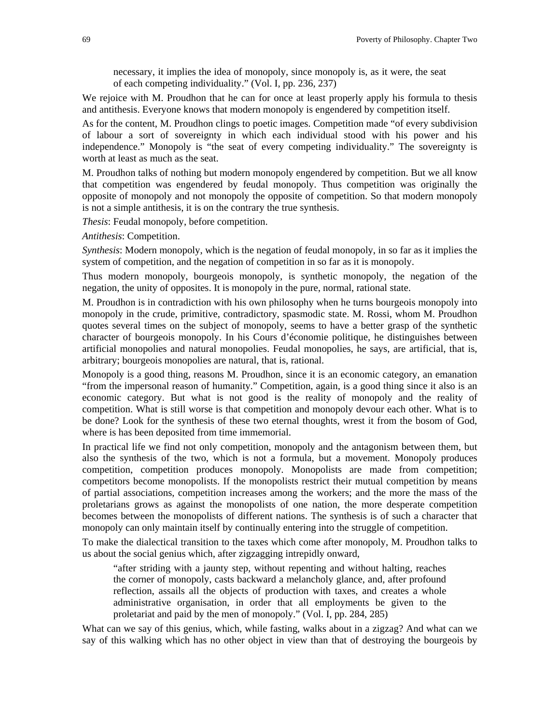necessary, it implies the idea of monopoly, since monopoly is, as it were, the seat of each competing individuality." (Vol. I, pp. 236, 237)

We rejoice with M. Proudhon that he can for once at least properly apply his formula to thesis and antithesis. Everyone knows that modern monopoly is engendered by competition itself.

As for the content, M. Proudhon clings to poetic images. Competition made "of every subdivision of labour a sort of sovereignty in which each individual stood with his power and his independence." Monopoly is "the seat of every competing individuality." The sovereignty is worth at least as much as the seat.

M. Proudhon talks of nothing but modern monopoly engendered by competition. But we all know that competition was engendered by feudal monopoly. Thus competition was originally the opposite of monopoly and not monopoly the opposite of competition. So that modern monopoly is not a simple antithesis, it is on the contrary the true synthesis.

*Thesis*: Feudal monopoly, before competition.

*Antithesis*: Competition.

*Synthesis*: Modern monopoly, which is the negation of feudal monopoly, in so far as it implies the system of competition, and the negation of competition in so far as it is monopoly.

Thus modern monopoly, bourgeois monopoly, is synthetic monopoly, the negation of the negation, the unity of opposites. It is monopoly in the pure, normal, rational state.

M. Proudhon is in contradiction with his own philosophy when he turns bourgeois monopoly into monopoly in the crude, primitive, contradictory, spasmodic state. M. Rossi, whom M. Proudhon quotes several times on the subject of monopoly, seems to have a better grasp of the synthetic character of bourgeois monopoly. In his Cours d'économie politique, he distinguishes between artificial monopolies and natural monopolies. Feudal monopolies, he says, are artificial, that is, arbitrary; bourgeois monopolies are natural, that is, rational.

Monopoly is a good thing, reasons M. Proudhon, since it is an economic category, an emanation "from the impersonal reason of humanity." Competition, again, is a good thing since it also is an economic category. But what is not good is the reality of monopoly and the reality of competition. What is still worse is that competition and monopoly devour each other. What is to be done? Look for the synthesis of these two eternal thoughts, wrest it from the bosom of God, where is has been deposited from time immemorial.

In practical life we find not only competition, monopoly and the antagonism between them, but also the synthesis of the two, which is not a formula, but a movement. Monopoly produces competition, competition produces monopoly. Monopolists are made from competition; competitors become monopolists. If the monopolists restrict their mutual competition by means of partial associations, competition increases among the workers; and the more the mass of the proletarians grows as against the monopolists of one nation, the more desperate competition becomes between the monopolists of different nations. The synthesis is of such a character that monopoly can only maintain itself by continually entering into the struggle of competition.

To make the dialectical transition to the taxes which come after monopoly, M. Proudhon talks to us about the social genius which, after zigzagging intrepidly onward,

"after striding with a jaunty step, without repenting and without halting, reaches the corner of monopoly, casts backward a melancholy glance, and, after profound reflection, assails all the objects of production with taxes, and creates a whole administrative organisation, in order that all employments be given to the proletariat and paid by the men of monopoly." (Vol. I, pp. 284, 285)

What can we say of this genius, which, while fasting, walks about in a zigzag? And what can we say of this walking which has no other object in view than that of destroying the bourgeois by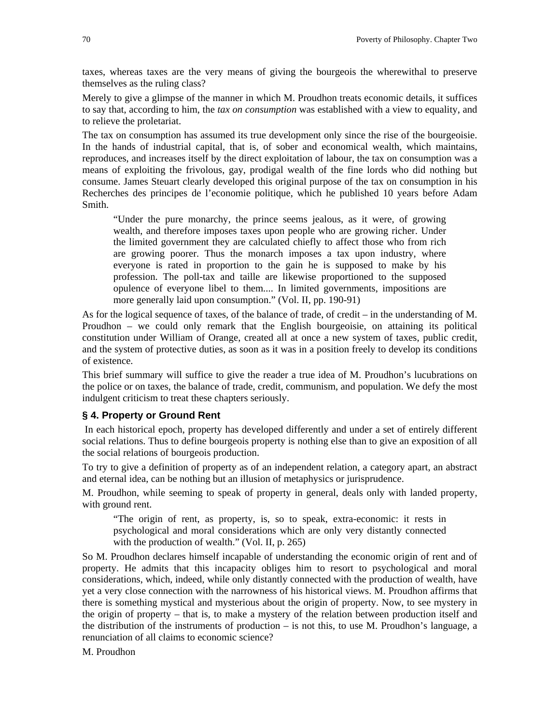taxes, whereas taxes are the very means of giving the bourgeois the wherewithal to preserve themselves as the ruling class?

Merely to give a glimpse of the manner in which M. Proudhon treats economic details, it suffices to say that, according to him, the *tax on consumption* was established with a view to equality, and to relieve the proletariat.

The tax on consumption has assumed its true development only since the rise of the bourgeoisie. In the hands of industrial capital, that is, of sober and economical wealth, which maintains, reproduces, and increases itself by the direct exploitation of labour, the tax on consumption was a means of exploiting the frivolous, gay, prodigal wealth of the fine lords who did nothing but consume. James Steuart clearly developed this original purpose of the tax on consumption in his Recherches des principes de l'economie politique, which he published 10 years before Adam Smith.

"Under the pure monarchy, the prince seems jealous, as it were, of growing wealth, and therefore imposes taxes upon people who are growing richer. Under the limited government they are calculated chiefly to affect those who from rich are growing poorer. Thus the monarch imposes a tax upon industry, where everyone is rated in proportion to the gain he is supposed to make by his profession. The poll-tax and taille are likewise proportioned to the supposed opulence of everyone libel to them.... In limited governments, impositions are more generally laid upon consumption." (Vol. II, pp. 190-91)

As for the logical sequence of taxes, of the balance of trade, of credit – in the understanding of M. Proudhon – we could only remark that the English bourgeoisie, on attaining its political constitution under William of Orange, created all at once a new system of taxes, public credit, and the system of protective duties, as soon as it was in a position freely to develop its conditions of existence.

This brief summary will suffice to give the reader a true idea of M. Proudhon's lucubrations on the police or on taxes, the balance of trade, credit, communism, and population. We defy the most indulgent criticism to treat these chapters seriously.

## **§ 4. Property or Ground Rent**

 In each historical epoch, property has developed differently and under a set of entirely different social relations. Thus to define bourgeois property is nothing else than to give an exposition of all the social relations of bourgeois production.

To try to give a definition of property as of an independent relation, a category apart, an abstract and eternal idea, can be nothing but an illusion of metaphysics or jurisprudence.

M. Proudhon, while seeming to speak of property in general, deals only with landed property, with ground rent.

"The origin of rent, as property, is, so to speak, extra-economic: it rests in psychological and moral considerations which are only very distantly connected with the production of wealth." (Vol. II, p. 265)

So M. Proudhon declares himself incapable of understanding the economic origin of rent and of property. He admits that this incapacity obliges him to resort to psychological and moral considerations, which, indeed, while only distantly connected with the production of wealth, have yet a very close connection with the narrowness of his historical views. M. Proudhon affirms that there is something mystical and mysterious about the origin of property. Now, to see mystery in the origin of property – that is, to make a mystery of the relation between production itself and the distribution of the instruments of production – is not this, to use M. Proudhon's language, a renunciation of all claims to economic science?

M. Proudhon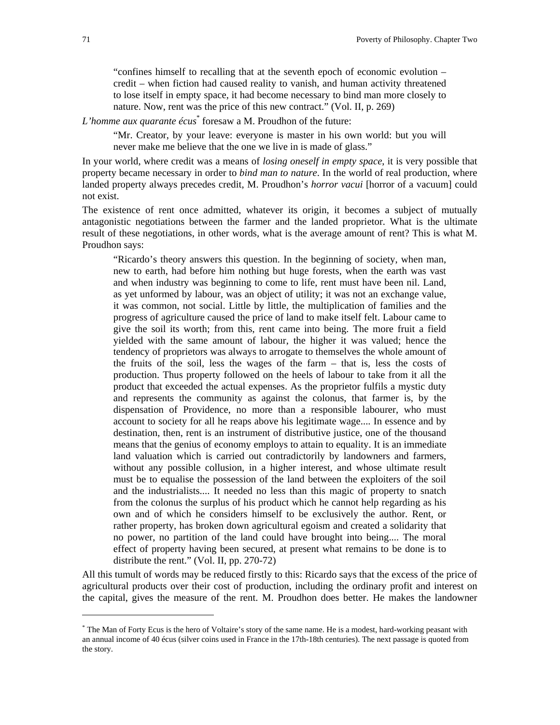"confines himself to recalling that at the seventh epoch of economic evolution – credit – when fiction had caused reality to vanish, and human activity threatened to lose itself in empty space, it had become necessary to bind man more closely to nature. Now, rent was the price of this new contract." (Vol. II, p. 269)

*L'homme aux quarante écus*\* foresaw a M. Proudhon of the future:

"Mr. Creator, by your leave: everyone is master in his own world: but you will never make me believe that the one we live in is made of glass."

In your world, where credit was a means of *losing oneself in empty space*, it is very possible that property became necessary in order to *bind man to nature*. In the world of real production, where landed property always precedes credit, M. Proudhon's *horror vacui* [horror of a vacuum] could not exist.

The existence of rent once admitted, whatever its origin, it becomes a subject of mutually antagonistic negotiations between the farmer and the landed proprietor. What is the ultimate result of these negotiations, in other words, what is the average amount of rent? This is what M. Proudhon says:

"Ricardo's theory answers this question. In the beginning of society, when man, new to earth, had before him nothing but huge forests, when the earth was vast and when industry was beginning to come to life, rent must have been nil. Land, as yet unformed by labour, was an object of utility; it was not an exchange value, it was common, not social. Little by little, the multiplication of families and the progress of agriculture caused the price of land to make itself felt. Labour came to give the soil its worth; from this, rent came into being. The more fruit a field yielded with the same amount of labour, the higher it was valued; hence the tendency of proprietors was always to arrogate to themselves the whole amount of the fruits of the soil, less the wages of the farm – that is, less the costs of production. Thus property followed on the heels of labour to take from it all the product that exceeded the actual expenses. As the proprietor fulfils a mystic duty and represents the community as against the colonus, that farmer is, by the dispensation of Providence, no more than a responsible labourer, who must account to society for all he reaps above his legitimate wage.... In essence and by destination, then, rent is an instrument of distributive justice, one of the thousand means that the genius of economy employs to attain to equality. It is an immediate land valuation which is carried out contradictorily by landowners and farmers, without any possible collusion, in a higher interest, and whose ultimate result must be to equalise the possession of the land between the exploiters of the soil and the industrialists.... It needed no less than this magic of property to snatch from the colonus the surplus of his product which he cannot help regarding as his own and of which he considers himself to be exclusively the author. Rent, or rather property, has broken down agricultural egoism and created a solidarity that no power, no partition of the land could have brought into being.... The moral effect of property having been secured, at present what remains to be done is to distribute the rent." (Vol. II, pp. 270-72)

All this tumult of words may be reduced firstly to this: Ricardo says that the excess of the price of agricultural products over their cost of production, including the ordinary profit and interest on the capital, gives the measure of the rent. M. Proudhon does better. He makes the landowner

-

<sup>\*</sup> The Man of Forty Ecus is the hero of Voltaire's story of the same name. He is a modest, hard-working peasant with an annual income of 40 écus (silver coins used in France in the 17th-18th centuries). The next passage is quoted from the story.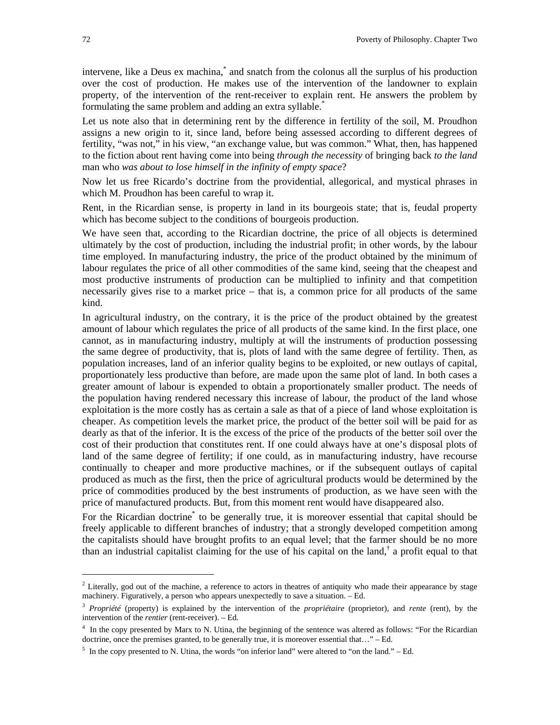intervene, like a Deus ex machina,\* and snatch from the colonus all the surplus of his production over the cost of production. He makes use of the intervention of the landowner to explain property, of the intervention of the rent-receiver to explain rent. He answers the problem by formulating the same problem and adding an extra syllable.\*

Let us note also that in determining rent by the difference in fertility of the soil, M. Proudhon assigns a new origin to it, since land, before being assessed according to different degrees of fertility, "was not," in his view, "an exchange value, but was common." What, then, has happened to the fiction about rent having come into being *through the necessity* of bringing back *to the land* man who *was about to lose himself in the infinity of empty space*?

Now let us free Ricardo's doctrine from the providential, allegorical, and mystical phrases in which M. Proudhon has been careful to wrap it.

Rent, in the Ricardian sense, is property in land in its bourgeois state; that is, feudal property which has become subject to the conditions of bourgeois production.

We have seen that, according to the Ricardian doctrine, the price of all objects is determined ultimately by the cost of production, including the industrial profit; in other words, by the labour time employed. In manufacturing industry, the price of the product obtained by the minimum of labour regulates the price of all other commodities of the same kind, seeing that the cheapest and most productive instruments of production can be multiplied to infinity and that competition necessarily gives rise to a market price – that is, a common price for all products of the same kind.

In agricultural industry, on the contrary, it is the price of the product obtained by the greatest amount of labour which regulates the price of all products of the same kind. In the first place, one cannot, as in manufacturing industry, multiply at will the instruments of production possessing the same degree of productivity, that is, plots of land with the same degree of fertility. Then, as population increases, land of an inferior quality begins to be exploited, or new outlays of capital, proportionately less productive than before, are made upon the same plot of land. In both cases a greater amount of labour is expended to obtain a proportionately smaller product. The needs of the population having rendered necessary this increase of labour, the product of the land whose exploitation is the more costly has as certain a sale as that of a piece of land whose exploitation is cheaper. As competition levels the market price, the product of the better soil will be paid for as dearly as that of the inferior. It is the excess of the price of the products of the better soil over the cost of their production that constitutes rent. If one could always have at one's disposal plots of land of the same degree of fertility; if one could, as in manufacturing industry, have recourse continually to cheaper and more productive machines, or if the subsequent outlays of capital produced as much as the first, then the price of agricultural products would be determined by the price of commodities produced by the best instruments of production, as we have seen with the price of manufactured products. But, from this moment rent would have disappeared also.

For the Ricardian doctrine<sup>\*</sup> to be generally true, it is moreover essential that capital should be freely applicable to different branches of industry; that a strongly developed competition among the capitalists should have brought profits to an equal level; that the farmer should be no more than an industrial capitalist claiming for the use of his capital on the land,<sup>†</sup> a profit equal to that

l

 $<sup>2</sup>$  Literally, god out of the machine, a reference to actors in theatres of antiquity who made their appearance by stage</sup> machinery. Figuratively, a person who appears unexpectedly to save a situation. – Ed.

<sup>3</sup>  *Propriété* (property) is explained by the intervention of the *propriétaire* (proprietor), and *rente* (rent), by the intervention of the *rentier* (rent-receiver). – Ed.

<sup>&</sup>lt;sup>4</sup> In the copy presented by Marx to N. Utina, the beginning of the sentence was altered as follows: "For the Ricardian doctrine, once the premises granted, to be generally true, it is moreover essential that…" – Ed.

 $<sup>5</sup>$  In the copy presented to N. Utina, the words "on inferior land" were altered to "on the land." – Ed.</sup>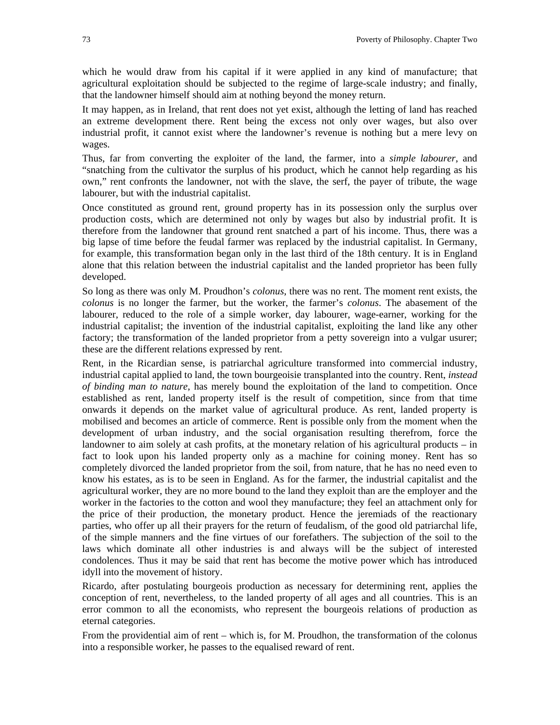which he would draw from his capital if it were applied in any kind of manufacture; that agricultural exploitation should be subjected to the regime of large-scale industry; and finally, that the landowner himself should aim at nothing beyond the money return.

It may happen, as in Ireland, that rent does not yet exist, although the letting of land has reached an extreme development there. Rent being the excess not only over wages, but also over industrial profit, it cannot exist where the landowner's revenue is nothing but a mere levy on wages.

Thus, far from converting the exploiter of the land, the farmer, into a *simple labourer*, and "snatching from the cultivator the surplus of his product, which he cannot help regarding as his own," rent confronts the landowner, not with the slave, the serf, the payer of tribute, the wage labourer, but with the industrial capitalist.

Once constituted as ground rent, ground property has in its possession only the surplus over production costs, which are determined not only by wages but also by industrial profit. It is therefore from the landowner that ground rent snatched a part of his income. Thus, there was a big lapse of time before the feudal farmer was replaced by the industrial capitalist. In Germany, for example, this transformation began only in the last third of the 18th century. It is in England alone that this relation between the industrial capitalist and the landed proprietor has been fully developed.

So long as there was only M. Proudhon's *colonus*, there was no rent. The moment rent exists, the *colonus* is no longer the farmer, but the worker, the farmer's *colonus*. The abasement of the labourer, reduced to the role of a simple worker, day labourer, wage-earner, working for the industrial capitalist; the invention of the industrial capitalist, exploiting the land like any other factory; the transformation of the landed proprietor from a petty sovereign into a vulgar usurer; these are the different relations expressed by rent.

Rent, in the Ricardian sense, is patriarchal agriculture transformed into commercial industry, industrial capital applied to land, the town bourgeoisie transplanted into the country. Rent, *instead of binding man to nature*, has merely bound the exploitation of the land to competition. Once established as rent, landed property itself is the result of competition, since from that time onwards it depends on the market value of agricultural produce. As rent, landed property is mobilised and becomes an article of commerce. Rent is possible only from the moment when the development of urban industry, and the social organisation resulting therefrom, force the landowner to aim solely at cash profits, at the monetary relation of his agricultural products – in fact to look upon his landed property only as a machine for coining money. Rent has so completely divorced the landed proprietor from the soil, from nature, that he has no need even to know his estates, as is to be seen in England. As for the farmer, the industrial capitalist and the agricultural worker, they are no more bound to the land they exploit than are the employer and the worker in the factories to the cotton and wool they manufacture; they feel an attachment only for the price of their production, the monetary product. Hence the jeremiads of the reactionary parties, who offer up all their prayers for the return of feudalism, of the good old patriarchal life, of the simple manners and the fine virtues of our forefathers. The subjection of the soil to the laws which dominate all other industries is and always will be the subject of interested condolences. Thus it may be said that rent has become the motive power which has introduced idyll into the movement of history.

Ricardo, after postulating bourgeois production as necessary for determining rent, applies the conception of rent, nevertheless, to the landed property of all ages and all countries. This is an error common to all the economists, who represent the bourgeois relations of production as eternal categories.

From the providential aim of rent – which is, for M. Proudhon, the transformation of the colonus into a responsible worker, he passes to the equalised reward of rent.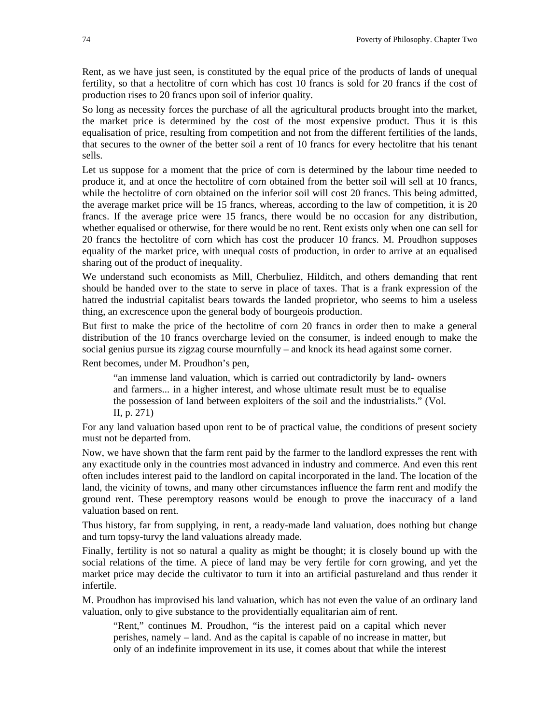Rent, as we have just seen, is constituted by the equal price of the products of lands of unequal fertility, so that a hectolitre of corn which has cost 10 francs is sold for 20 francs if the cost of production rises to 20 francs upon soil of inferior quality.

So long as necessity forces the purchase of all the agricultural products brought into the market, the market price is determined by the cost of the most expensive product. Thus it is this equalisation of price, resulting from competition and not from the different fertilities of the lands, that secures to the owner of the better soil a rent of 10 francs for every hectolitre that his tenant sells.

Let us suppose for a moment that the price of corn is determined by the labour time needed to produce it, and at once the hectolitre of corn obtained from the better soil will sell at 10 francs, while the hectolitre of corn obtained on the inferior soil will cost 20 francs. This being admitted, the average market price will be 15 francs, whereas, according to the law of competition, it is 20 francs. If the average price were 15 francs, there would be no occasion for any distribution, whether equalised or otherwise, for there would be no rent. Rent exists only when one can sell for 20 francs the hectolitre of corn which has cost the producer 10 francs. M. Proudhon supposes equality of the market price, with unequal costs of production, in order to arrive at an equalised sharing out of the product of inequality.

We understand such economists as Mill, Cherbuliez, Hilditch, and others demanding that rent should be handed over to the state to serve in place of taxes. That is a frank expression of the hatred the industrial capitalist bears towards the landed proprietor, who seems to him a useless thing, an excrescence upon the general body of bourgeois production.

But first to make the price of the hectolitre of corn 20 francs in order then to make a general distribution of the 10 francs overcharge levied on the consumer, is indeed enough to make the social genius pursue its zigzag course mournfully – and knock its head against some corner.

Rent becomes, under M. Proudhon's pen,

"an immense land valuation, which is carried out contradictorily by land- owners and farmers... in a higher interest, and whose ultimate result must be to equalise the possession of land between exploiters of the soil and the industrialists." (Vol. II, p. 271)

For any land valuation based upon rent to be of practical value, the conditions of present society must not be departed from.

Now, we have shown that the farm rent paid by the farmer to the landlord expresses the rent with any exactitude only in the countries most advanced in industry and commerce. And even this rent often includes interest paid to the landlord on capital incorporated in the land. The location of the land, the vicinity of towns, and many other circumstances influence the farm rent and modify the ground rent. These peremptory reasons would be enough to prove the inaccuracy of a land valuation based on rent.

Thus history, far from supplying, in rent, a ready-made land valuation, does nothing but change and turn topsy-turvy the land valuations already made.

Finally, fertility is not so natural a quality as might be thought; it is closely bound up with the social relations of the time. A piece of land may be very fertile for corn growing, and yet the market price may decide the cultivator to turn it into an artificial pastureland and thus render it infertile.

M. Proudhon has improvised his land valuation, which has not even the value of an ordinary land valuation, only to give substance to the providentially equalitarian aim of rent.

"Rent," continues M. Proudhon, "is the interest paid on a capital which never perishes, namely – land. And as the capital is capable of no increase in matter, but only of an indefinite improvement in its use, it comes about that while the interest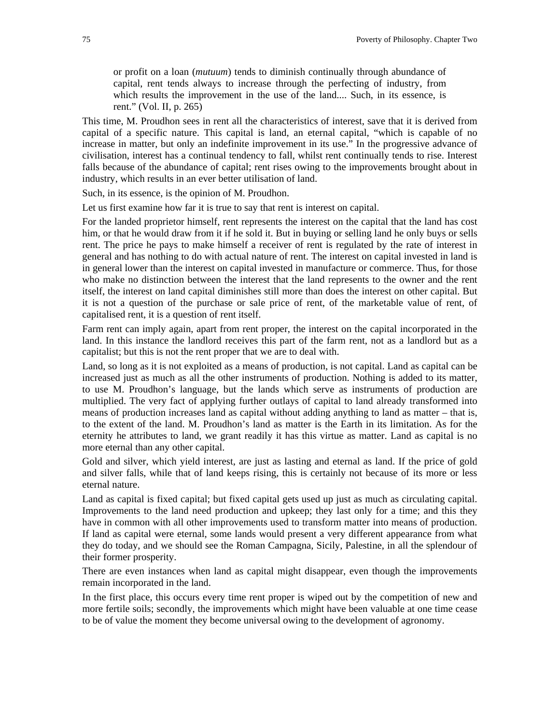or profit on a loan (*mutuum*) tends to diminish continually through abundance of capital, rent tends always to increase through the perfecting of industry, from which results the improvement in the use of the land.... Such, in its essence, is rent." (Vol. II, p. 265)

This time, M. Proudhon sees in rent all the characteristics of interest, save that it is derived from capital of a specific nature. This capital is land, an eternal capital, "which is capable of no increase in matter, but only an indefinite improvement in its use." In the progressive advance of civilisation, interest has a continual tendency to fall, whilst rent continually tends to rise. Interest falls because of the abundance of capital; rent rises owing to the improvements brought about in industry, which results in an ever better utilisation of land.

Such, in its essence, is the opinion of M. Proudhon.

Let us first examine how far it is true to say that rent is interest on capital.

For the landed proprietor himself, rent represents the interest on the capital that the land has cost him, or that he would draw from it if he sold it. But in buying or selling land he only buys or sells rent. The price he pays to make himself a receiver of rent is regulated by the rate of interest in general and has nothing to do with actual nature of rent. The interest on capital invested in land is in general lower than the interest on capital invested in manufacture or commerce. Thus, for those who make no distinction between the interest that the land represents to the owner and the rent itself, the interest on land capital diminishes still more than does the interest on other capital. But it is not a question of the purchase or sale price of rent, of the marketable value of rent, of capitalised rent, it is a question of rent itself.

Farm rent can imply again, apart from rent proper, the interest on the capital incorporated in the land. In this instance the landlord receives this part of the farm rent, not as a landlord but as a capitalist; but this is not the rent proper that we are to deal with.

Land, so long as it is not exploited as a means of production, is not capital. Land as capital can be increased just as much as all the other instruments of production. Nothing is added to its matter, to use M. Proudhon's language, but the lands which serve as instruments of production are multiplied. The very fact of applying further outlays of capital to land already transformed into means of production increases land as capital without adding anything to land as matter – that is, to the extent of the land. M. Proudhon's land as matter is the Earth in its limitation. As for the eternity he attributes to land, we grant readily it has this virtue as matter. Land as capital is no more eternal than any other capital.

Gold and silver, which yield interest, are just as lasting and eternal as land. If the price of gold and silver falls, while that of land keeps rising, this is certainly not because of its more or less eternal nature.

Land as capital is fixed capital; but fixed capital gets used up just as much as circulating capital. Improvements to the land need production and upkeep; they last only for a time; and this they have in common with all other improvements used to transform matter into means of production. If land as capital were eternal, some lands would present a very different appearance from what they do today, and we should see the Roman Campagna, Sicily, Palestine, in all the splendour of their former prosperity.

There are even instances when land as capital might disappear, even though the improvements remain incorporated in the land.

In the first place, this occurs every time rent proper is wiped out by the competition of new and more fertile soils; secondly, the improvements which might have been valuable at one time cease to be of value the moment they become universal owing to the development of agronomy.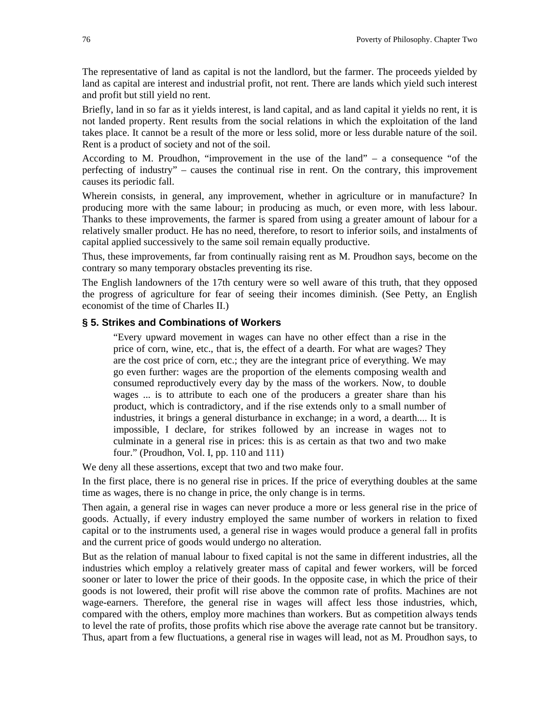The representative of land as capital is not the landlord, but the farmer. The proceeds yielded by land as capital are interest and industrial profit, not rent. There are lands which yield such interest and profit but still yield no rent.

Briefly, land in so far as it yields interest, is land capital, and as land capital it yields no rent, it is not landed property. Rent results from the social relations in which the exploitation of the land takes place. It cannot be a result of the more or less solid, more or less durable nature of the soil. Rent is a product of society and not of the soil.

According to M. Proudhon, "improvement in the use of the land" – a consequence "of the perfecting of industry" – causes the continual rise in rent. On the contrary, this improvement causes its periodic fall.

Wherein consists, in general, any improvement, whether in agriculture or in manufacture? In producing more with the same labour; in producing as much, or even more, with less labour. Thanks to these improvements, the farmer is spared from using a greater amount of labour for a relatively smaller product. He has no need, therefore, to resort to inferior soils, and instalments of capital applied successively to the same soil remain equally productive.

Thus, these improvements, far from continually raising rent as M. Proudhon says, become on the contrary so many temporary obstacles preventing its rise.

The English landowners of the 17th century were so well aware of this truth, that they opposed the progress of agriculture for fear of seeing their incomes diminish. (See Petty, an English economist of the time of Charles II.)

## **§ 5. Strikes and Combinations of Workers**

"Every upward movement in wages can have no other effect than a rise in the price of corn, wine, etc., that is, the effect of a dearth. For what are wages? They are the cost price of corn, etc.; they are the integrant price of everything. We may go even further: wages are the proportion of the elements composing wealth and consumed reproductively every day by the mass of the workers. Now, to double wages ... is to attribute to each one of the producers a greater share than his product, which is contradictory, and if the rise extends only to a small number of industries, it brings a general disturbance in exchange; in a word, a dearth.... It is impossible, I declare, for strikes followed by an increase in wages not to culminate in a general rise in prices: this is as certain as that two and two make four." (Proudhon, Vol. I, pp. 110 and 111)

We deny all these assertions, except that two and two make four.

In the first place, there is no general rise in prices. If the price of everything doubles at the same time as wages, there is no change in price, the only change is in terms.

Then again, a general rise in wages can never produce a more or less general rise in the price of goods. Actually, if every industry employed the same number of workers in relation to fixed capital or to the instruments used, a general rise in wages would produce a general fall in profits and the current price of goods would undergo no alteration.

But as the relation of manual labour to fixed capital is not the same in different industries, all the industries which employ a relatively greater mass of capital and fewer workers, will be forced sooner or later to lower the price of their goods. In the opposite case, in which the price of their goods is not lowered, their profit will rise above the common rate of profits. Machines are not wage-earners. Therefore, the general rise in wages will affect less those industries, which, compared with the others, employ more machines than workers. But as competition always tends to level the rate of profits, those profits which rise above the average rate cannot but be transitory. Thus, apart from a few fluctuations, a general rise in wages will lead, not as M. Proudhon says, to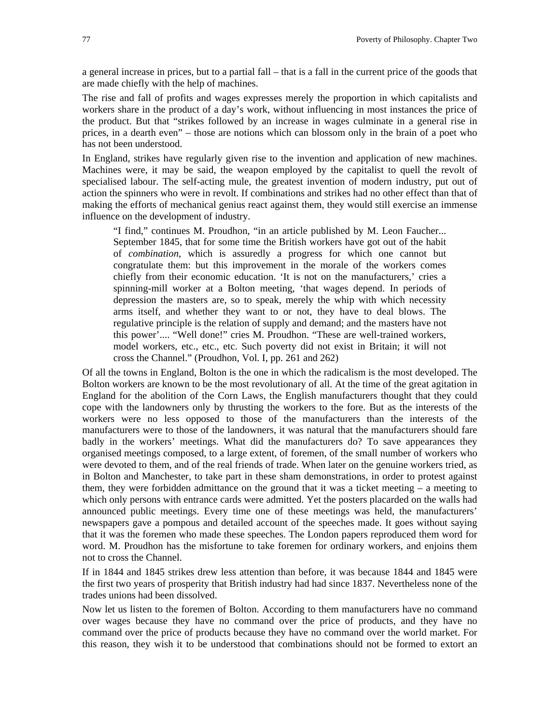a general increase in prices, but to a partial fall – that is a fall in the current price of the goods that are made chiefly with the help of machines.

The rise and fall of profits and wages expresses merely the proportion in which capitalists and workers share in the product of a day's work, without influencing in most instances the price of the product. But that "strikes followed by an increase in wages culminate in a general rise in prices, in a dearth even" – those are notions which can blossom only in the brain of a poet who has not been understood.

In England, strikes have regularly given rise to the invention and application of new machines. Machines were, it may be said, the weapon employed by the capitalist to quell the revolt of specialised labour. The self-acting mule, the greatest invention of modern industry, put out of action the spinners who were in revolt. If combinations and strikes had no other effect than that of making the efforts of mechanical genius react against them, they would still exercise an immense influence on the development of industry.

"I find," continues M. Proudhon, "in an article published by M. Leon Faucher... September 1845, that for some time the British workers have got out of the habit of *combination*, which is assuredly a progress for which one cannot but congratulate them: but this improvement in the morale of the workers comes chiefly from their economic education. 'It is not on the manufacturers,' cries a spinning-mill worker at a Bolton meeting, 'that wages depend. In periods of depression the masters are, so to speak, merely the whip with which necessity arms itself, and whether they want to or not, they have to deal blows. The regulative principle is the relation of supply and demand; and the masters have not this power'.... "Well done!" cries M. Proudhon. "These are well-trained workers, model workers, etc., etc., etc. Such poverty did not exist in Britain; it will not cross the Channel." (Proudhon, Vol. I, pp. 261 and 262)

Of all the towns in England, Bolton is the one in which the radicalism is the most developed. The Bolton workers are known to be the most revolutionary of all. At the time of the great agitation in England for the abolition of the Corn Laws, the English manufacturers thought that they could cope with the landowners only by thrusting the workers to the fore. But as the interests of the workers were no less opposed to those of the manufacturers than the interests of the manufacturers were to those of the landowners, it was natural that the manufacturers should fare badly in the workers' meetings. What did the manufacturers do? To save appearances they organised meetings composed, to a large extent, of foremen, of the small number of workers who were devoted to them, and of the real friends of trade. When later on the genuine workers tried, as in Bolton and Manchester, to take part in these sham demonstrations, in order to protest against them, they were forbidden admittance on the ground that it was a ticket meeting – a meeting to which only persons with entrance cards were admitted. Yet the posters placarded on the walls had announced public meetings. Every time one of these meetings was held, the manufacturers' newspapers gave a pompous and detailed account of the speeches made. It goes without saying that it was the foremen who made these speeches. The London papers reproduced them word for word. M. Proudhon has the misfortune to take foremen for ordinary workers, and enjoins them not to cross the Channel.

If in 1844 and 1845 strikes drew less attention than before, it was because 1844 and 1845 were the first two years of prosperity that British industry had had since 1837. Nevertheless none of the trades unions had been dissolved.

Now let us listen to the foremen of Bolton. According to them manufacturers have no command over wages because they have no command over the price of products, and they have no command over the price of products because they have no command over the world market. For this reason, they wish it to be understood that combinations should not be formed to extort an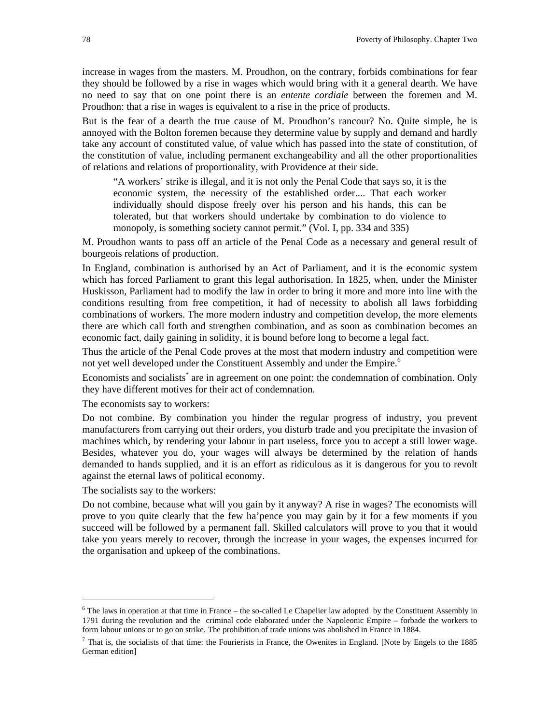increase in wages from the masters. M. Proudhon, on the contrary, forbids combinations for fear they should be followed by a rise in wages which would bring with it a general dearth. We have no need to say that on one point there is an *entente cordiale* between the foremen and M. Proudhon: that a rise in wages is equivalent to a rise in the price of products.

But is the fear of a dearth the true cause of M. Proudhon's rancour? No. Quite simple, he is annoyed with the Bolton foremen because they determine value by supply and demand and hardly take any account of constituted value, of value which has passed into the state of constitution, of the constitution of value, including permanent exchangeability and all the other proportionalities of relations and relations of proportionality, with Providence at their side.

"A workers' strike is illegal, and it is not only the Penal Code that says so, it is the economic system, the necessity of the established order.... That each worker individually should dispose freely over his person and his hands, this can be tolerated, but that workers should undertake by combination to do violence to monopoly, is something society cannot permit." (Vol. I, pp. 334 and 335)

M. Proudhon wants to pass off an article of the Penal Code as a necessary and general result of bourgeois relations of production.

In England, combination is authorised by an Act of Parliament, and it is the economic system which has forced Parliament to grant this legal authorisation. In 1825, when, under the Minister Huskisson, Parliament had to modify the law in order to bring it more and more into line with the conditions resulting from free competition, it had of necessity to abolish all laws forbidding combinations of workers. The more modern industry and competition develop, the more elements there are which call forth and strengthen combination, and as soon as combination becomes an economic fact, daily gaining in solidity, it is bound before long to become a legal fact.

Thus the article of the Penal Code proves at the most that modern industry and competition were not yet well developed under the Constituent Assembly and under the Empire.<sup>6</sup>

Economists and socialists<sup>\*</sup> are in agreement on one point: the condemnation of combination. Only they have different motives for their act of condemnation.

The economists say to workers:

Do not combine. By combination you hinder the regular progress of industry, you prevent manufacturers from carrying out their orders, you disturb trade and you precipitate the invasion of machines which, by rendering your labour in part useless, force you to accept a still lower wage. Besides, whatever you do, your wages will always be determined by the relation of hands demanded to hands supplied, and it is an effort as ridiculous as it is dangerous for you to revolt against the eternal laws of political economy.

The socialists say to the workers:

-

Do not combine, because what will you gain by it anyway? A rise in wages? The economists will prove to you quite clearly that the few ha'pence you may gain by it for a few moments if you succeed will be followed by a permanent fall. Skilled calculators will prove to you that it would take you years merely to recover, through the increase in your wages, the expenses incurred for the organisation and upkeep of the combinations.

 $6$  The laws in operation at that time in France – the so-called Le Chapelier law adopted by the Constituent Assembly in 1791 during the revolution and the criminal code elaborated under the Napoleonic Empire – forbade the workers to form labour unions or to go on strike. The prohibition of trade unions was abolished in France in 1884.

 $^7$  That is, the socialists of that time: the Fourierists in France, the Owenites in England. [Note by Engels to the 1885 German edition]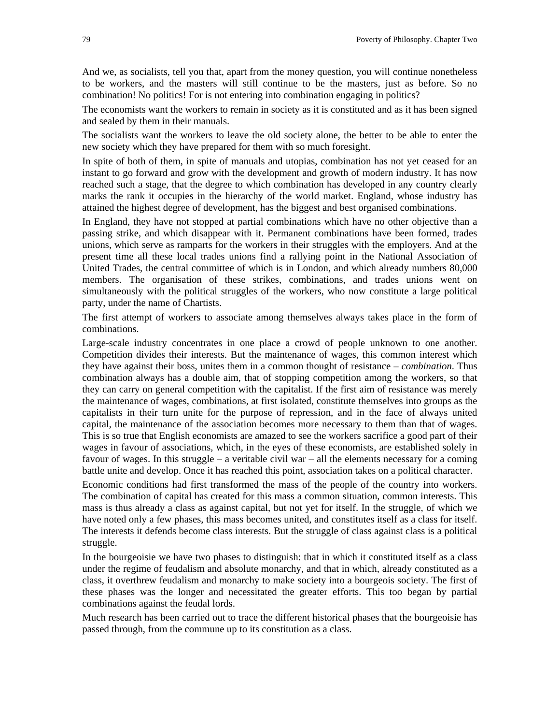And we, as socialists, tell you that, apart from the money question, you will continue nonetheless to be workers, and the masters will still continue to be the masters, just as before. So no combination! No politics! For is not entering into combination engaging in politics?

The economists want the workers to remain in society as it is constituted and as it has been signed and sealed by them in their manuals.

The socialists want the workers to leave the old society alone, the better to be able to enter the new society which they have prepared for them with so much foresight.

In spite of both of them, in spite of manuals and utopias, combination has not yet ceased for an instant to go forward and grow with the development and growth of modern industry. It has now reached such a stage, that the degree to which combination has developed in any country clearly marks the rank it occupies in the hierarchy of the world market. England, whose industry has attained the highest degree of development, has the biggest and best organised combinations.

In England, they have not stopped at partial combinations which have no other objective than a passing strike, and which disappear with it. Permanent combinations have been formed, trades unions, which serve as ramparts for the workers in their struggles with the employers. And at the present time all these local trades unions find a rallying point in the National Association of United Trades, the central committee of which is in London, and which already numbers 80,000 members. The organisation of these strikes, combinations, and trades unions went on simultaneously with the political struggles of the workers, who now constitute a large political party, under the name of Chartists.

The first attempt of workers to associate among themselves always takes place in the form of combinations.

Large-scale industry concentrates in one place a crowd of people unknown to one another. Competition divides their interests. But the maintenance of wages, this common interest which they have against their boss, unites them in a common thought of resistance – *combination*. Thus combination always has a double aim, that of stopping competition among the workers, so that they can carry on general competition with the capitalist. If the first aim of resistance was merely the maintenance of wages, combinations, at first isolated, constitute themselves into groups as the capitalists in their turn unite for the purpose of repression, and in the face of always united capital, the maintenance of the association becomes more necessary to them than that of wages. This is so true that English economists are amazed to see the workers sacrifice a good part of their wages in favour of associations, which, in the eyes of these economists, are established solely in favour of wages. In this struggle – a veritable civil war – all the elements necessary for a coming battle unite and develop. Once it has reached this point, association takes on a political character.

Economic conditions had first transformed the mass of the people of the country into workers. The combination of capital has created for this mass a common situation, common interests. This mass is thus already a class as against capital, but not yet for itself. In the struggle, of which we have noted only a few phases, this mass becomes united, and constitutes itself as a class for itself. The interests it defends become class interests. But the struggle of class against class is a political struggle.

In the bourgeoisie we have two phases to distinguish: that in which it constituted itself as a class under the regime of feudalism and absolute monarchy, and that in which, already constituted as a class, it overthrew feudalism and monarchy to make society into a bourgeois society. The first of these phases was the longer and necessitated the greater efforts. This too began by partial combinations against the feudal lords.

Much research has been carried out to trace the different historical phases that the bourgeoisie has passed through, from the commune up to its constitution as a class.